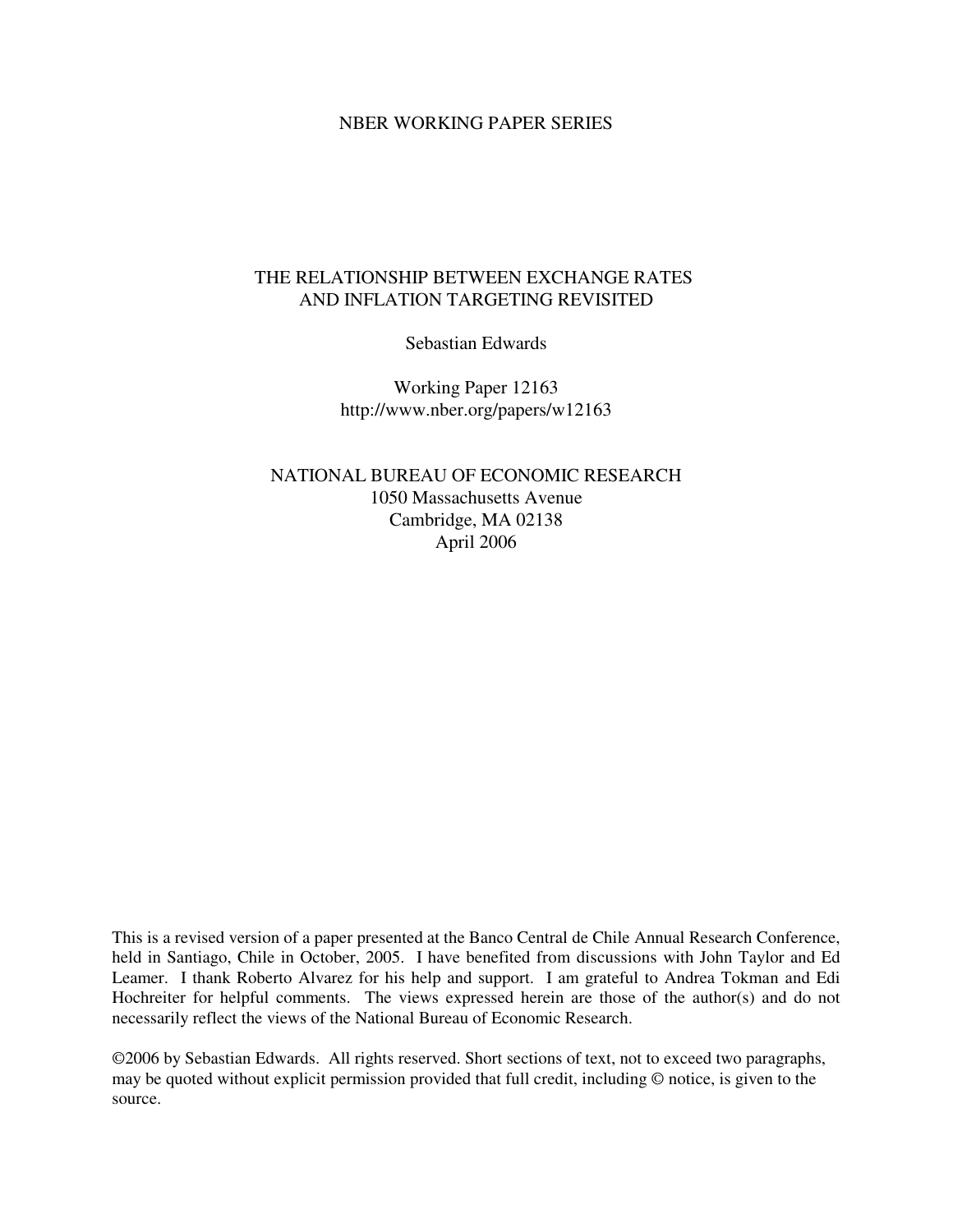#### NBER WORKING PAPER SERIES

# THE RELATIONSHIP BETWEEN EXCHANGE RATES AND INFLATION TARGETING REVISITED

Sebastian Edwards

Working Paper 12163 http://www.nber.org/papers/w12163

NATIONAL BUREAU OF ECONOMIC RESEARCH 1050 Massachusetts Avenue Cambridge, MA 02138 April 2006

This is a revised version of a paper presented at the Banco Central de Chile Annual Research Conference, held in Santiago, Chile in October, 2005. I have benefited from discussions with John Taylor and Ed Leamer. I thank Roberto Alvarez for his help and support. I am grateful to Andrea Tokman and Edi Hochreiter for helpful comments. The views expressed herein are those of the author(s) and do not necessarily reflect the views of the National Bureau of Economic Research.

©2006 by Sebastian Edwards. All rights reserved. Short sections of text, not to exceed two paragraphs, may be quoted without explicit permission provided that full credit, including © notice, is given to the source.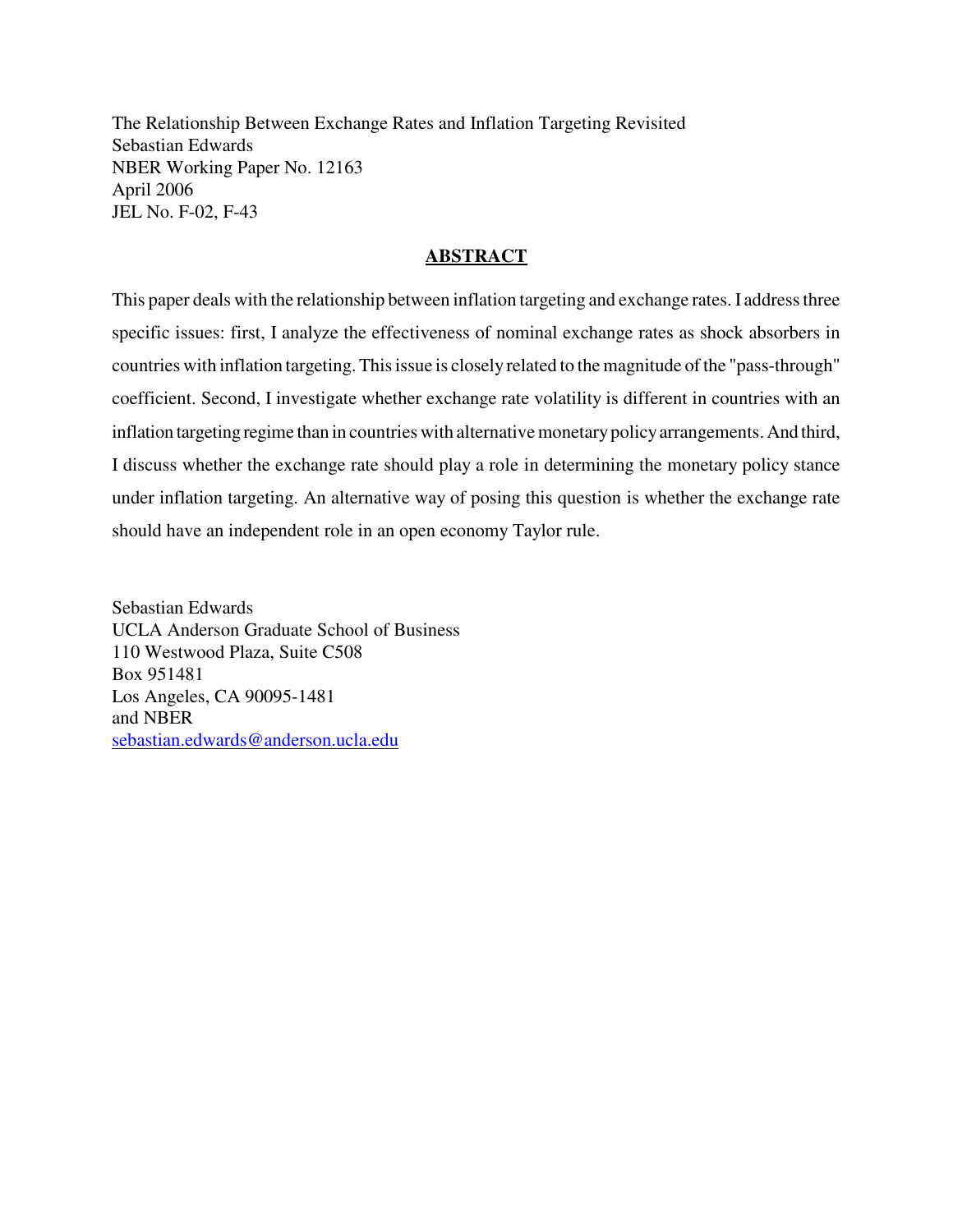The Relationship Between Exchange Rates and Inflation Targeting Revisited Sebastian Edwards NBER Working Paper No. 12163 April 2006 JEL No. F-02, F-43

# **ABSTRACT**

This paper deals with the relationship between inflation targeting and exchange rates. I address three specific issues: first, I analyze the effectiveness of nominal exchange rates as shock absorbers in countries with inflation targeting. This issue is closely related to the magnitude of the "pass-through" coefficient. Second, I investigate whether exchange rate volatility is different in countries with an inflation targeting regime than in countries with alternative monetary policy arrangements. And third, I discuss whether the exchange rate should play a role in determining the monetary policy stance under inflation targeting. An alternative way of posing this question is whether the exchange rate should have an independent role in an open economy Taylor rule.

Sebastian Edwards UCLA Anderson Graduate School of Business 110 Westwood Plaza, Suite C508 Box 951481 Los Angeles, CA 90095-1481 and NBER sebastian.edwards@anderson.ucla.edu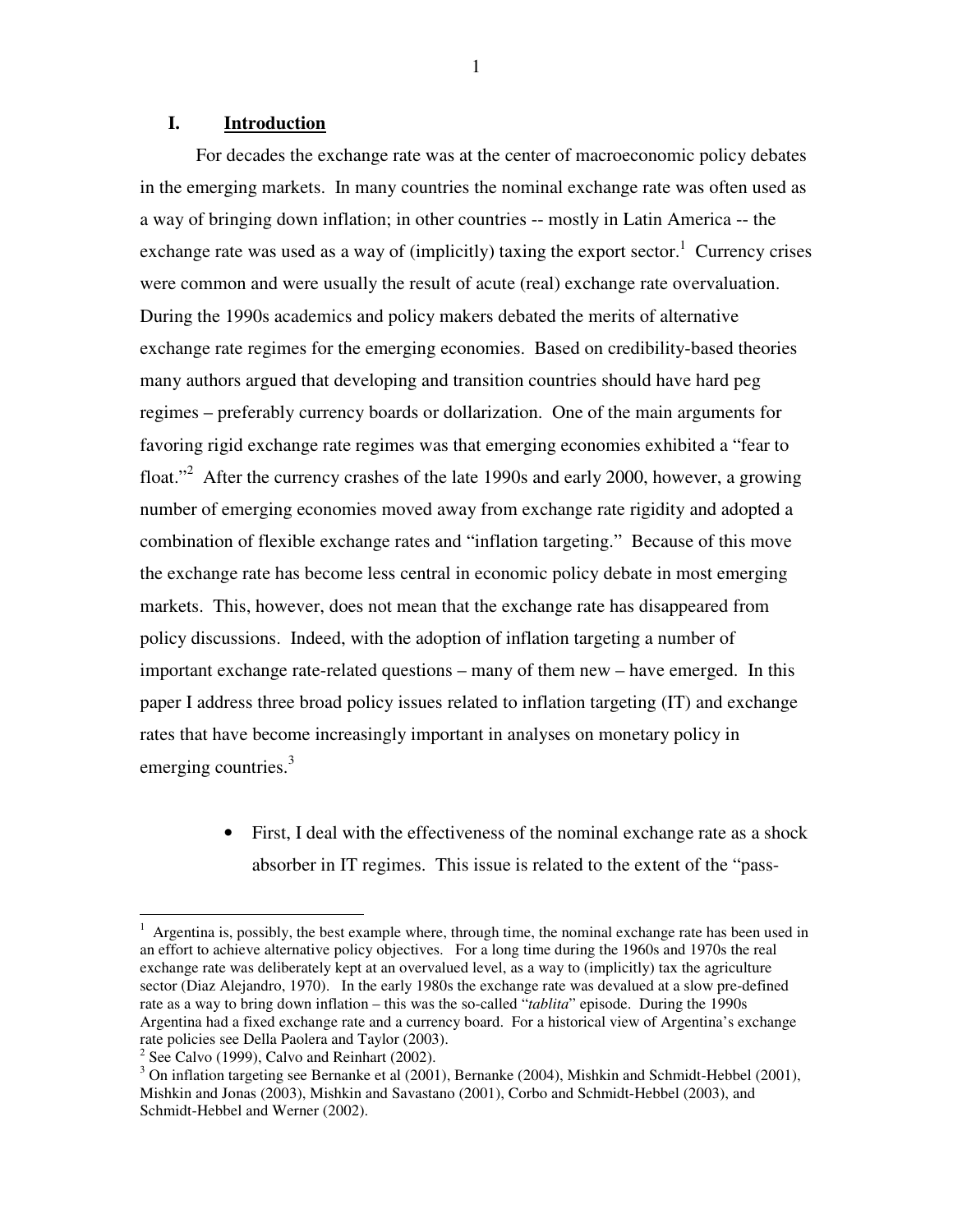## **I. Introduction**

For decades the exchange rate was at the center of macroeconomic policy debates in the emerging markets. In many countries the nominal exchange rate was often used as a way of bringing down inflation; in other countries -- mostly in Latin America -- the exchange rate was used as a way of (implicitly) taxing the export sector.<sup>1</sup> Currency crises were common and were usually the result of acute (real) exchange rate overvaluation. During the 1990s academics and policy makers debated the merits of alternative exchange rate regimes for the emerging economies. Based on credibility-based theories many authors argued that developing and transition countries should have hard peg regimes – preferably currency boards or dollarization. One of the main arguments for favoring rigid exchange rate regimes was that emerging economies exhibited a "fear to float."<sup>2</sup> After the currency crashes of the late 1990s and early 2000, however, a growing number of emerging economies moved away from exchange rate rigidity and adopted a combination of flexible exchange rates and "inflation targeting." Because of this move the exchange rate has become less central in economic policy debate in most emerging markets. This, however, does not mean that the exchange rate has disappeared from policy discussions. Indeed, with the adoption of inflation targeting a number of important exchange rate-related questions – many of them new – have emerged. In this paper I address three broad policy issues related to inflation targeting (IT) and exchange rates that have become increasingly important in analyses on monetary policy in emerging countries.<sup>3</sup>

> • First, I deal with the effectiveness of the nominal exchange rate as a shock absorber in IT regimes. This issue is related to the extent of the "pass-

1

<sup>1</sup> Argentina is, possibly, the best example where, through time, the nominal exchange rate has been used in an effort to achieve alternative policy objectives. For a long time during the 1960s and 1970s the real exchange rate was deliberately kept at an overvalued level, as a way to (implicitly) tax the agriculture sector (Diaz Alejandro, 1970). In the early 1980s the exchange rate was devalued at a slow pre-defined rate as a way to bring down inflation – this was the so-called "*tablita*" episode. During the 1990s Argentina had a fixed exchange rate and a currency board. For a historical view of Argentina's exchange rate policies see Della Paolera and Taylor (2003).

 $2$  See Calvo (1999), Calvo and Reinhart (2002).

<sup>&</sup>lt;sup>3</sup> On inflation targeting see Bernanke et al (2001), Bernanke (2004), Mishkin and Schmidt-Hebbel (2001), Mishkin and Jonas (2003), Mishkin and Savastano (2001), Corbo and Schmidt-Hebbel (2003), and Schmidt-Hebbel and Werner (2002).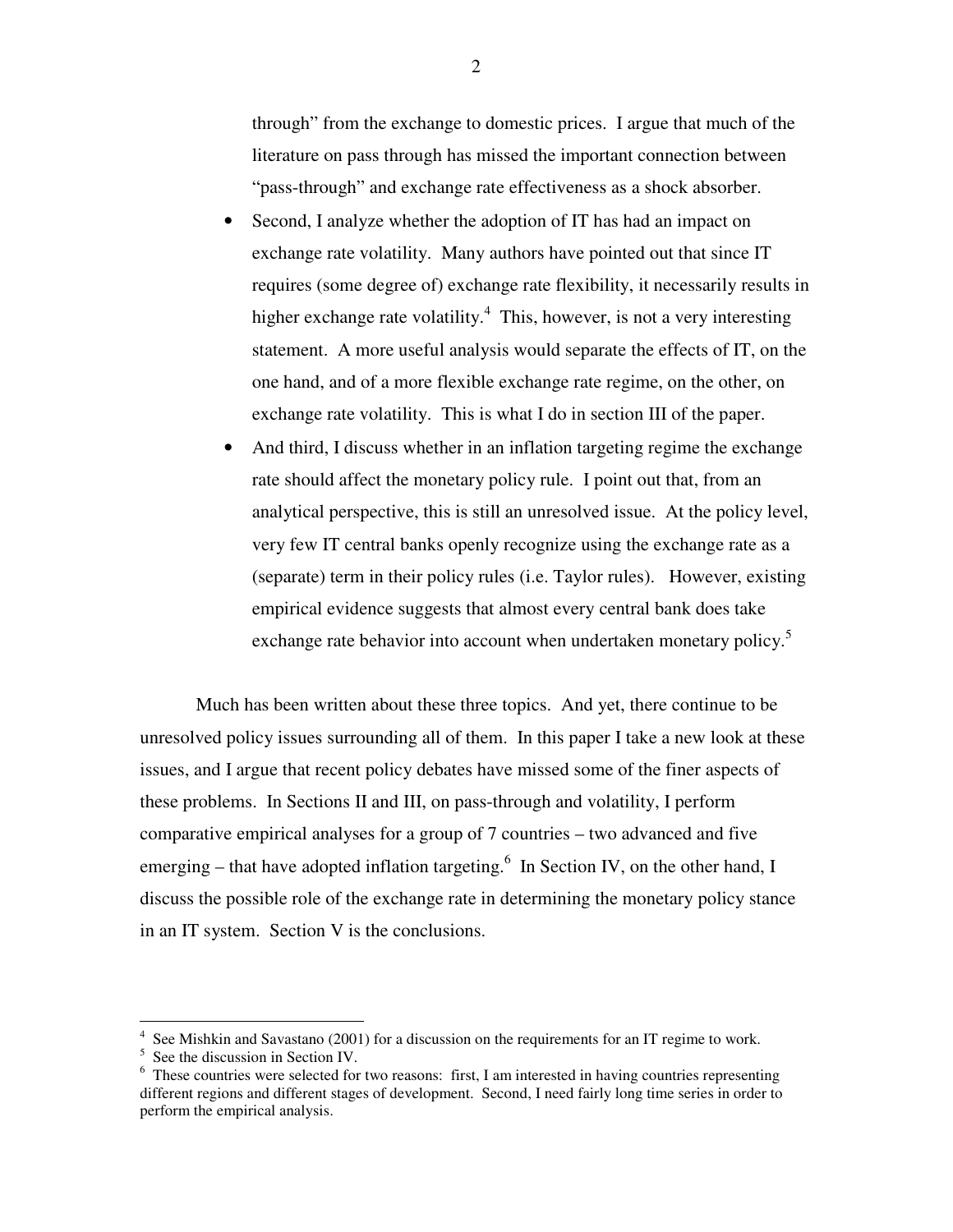through" from the exchange to domestic prices. I argue that much of the literature on pass through has missed the important connection between "pass-through" and exchange rate effectiveness as a shock absorber.

- Second, I analyze whether the adoption of IT has had an impact on exchange rate volatility. Many authors have pointed out that since IT requires (some degree of) exchange rate flexibility, it necessarily results in higher exchange rate volatility.<sup>4</sup> This, however, is not a very interesting statement. A more useful analysis would separate the effects of IT, on the one hand, and of a more flexible exchange rate regime, on the other, on exchange rate volatility. This is what I do in section III of the paper.
- And third, I discuss whether in an inflation targeting regime the exchange rate should affect the monetary policy rule. I point out that, from an analytical perspective, this is still an unresolved issue. At the policy level, very few IT central banks openly recognize using the exchange rate as a (separate) term in their policy rules (i.e. Taylor rules). However, existing empirical evidence suggests that almost every central bank does take exchange rate behavior into account when undertaken monetary policy.<sup>5</sup>

Much has been written about these three topics. And yet, there continue to be unresolved policy issues surrounding all of them. In this paper I take a new look at these issues, and I argue that recent policy debates have missed some of the finer aspects of these problems. In Sections II and III, on pass-through and volatility, I perform comparative empirical analyses for a group of 7 countries – two advanced and five emerging – that have adopted inflation targeting.  $6\,$  In Section IV, on the other hand, I discuss the possible role of the exchange rate in determining the monetary policy stance in an IT system. Section V is the conclusions.

<sup>&</sup>lt;sup>4</sup> See Mishkin and Savastano (2001) for a discussion on the requirements for an IT regime to work.

<sup>&</sup>lt;sup>5</sup> See the discussion in Section IV.

<sup>&</sup>lt;sup>6</sup> These countries were selected for two reasons: first, I am interested in having countries representing different regions and different stages of development. Second, I need fairly long time series in order to perform the empirical analysis.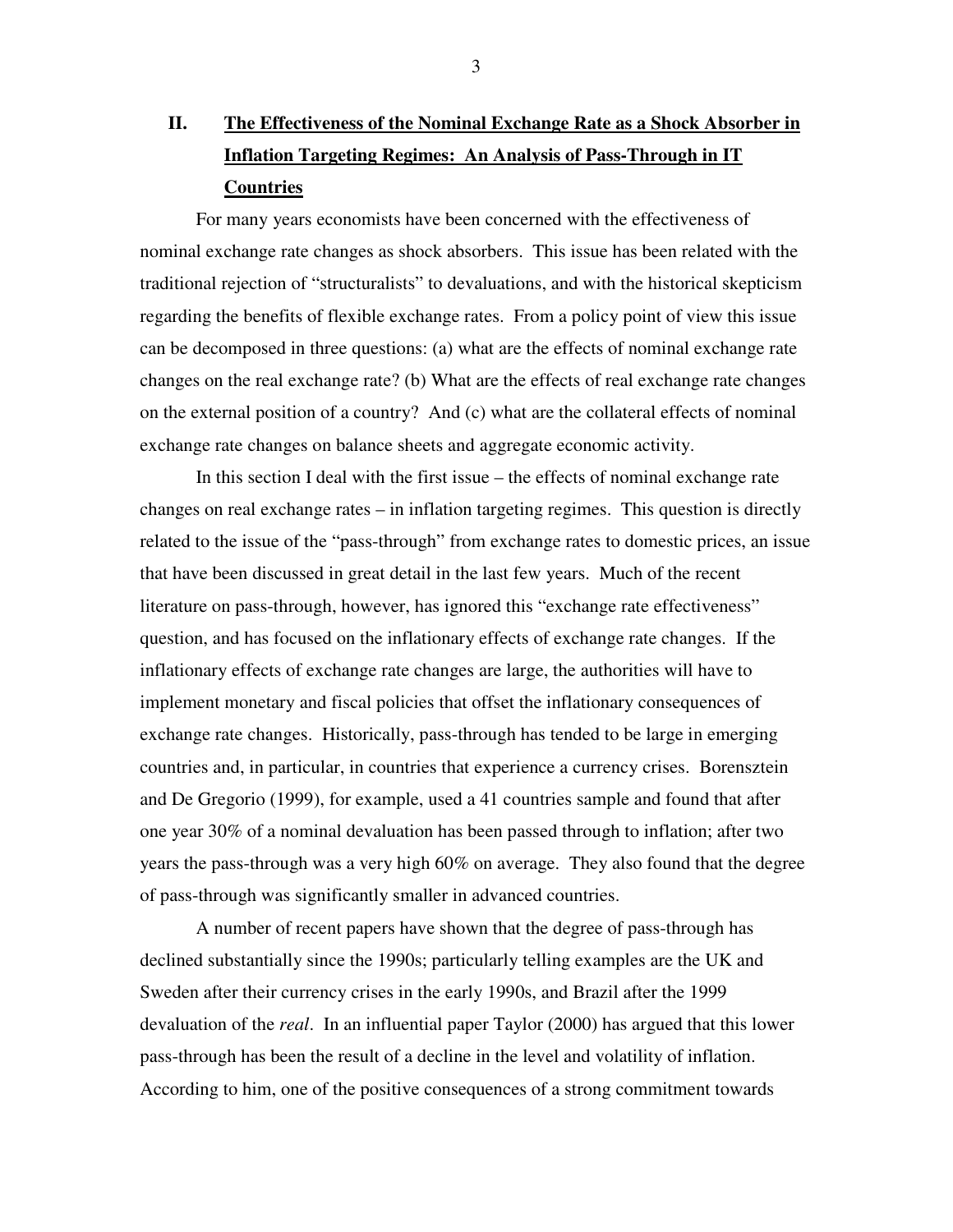For many years economists have been concerned with the effectiveness of nominal exchange rate changes as shock absorbers. This issue has been related with the traditional rejection of "structuralists" to devaluations, and with the historical skepticism regarding the benefits of flexible exchange rates. From a policy point of view this issue can be decomposed in three questions: (a) what are the effects of nominal exchange rate changes on the real exchange rate? (b) What are the effects of real exchange rate changes on the external position of a country? And (c) what are the collateral effects of nominal exchange rate changes on balance sheets and aggregate economic activity.

In this section I deal with the first issue – the effects of nominal exchange rate changes on real exchange rates – in inflation targeting regimes. This question is directly related to the issue of the "pass-through" from exchange rates to domestic prices, an issue that have been discussed in great detail in the last few years. Much of the recent literature on pass-through, however, has ignored this "exchange rate effectiveness" question, and has focused on the inflationary effects of exchange rate changes. If the inflationary effects of exchange rate changes are large, the authorities will have to implement monetary and fiscal policies that offset the inflationary consequences of exchange rate changes. Historically, pass-through has tended to be large in emerging countries and, in particular, in countries that experience a currency crises. Borensztein and De Gregorio (1999), for example, used a 41 countries sample and found that after one year 30% of a nominal devaluation has been passed through to inflation; after two years the pass-through was a very high 60% on average. They also found that the degree of pass-through was significantly smaller in advanced countries.

A number of recent papers have shown that the degree of pass-through has declined substantially since the 1990s; particularly telling examples are the UK and Sweden after their currency crises in the early 1990s, and Brazil after the 1999 devaluation of the *real*. In an influential paper Taylor (2000) has argued that this lower pass-through has been the result of a decline in the level and volatility of inflation. According to him, one of the positive consequences of a strong commitment towards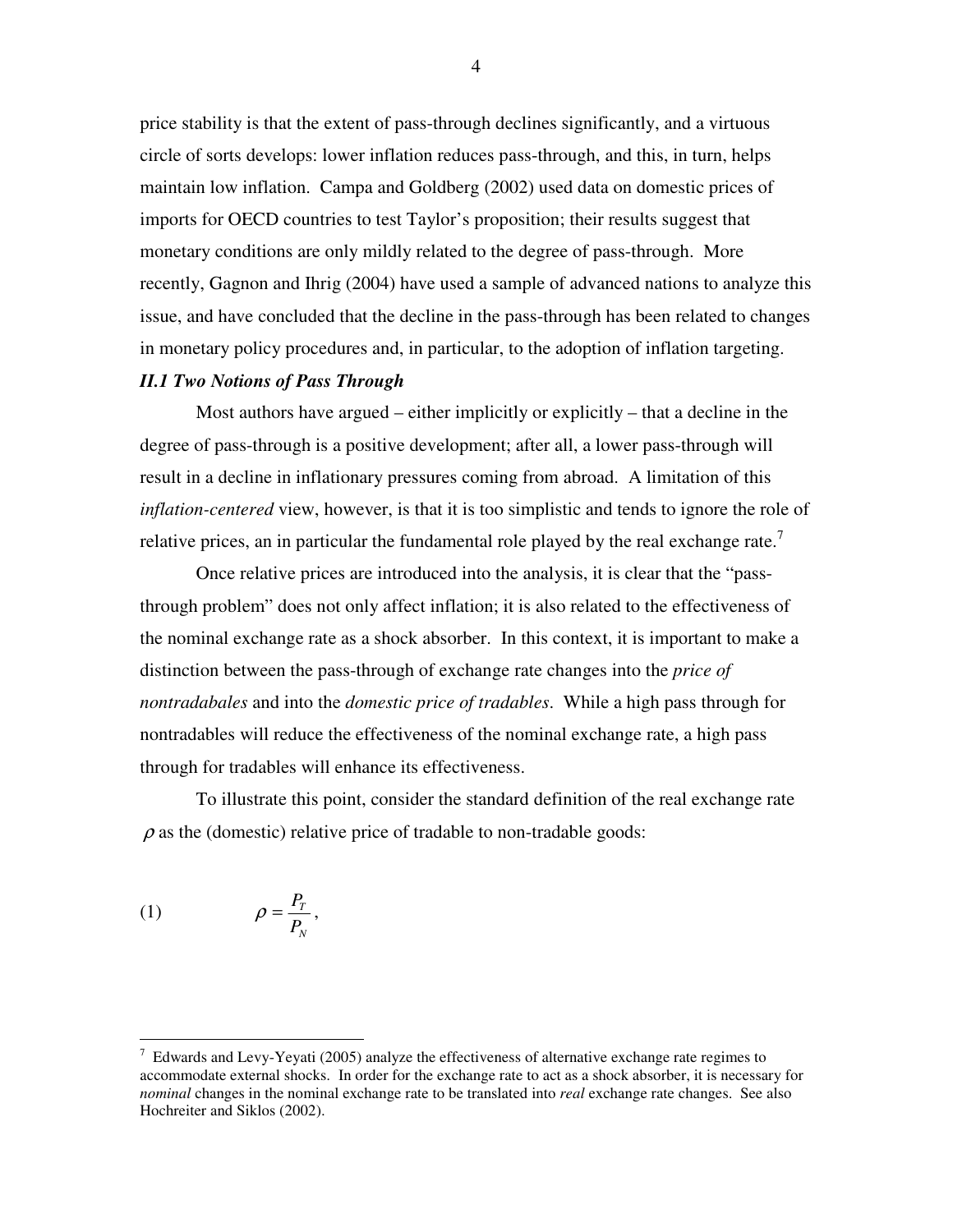price stability is that the extent of pass-through declines significantly, and a virtuous circle of sorts develops: lower inflation reduces pass-through, and this, in turn, helps maintain low inflation. Campa and Goldberg (2002) used data on domestic prices of imports for OECD countries to test Taylor's proposition; their results suggest that monetary conditions are only mildly related to the degree of pass-through. More recently, Gagnon and Ihrig (2004) have used a sample of advanced nations to analyze this issue, and have concluded that the decline in the pass-through has been related to changes in monetary policy procedures and, in particular, to the adoption of inflation targeting.

#### *II.1 Two Notions of Pass Through*

Most authors have argued – either implicitly or explicitly – that a decline in the degree of pass-through is a positive development; after all, a lower pass-through will result in a decline in inflationary pressures coming from abroad. A limitation of this *inflation-centered* view, however, is that it is too simplistic and tends to ignore the role of relative prices, an in particular the fundamental role played by the real exchange rate.<sup>7</sup>

Once relative prices are introduced into the analysis, it is clear that the "passthrough problem" does not only affect inflation; it is also related to the effectiveness of the nominal exchange rate as a shock absorber. In this context, it is important to make a distinction between the pass-through of exchange rate changes into the *price of nontradabales* and into the *domestic price of tradables*. While a high pass through for nontradables will reduce the effectiveness of the nominal exchange rate, a high pass through for tradables will enhance its effectiveness.

To illustrate this point, consider the standard definition of the real exchange rate  $\rho$  as the (domestic) relative price of tradable to non-tradable goods:

$$
(1) \hspace{1cm} \rho = \frac{P_r}{P_N},
$$

4

 $^7$  Edwards and Levy-Yeyati (2005) analyze the effectiveness of alternative exchange rate regimes to accommodate external shocks. In order for the exchange rate to act as a shock absorber, it is necessary for *nominal* changes in the nominal exchange rate to be translated into *real* exchange rate changes. See also Hochreiter and Siklos (2002).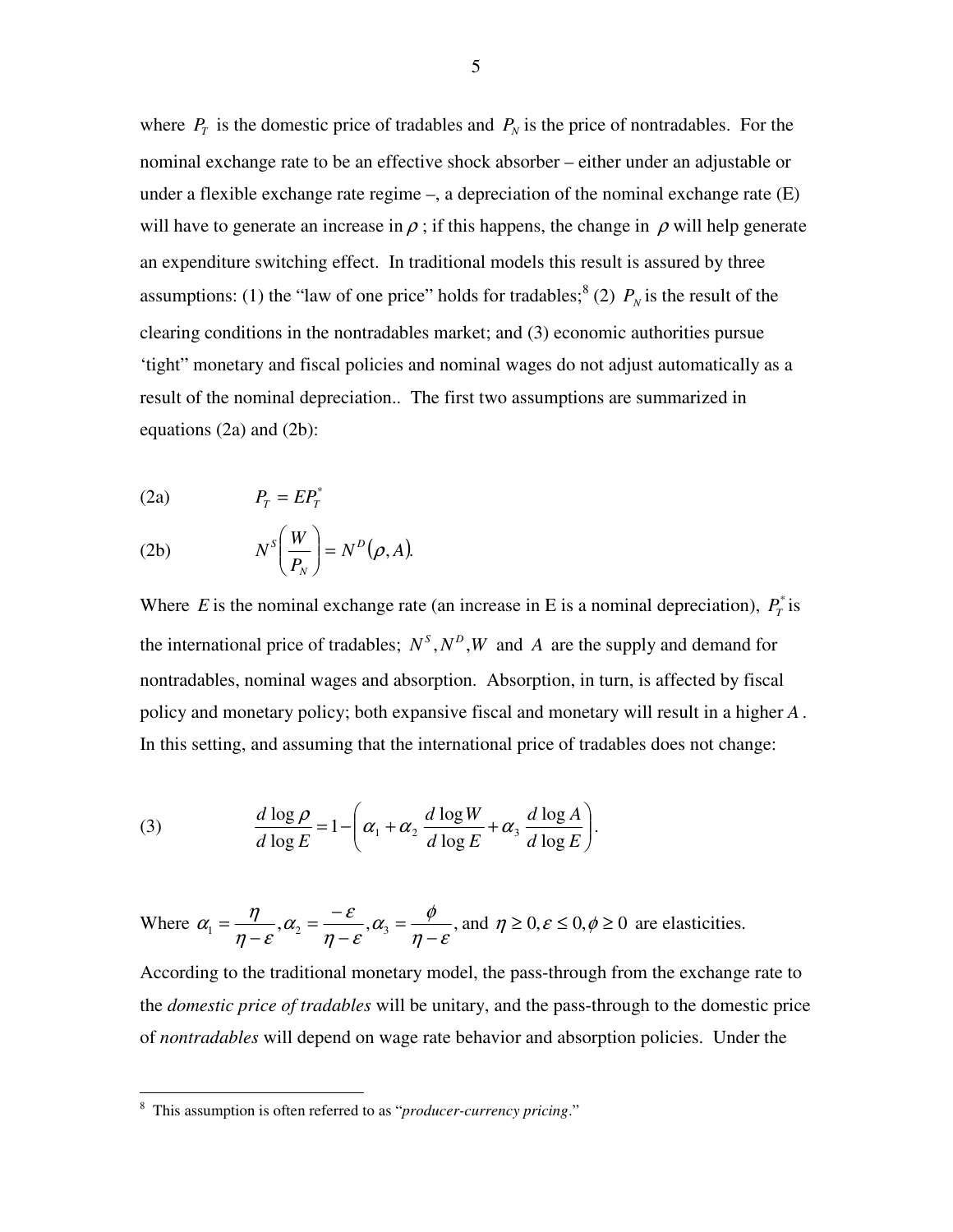where  $P_T$  is the domestic price of tradables and  $P_N$  is the price of nontradables. For the nominal exchange rate to be an effective shock absorber – either under an adjustable or under a flexible exchange rate regime  $-$ , a depreciation of the nominal exchange rate  $(E)$ will have to generate an increase in  $\rho$ ; if this happens, the change in  $\rho$  will help generate an expenditure switching effect. In traditional models this result is assured by three assumptions: (1) the "law of one price" holds for tradables;<sup>8</sup> (2)  $P<sub>N</sub>$  is the result of the clearing conditions in the nontradables market; and (3) economic authorities pursue 'tight" monetary and fiscal policies and nominal wages do not adjust automatically as a result of the nominal depreciation.. The first two assumptions are summarized in equations (2a) and (2b):

$$
(2a) \t\t P_T = EP_T^*
$$

(2b) 
$$
N^{s} \left( \frac{W}{P_{N}} \right) = N^{D} (\rho, A).
$$

Where E is the nominal exchange rate (an increase in E is a nominal depreciation),  $P_T^*$  is the international price of tradables;  $N^S$ ,  $N^D$ ,  $W$  and  $A$  are the supply and demand for nontradables, nominal wages and absorption. Absorption, in turn, is affected by fiscal policy and monetary policy; both expansive fiscal and monetary will result in a higher *A* . In this setting, and assuming that the international price of tradables does not change:

(3) 
$$
\frac{d \log \rho}{d \log E} = 1 - \left(\alpha_1 + \alpha_2 \frac{d \log W}{d \log E} + \alpha_3 \frac{d \log A}{d \log E}\right).
$$

Where  $\alpha_1 = \frac{\eta}{\eta - \varepsilon}, \alpha_2 = \frac{\varepsilon}{\eta - \varepsilon}, \alpha_3 = \frac{\varepsilon}{\eta - \varepsilon},$  $\alpha_{\rm e} = \frac{\phi}{\sqrt{2\pi}}$  $\eta - \varepsilon$  $\alpha_{0} = \frac{-\varepsilon}{\varepsilon}$  $\eta - \varepsilon$  $\alpha_{1} = \frac{\eta}{\eta - \varepsilon}, \alpha_{2} = \frac{-\varepsilon}{\eta - \varepsilon}, \alpha_{3} = \frac{\varphi}{\eta - \varepsilon}$ = − − = −  $=\frac{1}{2}, \alpha_2 = \frac{1}{2}, \alpha_3 = \frac{1}{2}, \text{ and } \eta \geq 0, \varepsilon \leq 0, \phi \geq 0 \text{ are elasticities.}$ 

According to the traditional monetary model, the pass-through from the exchange rate to the *domestic price of tradables* will be unitary, and the pass-through to the domestic price of *nontradables* will depend on wage rate behavior and absorption policies. Under the

<sup>8</sup> This assumption is often referred to as "*producer-currency pricing*."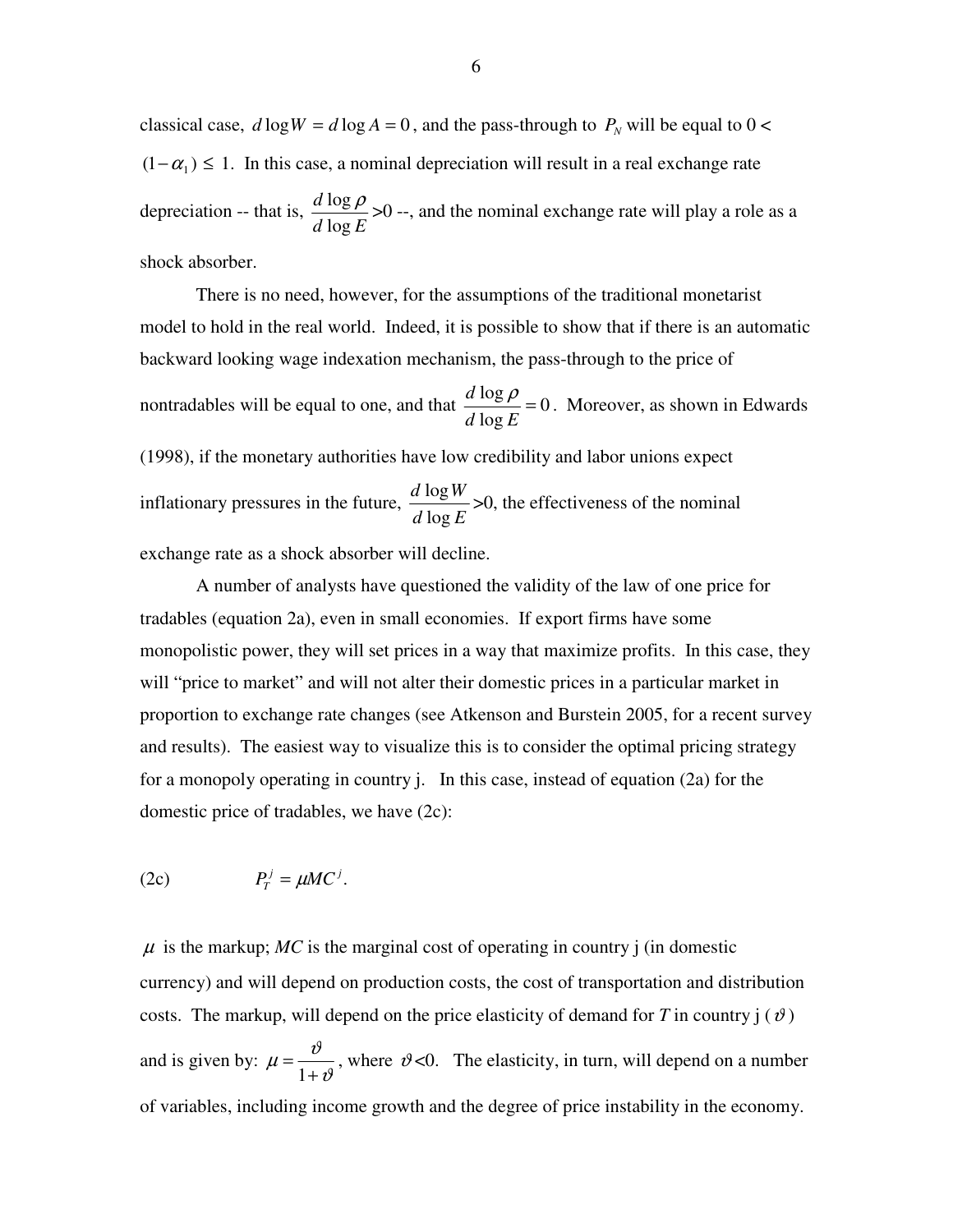classical case,  $d \log W = d \log A = 0$ , and the pass-through to  $P_N$  will be equal to  $0 <$  $(1 - \alpha_1) \leq 1$ . In this case, a nominal depreciation will result in a real exchange rate depreciation -- that is,  $d \log E$ *d* log  $\frac{\log \rho}{\log \rho}$  >0 --, and the nominal exchange rate will play a role as a shock absorber.

There is no need, however, for the assumptions of the traditional monetarist model to hold in the real world. Indeed, it is possible to show that if there is an automatic backward looking wage indexation mechanism, the pass-through to the price of nontradables will be equal to one, and that  $\frac{u\log p}{v} = 0$ log  $\frac{\log \rho}{\sqrt{2}} =$  $d \log E$ *d*  $\log \rho$ . Moreover, as shown in Edwards (1998), if the monetary authorities have low credibility and labor unions expect inflationary pressures in the future,  $d \log E$ *d W* log  $\frac{\log W}{\log W}$  >0, the effectiveness of the nominal exchange rate as a shock absorber will decline.

A number of analysts have questioned the validity of the law of one price for tradables (equation 2a), even in small economies. If export firms have some monopolistic power, they will set prices in a way that maximize profits. In this case, they will "price to market" and will not alter their domestic prices in a particular market in proportion to exchange rate changes (see Atkenson and Burstein 2005, for a recent survey and results). The easiest way to visualize this is to consider the optimal pricing strategy for a monopoly operating in country j. In this case, instead of equation (2a) for the domestic price of tradables, we have (2c):

$$
(2c) \t\t P_T^j = \mu M C^j.
$$

 $\mu$  is the markup; *MC* is the marginal cost of operating in country j (in domestic currency) and will depend on production costs, the cost of transportation and distribution costs. The markup, will depend on the price elasticity of demand for *T* in country  $j(\vartheta)$ and is given by:  $\mu = \frac{b}{1 + v^2}$  $\vartheta$  $\mu = \frac{1}{1 + \mu}$ = 1 , where  $\vartheta$ <0. The elasticity, in turn, will depend on a number of variables, including income growth and the degree of price instability in the economy.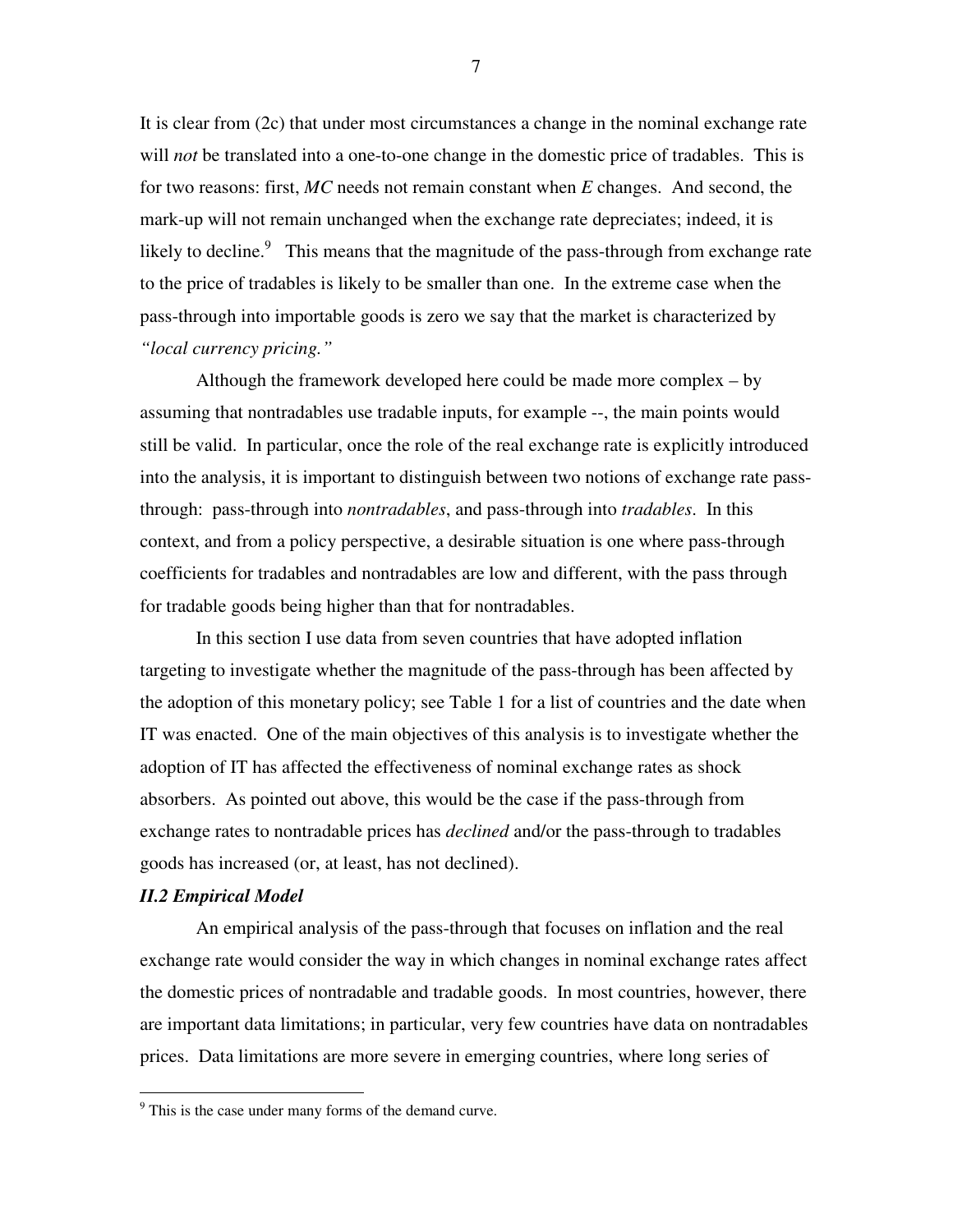It is clear from (2c) that under most circumstances a change in the nominal exchange rate will *not* be translated into a one-to-one change in the domestic price of tradables. This is for two reasons: first, *MC* needs not remain constant when *E* changes. And second, the mark-up will not remain unchanged when the exchange rate depreciates; indeed, it is likely to decline.<sup>9</sup> This means that the magnitude of the pass-through from exchange rate to the price of tradables is likely to be smaller than one. In the extreme case when the pass-through into importable goods is zero we say that the market is characterized by *"local currency pricing."*

Although the framework developed here could be made more complex – by assuming that nontradables use tradable inputs, for example --, the main points would still be valid. In particular, once the role of the real exchange rate is explicitly introduced into the analysis, it is important to distinguish between two notions of exchange rate passthrough: pass-through into *nontradables*, and pass-through into *tradables*. In this context, and from a policy perspective, a desirable situation is one where pass-through coefficients for tradables and nontradables are low and different, with the pass through for tradable goods being higher than that for nontradables.

In this section I use data from seven countries that have adopted inflation targeting to investigate whether the magnitude of the pass-through has been affected by the adoption of this monetary policy; see Table 1 for a list of countries and the date when IT was enacted. One of the main objectives of this analysis is to investigate whether the adoption of IT has affected the effectiveness of nominal exchange rates as shock absorbers. As pointed out above, this would be the case if the pass-through from exchange rates to nontradable prices has *declined* and/or the pass-through to tradables goods has increased (or, at least, has not declined).

#### *II.2 Empirical Model*

An empirical analysis of the pass-through that focuses on inflation and the real exchange rate would consider the way in which changes in nominal exchange rates affect the domestic prices of nontradable and tradable goods. In most countries, however, there are important data limitations; in particular, very few countries have data on nontradables prices. Data limitations are more severe in emerging countries, where long series of

7

 $9$  This is the case under many forms of the demand curve.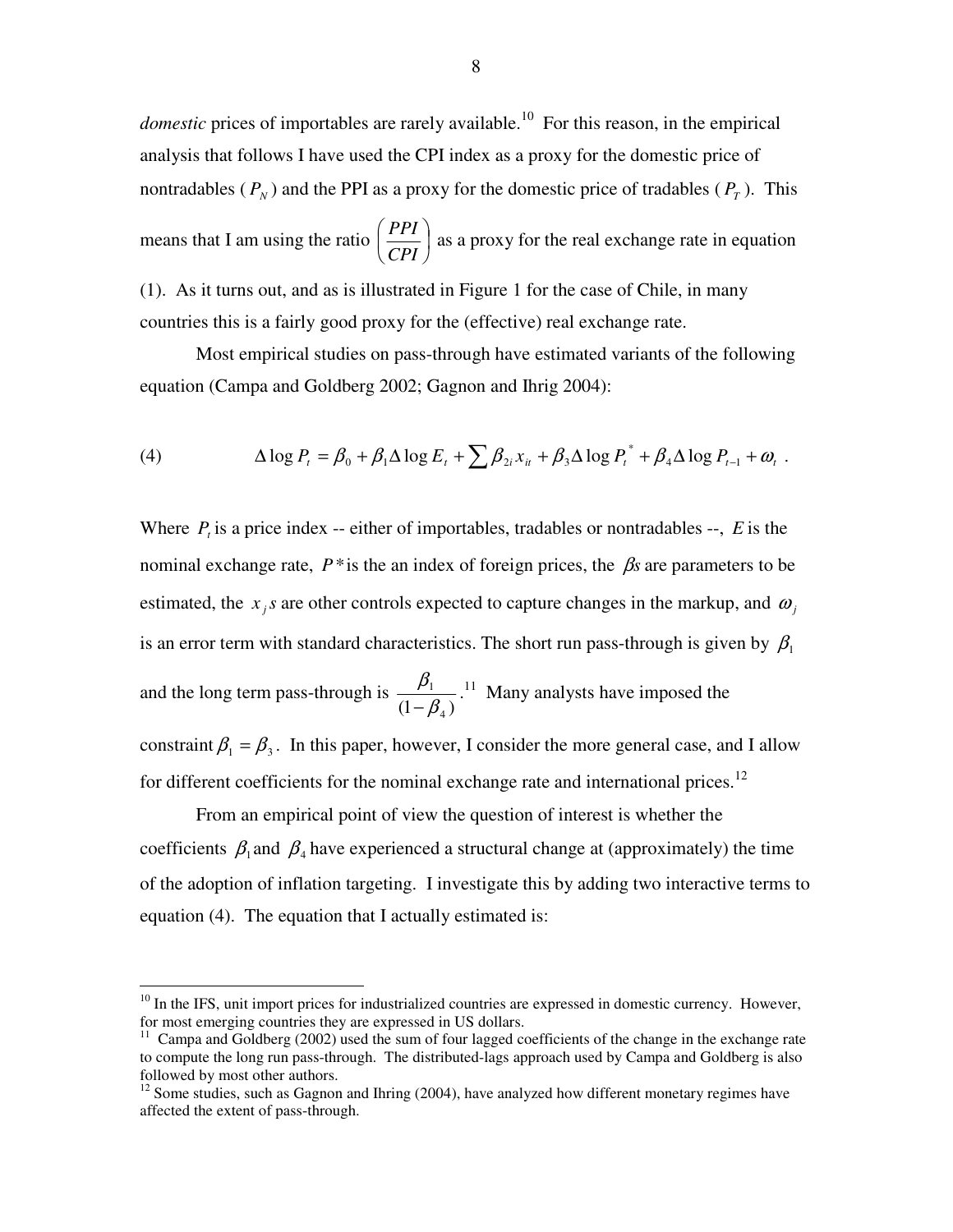domestic prices of importables are rarely available.<sup>10</sup> For this reason, in the empirical analysis that follows I have used the CPI index as a proxy for the domestic price of nontradables ( $P_N$ ) and the PPI as a proxy for the domestic price of tradables ( $P_T$ ). This means that I am using the ratio  $\left| \frac{I+I}{I+I} \right|$ - $\left(\frac{PPI}{\sigma} \right)$ l ſ *CPI*  $\left(\frac{PPI}{SPI}\right)$  as a proxy for the real exchange rate in equation (1). As it turns out, and as is illustrated in Figure 1 for the case of Chile, in many countries this is a fairly good proxy for the (effective) real exchange rate.

Most empirical studies on pass-through have estimated variants of the following equation (Campa and Goldberg 2002; Gagnon and Ihrig 2004):

(4) 
$$
\Delta \log P_t = \beta_0 + \beta_1 \Delta \log E_t + \sum \beta_{2i} x_{it} + \beta_3 \Delta \log P_t^* + \beta_4 \Delta \log P_{t-1} + \omega_t.
$$

Where  $P_t$  is a price index -- either of importables, tradables or nontradables --,  $E$  is the nominal exchange rate, *P*\*is the an index of foreign prices, the β*s* are parameters to be estimated, the  $x_j$  *s* are other controls expected to capture changes in the markup, and  $\omega_j$ is an error term with standard characteristics. The short run pass-through is given by  $\beta_1$ and the long term pass-through is  $(1 - \beta_4)$ 1  $\beta$  $\beta_{\scriptscriptstyle 1}$ − <sup>11</sup> Many analysts have imposed the constraint  $\beta_1 = \beta_3$ . In this paper, however, I consider the more general case, and I allow for different coefficients for the nominal exchange rate and international prices.<sup>12</sup>

From an empirical point of view the question of interest is whether the coefficients  $\beta_1$  and  $\beta_4$  have experienced a structural change at (approximately) the time of the adoption of inflation targeting. I investigate this by adding two interactive terms to equation (4). The equation that I actually estimated is:

<sup>&</sup>lt;sup>10</sup> In the IFS, unit import prices for industrialized countries are expressed in domestic currency. However, for most emerging countries they are expressed in US dollars.

<sup>&</sup>lt;sup>11</sup> Campa and Goldberg (2002) used the sum of four lagged coefficients of the change in the exchange rate to compute the long run pass-through. The distributed-lags approach used by Campa and Goldberg is also followed by most other authors.

 $12$  Some studies, such as Gagnon and Ihring (2004), have analyzed how different monetary regimes have affected the extent of pass-through.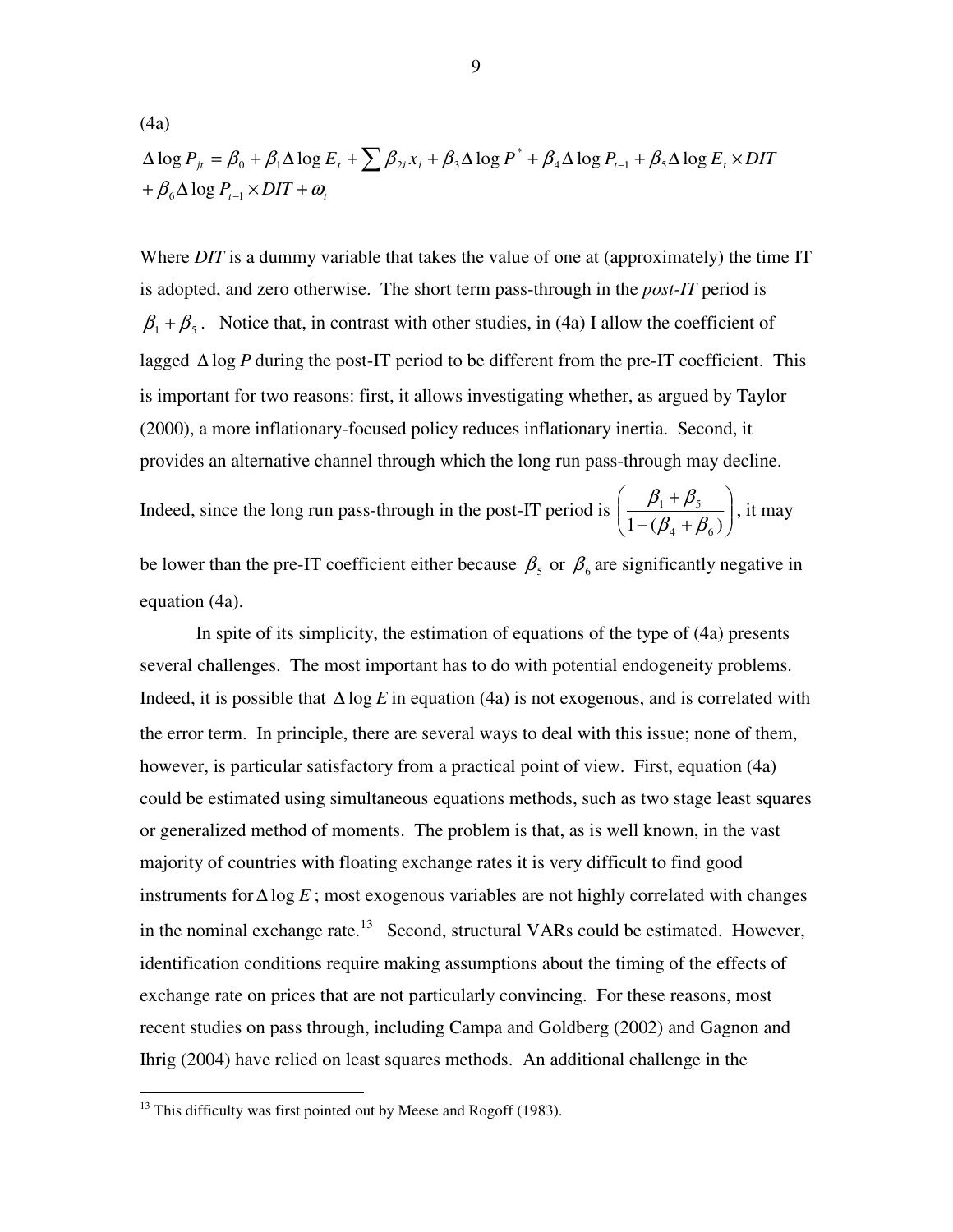(4a)

$$
\Delta \log P_{jt} = \beta_0 + \beta_1 \Delta \log E_t + \sum \beta_{2i} x_i + \beta_3 \Delta \log P^* + \beta_4 \Delta \log P_{t-1} + \beta_5 \Delta \log E_t \times DIT + \beta_6 \Delta \log P_{t-1} \times DIT + \omega_t
$$

Where *DIT* is a dummy variable that takes the value of one at (approximately) the time IT is adopted, and zero otherwise. The short term pass-through in the *post-IT* period is  $\beta_1 + \beta_5$ . Notice that, in contrast with other studies, in (4a) I allow the coefficient of lagged ∆ log *P* during the post-IT period to be different from the pre-IT coefficient. This is important for two reasons: first, it allows investigating whether, as argued by Taylor (2000), a more inflationary-focused policy reduces inflationary inertia. Second, it provides an alternative channel through which the long run pass-through may decline.

Indeed, since the long run pass-through in the post-IT period is  $\left| \frac{p_1 + p_5}{1 - (B_+ + B_0)} \right|$ -  $\backslash$  $\parallel$ l ſ  $-(\beta_{\scriptscriptstyle 4}+$ +  $1 - (\beta_4 + \beta_6)$  $1 + P_5$  $\beta_{\scriptscriptstyle 4}$  +  $\beta_{\scriptscriptstyle 6}$  $\beta_{\text{\tiny{l}}}$  +  $\beta_{\text{\tiny{l}}}$ , it may

be lower than the pre-IT coefficient either because  $\beta_5$  or  $\beta_6$  are significantly negative in equation (4a).

In spite of its simplicity, the estimation of equations of the type of (4a) presents several challenges. The most important has to do with potential endogeneity problems. Indeed, it is possible that ∆ log *E* in equation (4a) is not exogenous, and is correlated with the error term. In principle, there are several ways to deal with this issue; none of them, however, is particular satisfactory from a practical point of view. First, equation (4a) could be estimated using simultaneous equations methods, such as two stage least squares or generalized method of moments. The problem is that, as is well known, in the vast majority of countries with floating exchange rates it is very difficult to find good instruments for∆ log *E* ; most exogenous variables are not highly correlated with changes in the nominal exchange rate.<sup>13</sup> Second, structural VARs could be estimated. However, identification conditions require making assumptions about the timing of the effects of exchange rate on prices that are not particularly convincing. For these reasons, most recent studies on pass through, including Campa and Goldberg (2002) and Gagnon and Ihrig (2004) have relied on least squares methods. An additional challenge in the

 $13$  This difficulty was first pointed out by Meese and Rogoff (1983).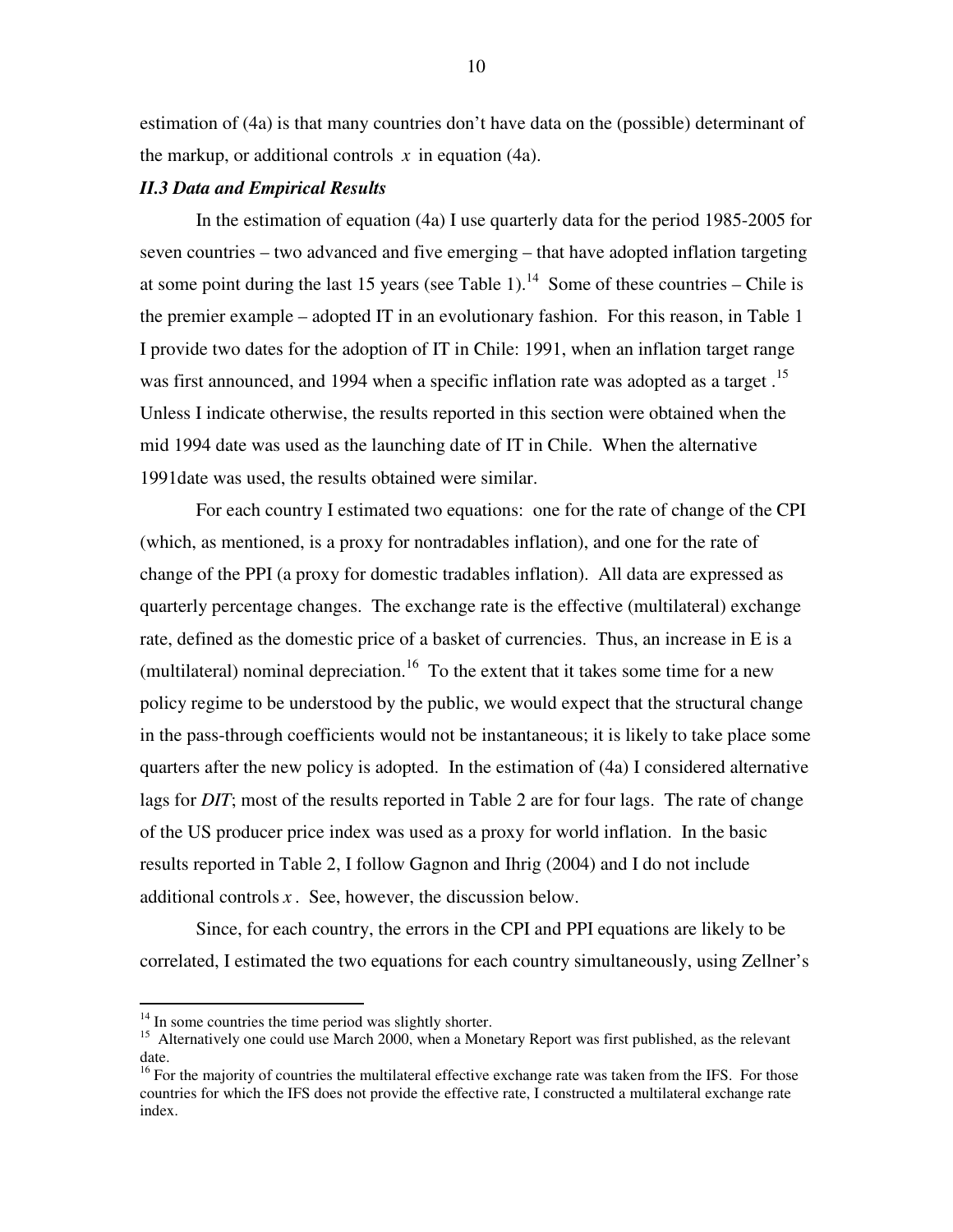estimation of (4a) is that many countries don't have data on the (possible) determinant of the markup, or additional controls  $x$  in equation (4a).

# *II.3 Data and Empirical Results*

In the estimation of equation (4a) I use quarterly data for the period 1985-2005 for seven countries – two advanced and five emerging – that have adopted inflation targeting at some point during the last 15 years (see Table 1).<sup>14</sup> Some of these countries – Chile is the premier example – adopted IT in an evolutionary fashion. For this reason, in Table 1 I provide two dates for the adoption of IT in Chile: 1991, when an inflation target range was first announced, and 1994 when a specific inflation rate was adopted as a target.<sup>15</sup> Unless I indicate otherwise, the results reported in this section were obtained when the mid 1994 date was used as the launching date of IT in Chile. When the alternative 1991date was used, the results obtained were similar.

For each country I estimated two equations: one for the rate of change of the CPI (which, as mentioned, is a proxy for nontradables inflation), and one for the rate of change of the PPI (a proxy for domestic tradables inflation). All data are expressed as quarterly percentage changes. The exchange rate is the effective (multilateral) exchange rate, defined as the domestic price of a basket of currencies. Thus, an increase in E is a (multilateral) nominal depreciation.<sup>16</sup> To the extent that it takes some time for a new policy regime to be understood by the public, we would expect that the structural change in the pass-through coefficients would not be instantaneous; it is likely to take place some quarters after the new policy is adopted. In the estimation of (4a) I considered alternative lags for *DIT*; most of the results reported in Table 2 are for four lags. The rate of change of the US producer price index was used as a proxy for world inflation. In the basic results reported in Table 2, I follow Gagnon and Ihrig (2004) and I do not include additional controls *x* . See, however, the discussion below.

Since, for each country, the errors in the CPI and PPI equations are likely to be correlated, I estimated the two equations for each country simultaneously, using Zellner's

<sup>&</sup>lt;sup>14</sup> In some countries the time period was slightly shorter.

<sup>&</sup>lt;sup>15</sup> Alternatively one could use March 2000, when a Monetary Report was first published, as the relevant date.

<sup>&</sup>lt;sup>16</sup> For the majority of countries the multilateral effective exchange rate was taken from the IFS. For those countries for which the IFS does not provide the effective rate, I constructed a multilateral exchange rate index.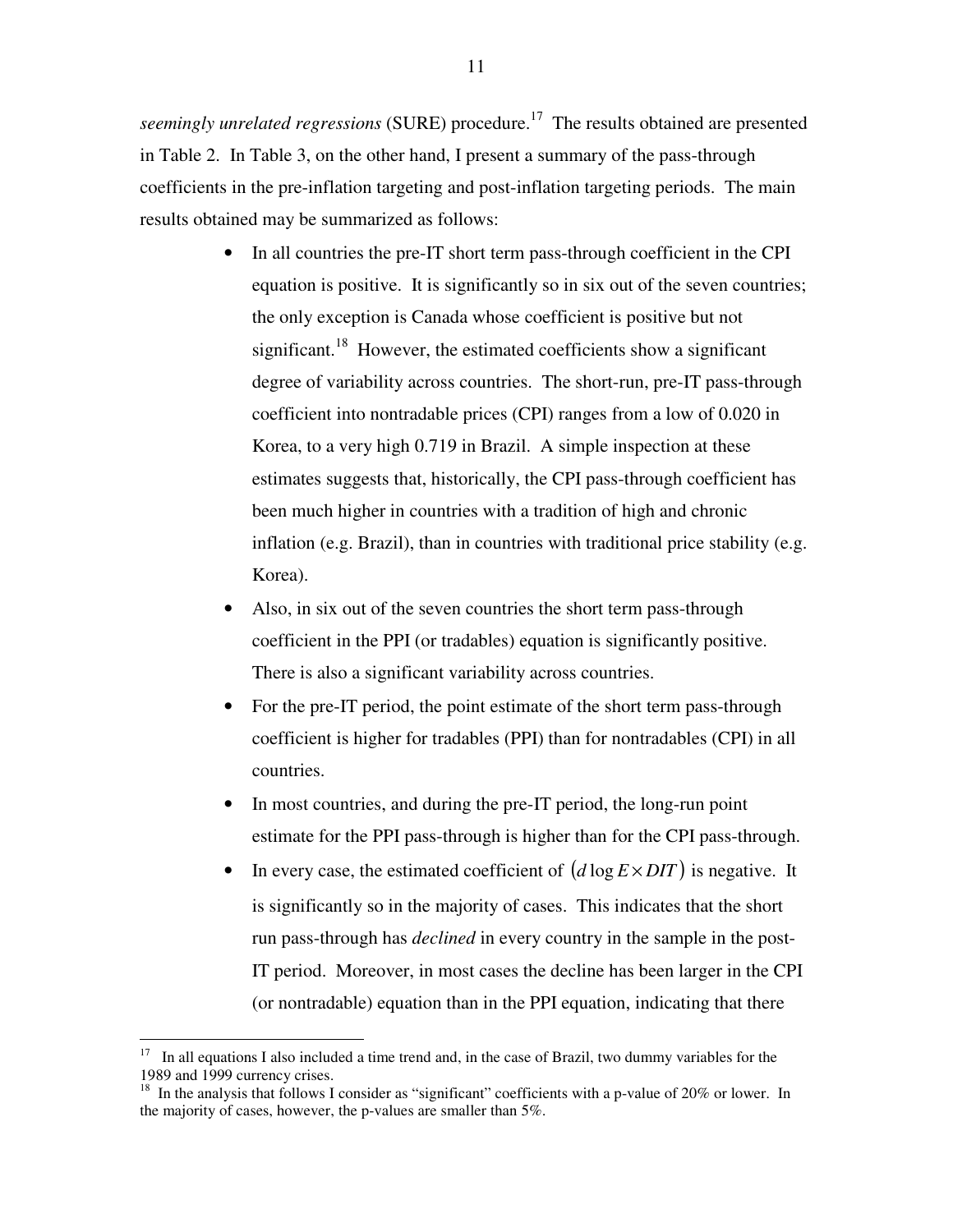*seemingly unrelated regressions* (SURE) procedure. 17 The results obtained are presented in Table 2. In Table 3, on the other hand, I present a summary of the pass-through coefficients in the pre-inflation targeting and post-inflation targeting periods. The main results obtained may be summarized as follows:

- In all countries the pre-IT short term pass-through coefficient in the CPI equation is positive. It is significantly so in six out of the seven countries; the only exception is Canada whose coefficient is positive but not significant.<sup>18</sup> However, the estimated coefficients show a significant degree of variability across countries. The short-run, pre-IT pass-through coefficient into nontradable prices (CPI) ranges from a low of 0.020 in Korea, to a very high 0.719 in Brazil. A simple inspection at these estimates suggests that, historically, the CPI pass-through coefficient has been much higher in countries with a tradition of high and chronic inflation (e.g. Brazil), than in countries with traditional price stability (e.g. Korea).
- Also, in six out of the seven countries the short term pass-through coefficient in the PPI (or tradables) equation is significantly positive. There is also a significant variability across countries.
- For the pre-IT period, the point estimate of the short term pass-through coefficient is higher for tradables (PPI) than for nontradables (CPI) in all countries.
- In most countries, and during the pre-IT period, the long-run point estimate for the PPI pass-through is higher than for the CPI pass-through.
- In every case, the estimated coefficient of  $(d \log E \times DIT)$  is negative. It is significantly so in the majority of cases. This indicates that the short run pass-through has *declined* in every country in the sample in the post-IT period. Moreover, in most cases the decline has been larger in the CPI (or nontradable) equation than in the PPI equation, indicating that there

<sup>&</sup>lt;sup>17</sup> In all equations I also included a time trend and, in the case of Brazil, two dummy variables for the 1989 and 1999 currency crises.

 $18$  In the analysis that follows I consider as "significant" coefficients with a p-value of 20% or lower. In the majority of cases, however, the p-values are smaller than 5%.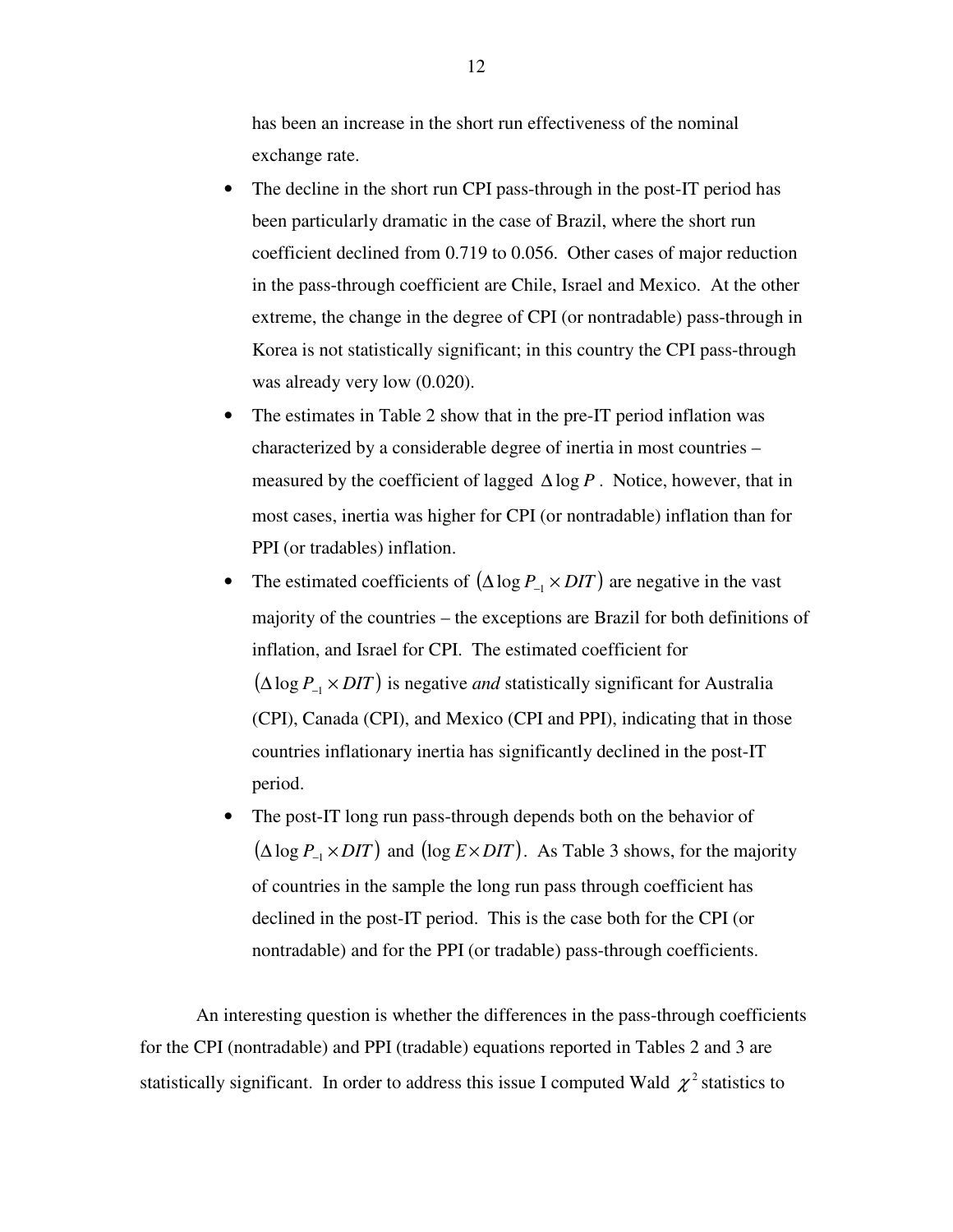has been an increase in the short run effectiveness of the nominal exchange rate.

- The decline in the short run CPI pass-through in the post-IT period has been particularly dramatic in the case of Brazil, where the short run coefficient declined from 0.719 to 0.056. Other cases of major reduction in the pass-through coefficient are Chile, Israel and Mexico. At the other extreme, the change in the degree of CPI (or nontradable) pass-through in Korea is not statistically significant; in this country the CPI pass-through was already very low  $(0.020)$ .
- The estimates in Table 2 show that in the pre-IT period inflation was characterized by a considerable degree of inertia in most countries – measured by the coefficient of lagged  $\triangle \log P$ . Notice, however, that in most cases, inertia was higher for CPI (or nontradable) inflation than for PPI (or tradables) inflation.
- The estimated coefficients of  $(\Delta \log P_{-1} \times DIT)$  are negative in the vast majority of the countries – the exceptions are Brazil for both definitions of inflation, and Israel for CPI. The estimated coefficient for  $(\Delta \log P_{-1} \times DIT)$  is negative *and* statistically significant for Australia (CPI), Canada (CPI), and Mexico (CPI and PPI), indicating that in those countries inflationary inertia has significantly declined in the post-IT period.
- The post-IT long run pass-through depends both on the behavior of  $(\Delta \log P_{-1} \times DIT)$  and  $(\log E \times DIT)$ . As Table 3 shows, for the majority of countries in the sample the long run pass through coefficient has declined in the post-IT period. This is the case both for the CPI (or nontradable) and for the PPI (or tradable) pass-through coefficients.

An interesting question is whether the differences in the pass-through coefficients for the CPI (nontradable) and PPI (tradable) equations reported in Tables 2 and 3 are statistically significant. In order to address this issue I computed Wald  $\chi^2$  statistics to

12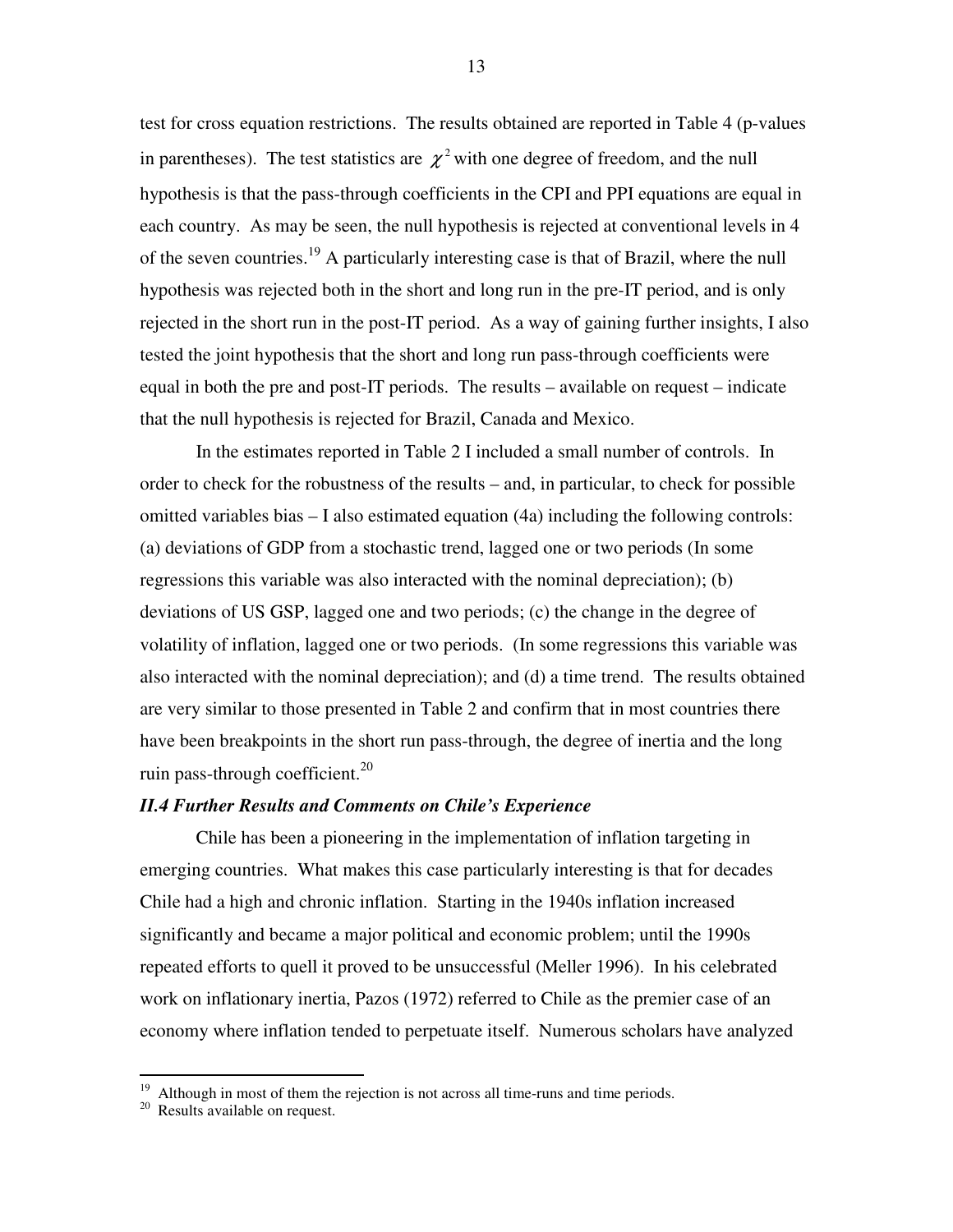test for cross equation restrictions. The results obtained are reported in Table 4 (p-values in parentheses). The test statistics are  $\chi^2$  with one degree of freedom, and the null hypothesis is that the pass-through coefficients in the CPI and PPI equations are equal in each country. As may be seen, the null hypothesis is rejected at conventional levels in 4 of the seven countries.<sup>19</sup> A particularly interesting case is that of Brazil, where the null hypothesis was rejected both in the short and long run in the pre-IT period, and is only rejected in the short run in the post-IT period. As a way of gaining further insights, I also tested the joint hypothesis that the short and long run pass-through coefficients were equal in both the pre and post-IT periods. The results – available on request – indicate that the null hypothesis is rejected for Brazil, Canada and Mexico.

In the estimates reported in Table 2 I included a small number of controls. In order to check for the robustness of the results – and, in particular, to check for possible omitted variables bias – I also estimated equation (4a) including the following controls: (a) deviations of GDP from a stochastic trend, lagged one or two periods (In some regressions this variable was also interacted with the nominal depreciation); (b) deviations of US GSP, lagged one and two periods; (c) the change in the degree of volatility of inflation, lagged one or two periods. (In some regressions this variable was also interacted with the nominal depreciation); and (d) a time trend. The results obtained are very similar to those presented in Table 2 and confirm that in most countries there have been breakpoints in the short run pass-through, the degree of inertia and the long ruin pass-through coefficient.<sup>20</sup>

#### *II.4 Further Results and Comments on Chile's Experience*

Chile has been a pioneering in the implementation of inflation targeting in emerging countries. What makes this case particularly interesting is that for decades Chile had a high and chronic inflation. Starting in the 1940s inflation increased significantly and became a major political and economic problem; until the 1990s repeated efforts to quell it proved to be unsuccessful (Meller 1996). In his celebrated work on inflationary inertia, Pazos (1972) referred to Chile as the premier case of an economy where inflation tended to perpetuate itself. Numerous scholars have analyzed

<sup>&</sup>lt;sup>19</sup> Although in most of them the rejection is not across all time-runs and time periods.

<sup>&</sup>lt;sup>20</sup> Results available on request.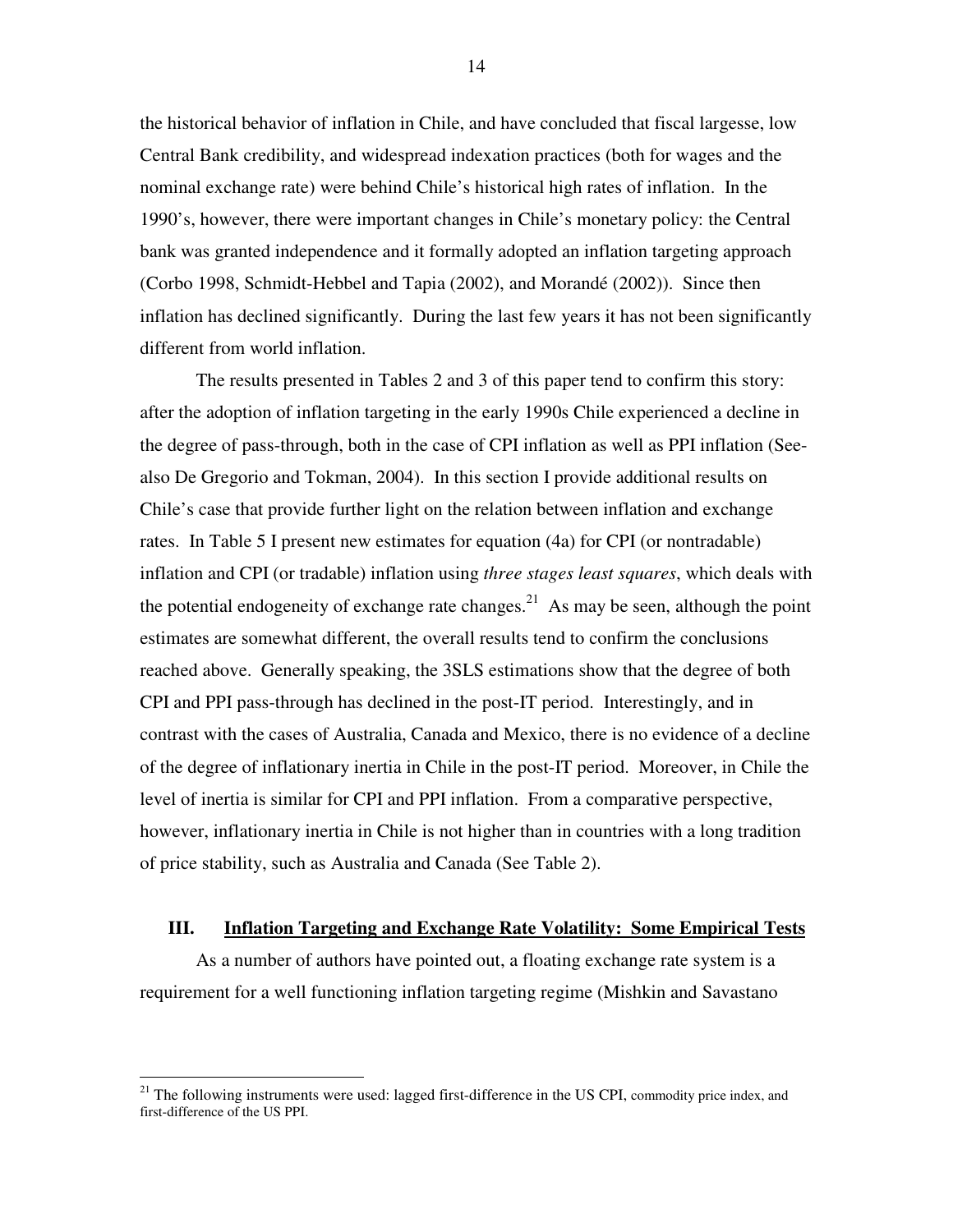the historical behavior of inflation in Chile, and have concluded that fiscal largesse, low Central Bank credibility, and widespread indexation practices (both for wages and the nominal exchange rate) were behind Chile's historical high rates of inflation. In the 1990's, however, there were important changes in Chile's monetary policy: the Central bank was granted independence and it formally adopted an inflation targeting approach (Corbo 1998, Schmidt-Hebbel and Tapia (2002), and Morandé (2002)). Since then inflation has declined significantly. During the last few years it has not been significantly different from world inflation.

The results presented in Tables 2 and 3 of this paper tend to confirm this story: after the adoption of inflation targeting in the early 1990s Chile experienced a decline in the degree of pass-through, both in the case of CPI inflation as well as PPI inflation (Seealso De Gregorio and Tokman, 2004). In this section I provide additional results on Chile's case that provide further light on the relation between inflation and exchange rates. In Table 5 I present new estimates for equation (4a) for CPI (or nontradable) inflation and CPI (or tradable) inflation using *three stages least squares*, which deals with the potential endogeneity of exchange rate changes.<sup>21</sup> As may be seen, although the point estimates are somewhat different, the overall results tend to confirm the conclusions reached above. Generally speaking, the 3SLS estimations show that the degree of both CPI and PPI pass-through has declined in the post-IT period. Interestingly, and in contrast with the cases of Australia, Canada and Mexico, there is no evidence of a decline of the degree of inflationary inertia in Chile in the post-IT period. Moreover, in Chile the level of inertia is similar for CPI and PPI inflation. From a comparative perspective, however, inflationary inertia in Chile is not higher than in countries with a long tradition of price stability, such as Australia and Canada (See Table 2).

#### **III. Inflation Targeting and Exchange Rate Volatility: Some Empirical Tests**

As a number of authors have pointed out, a floating exchange rate system is a requirement for a well functioning inflation targeting regime (Mishkin and Savastano

<sup>&</sup>lt;sup>21</sup> The following instruments were used: lagged first-difference in the US CPI, commodity price index, and first-difference of the US PPI.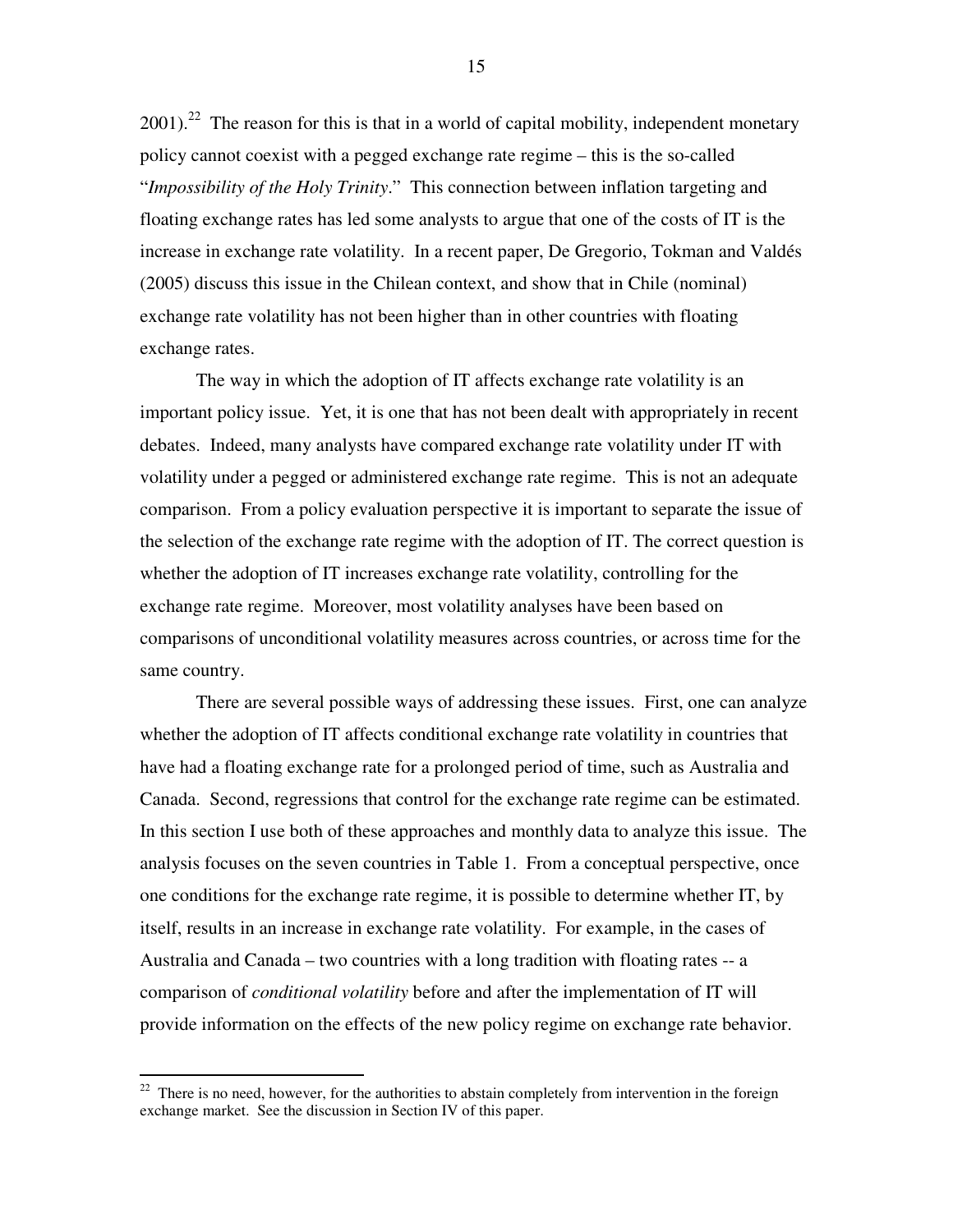$2001$ ).<sup>22</sup> The reason for this is that in a world of capital mobility, independent monetary policy cannot coexist with a pegged exchange rate regime – this is the so-called "*Impossibility of the Holy Trinity*." This connection between inflation targeting and floating exchange rates has led some analysts to argue that one of the costs of IT is the increase in exchange rate volatility. In a recent paper, De Gregorio, Tokman and Valdés (2005) discuss this issue in the Chilean context, and show that in Chile (nominal) exchange rate volatility has not been higher than in other countries with floating exchange rates.

The way in which the adoption of IT affects exchange rate volatility is an important policy issue. Yet, it is one that has not been dealt with appropriately in recent debates. Indeed, many analysts have compared exchange rate volatility under IT with volatility under a pegged or administered exchange rate regime. This is not an adequate comparison. From a policy evaluation perspective it is important to separate the issue of the selection of the exchange rate regime with the adoption of IT. The correct question is whether the adoption of IT increases exchange rate volatility, controlling for the exchange rate regime. Moreover, most volatility analyses have been based on comparisons of unconditional volatility measures across countries, or across time for the same country.

There are several possible ways of addressing these issues. First, one can analyze whether the adoption of IT affects conditional exchange rate volatility in countries that have had a floating exchange rate for a prolonged period of time, such as Australia and Canada. Second, regressions that control for the exchange rate regime can be estimated. In this section I use both of these approaches and monthly data to analyze this issue. The analysis focuses on the seven countries in Table 1. From a conceptual perspective, once one conditions for the exchange rate regime, it is possible to determine whether IT, by itself, results in an increase in exchange rate volatility. For example, in the cases of Australia and Canada – two countries with a long tradition with floating rates -- a comparison of *conditional volatility* before and after the implementation of IT will provide information on the effects of the new policy regime on exchange rate behavior.

 $22$  There is no need, however, for the authorities to abstain completely from intervention in the foreign exchange market. See the discussion in Section IV of this paper.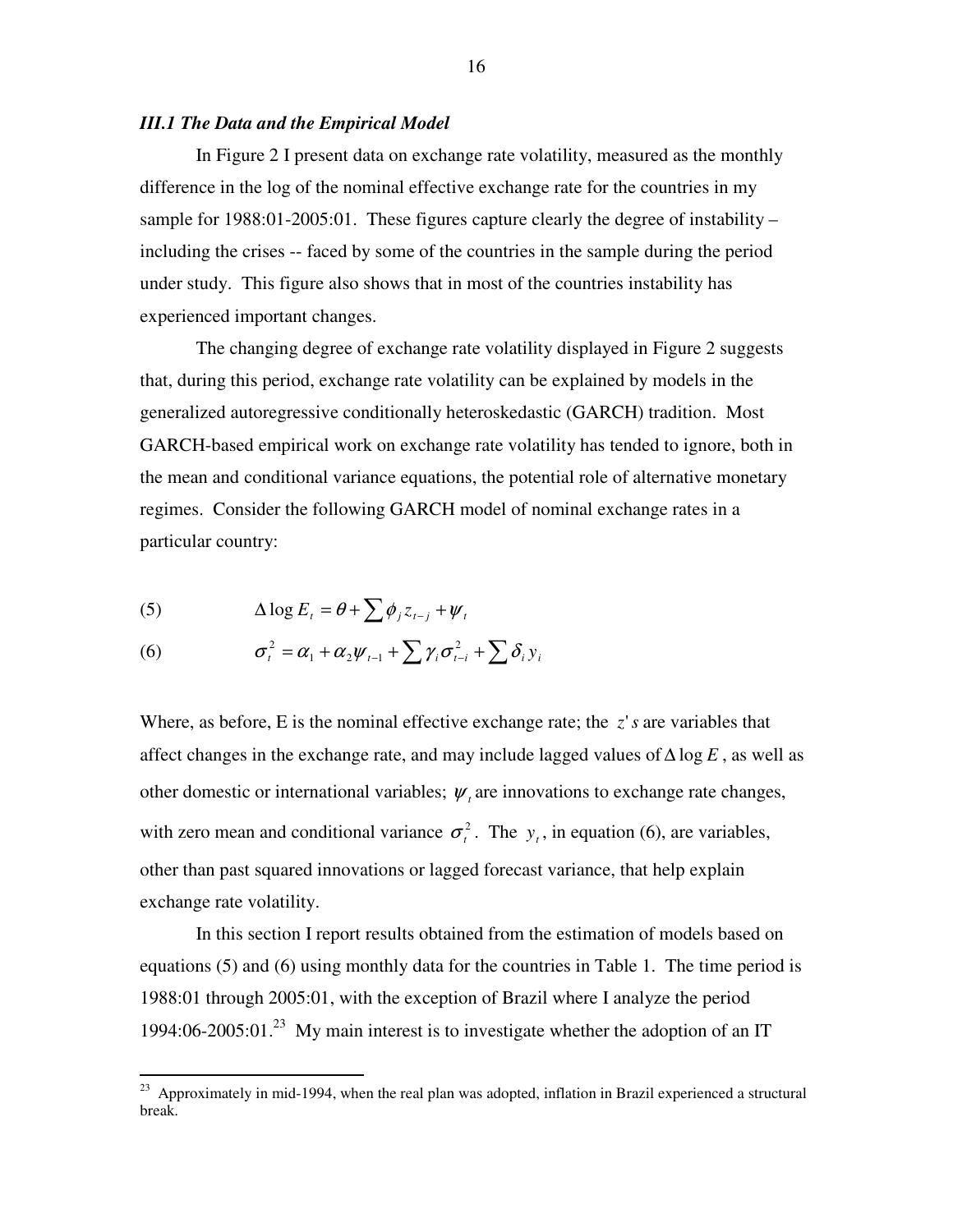### *III.1 The Data and the Empirical Model*

In Figure 2 I present data on exchange rate volatility, measured as the monthly difference in the log of the nominal effective exchange rate for the countries in my sample for 1988:01-2005:01. These figures capture clearly the degree of instability – including the crises -- faced by some of the countries in the sample during the period under study. This figure also shows that in most of the countries instability has experienced important changes.

The changing degree of exchange rate volatility displayed in Figure 2 suggests that, during this period, exchange rate volatility can be explained by models in the generalized autoregressive conditionally heteroskedastic (GARCH) tradition. Most GARCH-based empirical work on exchange rate volatility has tended to ignore, both in the mean and conditional variance equations, the potential role of alternative monetary regimes. Consider the following GARCH model of nominal exchange rates in a particular country:

(5) 
$$
\Delta \log E_t = \theta + \sum \phi_j z_{t-j} + \psi_t
$$

(6) 
$$
\sigma_i^2 = \alpha_1 + \alpha_2 \psi_{i-1} + \sum \gamma_i \sigma_{i-i}^2 + \sum \delta_i y_i
$$

Where, as before, E is the nominal effective exchange rate; the *z*'*s* are variables that affect changes in the exchange rate, and may include lagged values of ∆ log *E* , as well as other domestic or international variables;  $\psi$ <sub>*t*</sub> are innovations to exchange rate changes, with zero mean and conditional variance  $\sigma_t^2$ . The  $y_t$ , in equation (6), are variables, other than past squared innovations or lagged forecast variance, that help explain exchange rate volatility.

In this section I report results obtained from the estimation of models based on equations (5) and (6) using monthly data for the countries in Table 1. The time period is 1988:01 through 2005:01, with the exception of Brazil where I analyze the period 1994:06-2005:01.<sup>23</sup> My main interest is to investigate whether the adoption of an IT

 $^{23}$  Approximately in mid-1994, when the real plan was adopted, inflation in Brazil experienced a structural break.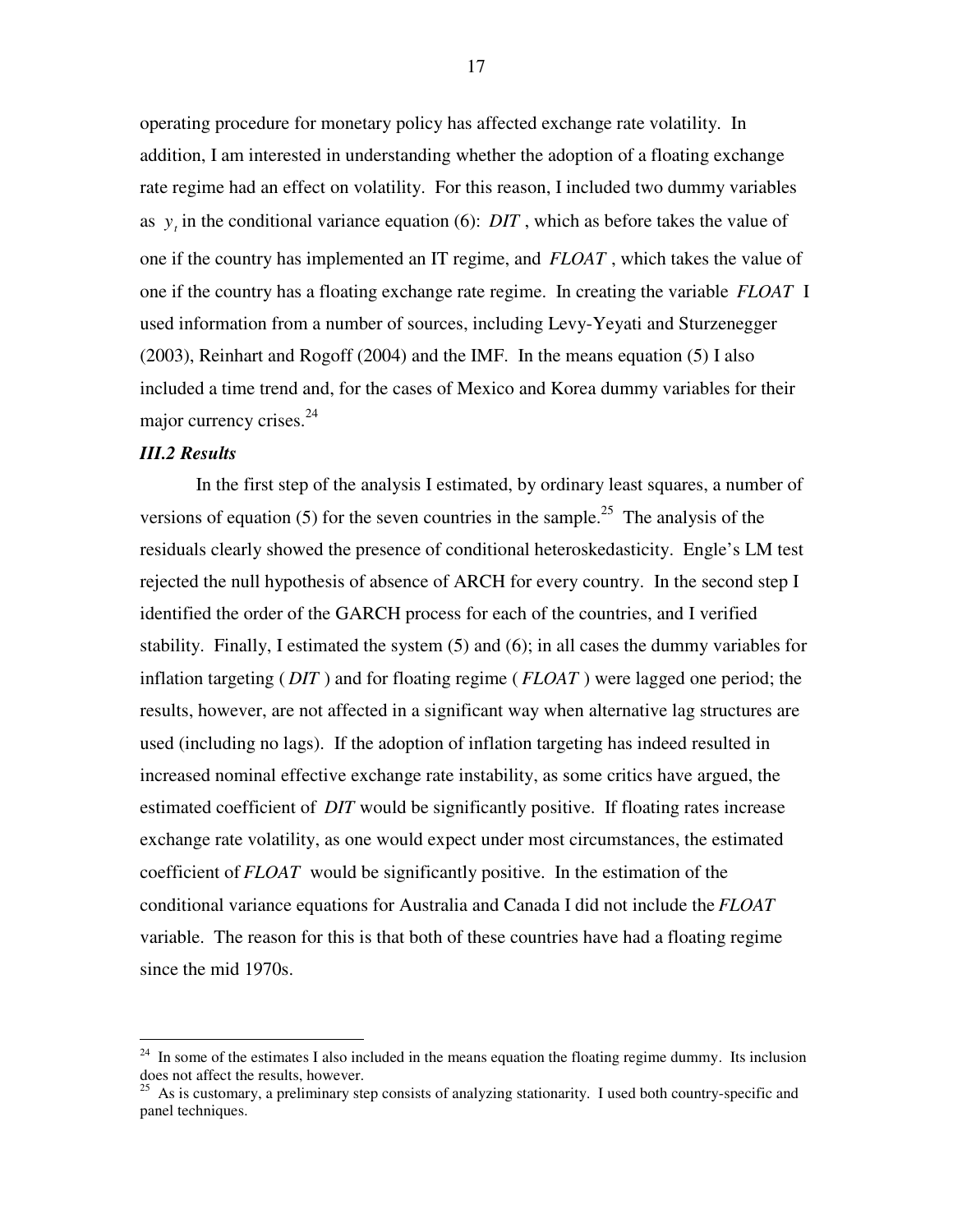operating procedure for monetary policy has affected exchange rate volatility. In addition, I am interested in understanding whether the adoption of a floating exchange rate regime had an effect on volatility. For this reason, I included two dummy variables as  $y_t$  in the conditional variance equation (6): *DIT*, which as before takes the value of one if the country has implemented an IT regime, and *FLOAT* , which takes the value of one if the country has a floating exchange rate regime. In creating the variable *FLOAT* I used information from a number of sources, including Levy-Yeyati and Sturzenegger (2003), Reinhart and Rogoff (2004) and the IMF. In the means equation (5) I also included a time trend and, for the cases of Mexico and Korea dummy variables for their major currency crises.<sup>24</sup>

## *III.2 Results*

In the first step of the analysis I estimated, by ordinary least squares, a number of versions of equation (5) for the seven countries in the sample.<sup>25</sup> The analysis of the residuals clearly showed the presence of conditional heteroskedasticity. Engle's LM test rejected the null hypothesis of absence of ARCH for every country. In the second step I identified the order of the GARCH process for each of the countries, and I verified stability. Finally, I estimated the system (5) and (6); in all cases the dummy variables for inflation targeting ( *DIT* ) and for floating regime ( *FLOAT* ) were lagged one period; the results, however, are not affected in a significant way when alternative lag structures are used (including no lags). If the adoption of inflation targeting has indeed resulted in increased nominal effective exchange rate instability, as some critics have argued, the estimated coefficient of *DIT* would be significantly positive. If floating rates increase exchange rate volatility, as one would expect under most circumstances, the estimated coefficient of *FLOAT* would be significantly positive. In the estimation of the conditional variance equations for Australia and Canada I did not include the *FLOAT* variable. The reason for this is that both of these countries have had a floating regime since the mid 1970s.

<sup>&</sup>lt;sup>24</sup> In some of the estimates I also included in the means equation the floating regime dummy. Its inclusion does not affect the results, however.

 $25$  As is customary, a preliminary step consists of analyzing stationarity. I used both country-specific and panel techniques.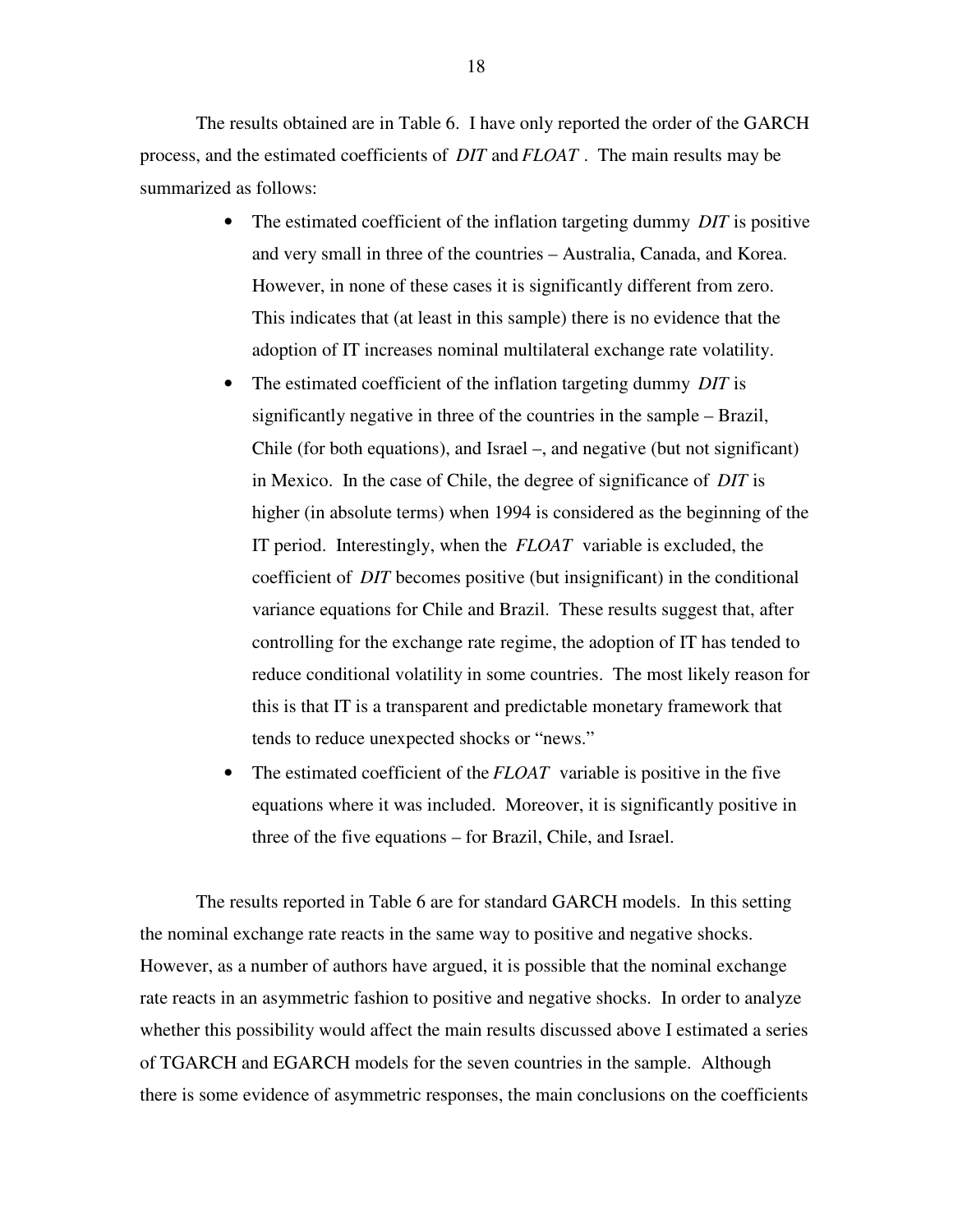The results obtained are in Table 6. I have only reported the order of the GARCH process, and the estimated coefficients of *DIT* and *FLOAT* . The main results may be summarized as follows:

- The estimated coefficient of the inflation targeting dummy *DIT* is positive and very small in three of the countries – Australia, Canada, and Korea. However, in none of these cases it is significantly different from zero. This indicates that (at least in this sample) there is no evidence that the adoption of IT increases nominal multilateral exchange rate volatility.
- The estimated coefficient of the inflation targeting dummy *DIT* is significantly negative in three of the countries in the sample – Brazil, Chile (for both equations), and Israel –, and negative (but not significant) in Mexico. In the case of Chile, the degree of significance of *DIT* is higher (in absolute terms) when 1994 is considered as the beginning of the IT period. Interestingly, when the *FLOAT* variable is excluded, the coefficient of *DIT* becomes positive (but insignificant) in the conditional variance equations for Chile and Brazil. These results suggest that, after controlling for the exchange rate regime, the adoption of IT has tended to reduce conditional volatility in some countries. The most likely reason for this is that IT is a transparent and predictable monetary framework that tends to reduce unexpected shocks or "news."
- The estimated coefficient of the *FLOAT* variable is positive in the five equations where it was included. Moreover, it is significantly positive in three of the five equations – for Brazil, Chile, and Israel.

The results reported in Table 6 are for standard GARCH models. In this setting the nominal exchange rate reacts in the same way to positive and negative shocks. However, as a number of authors have argued, it is possible that the nominal exchange rate reacts in an asymmetric fashion to positive and negative shocks. In order to analyze whether this possibility would affect the main results discussed above I estimated a series of TGARCH and EGARCH models for the seven countries in the sample. Although there is some evidence of asymmetric responses, the main conclusions on the coefficients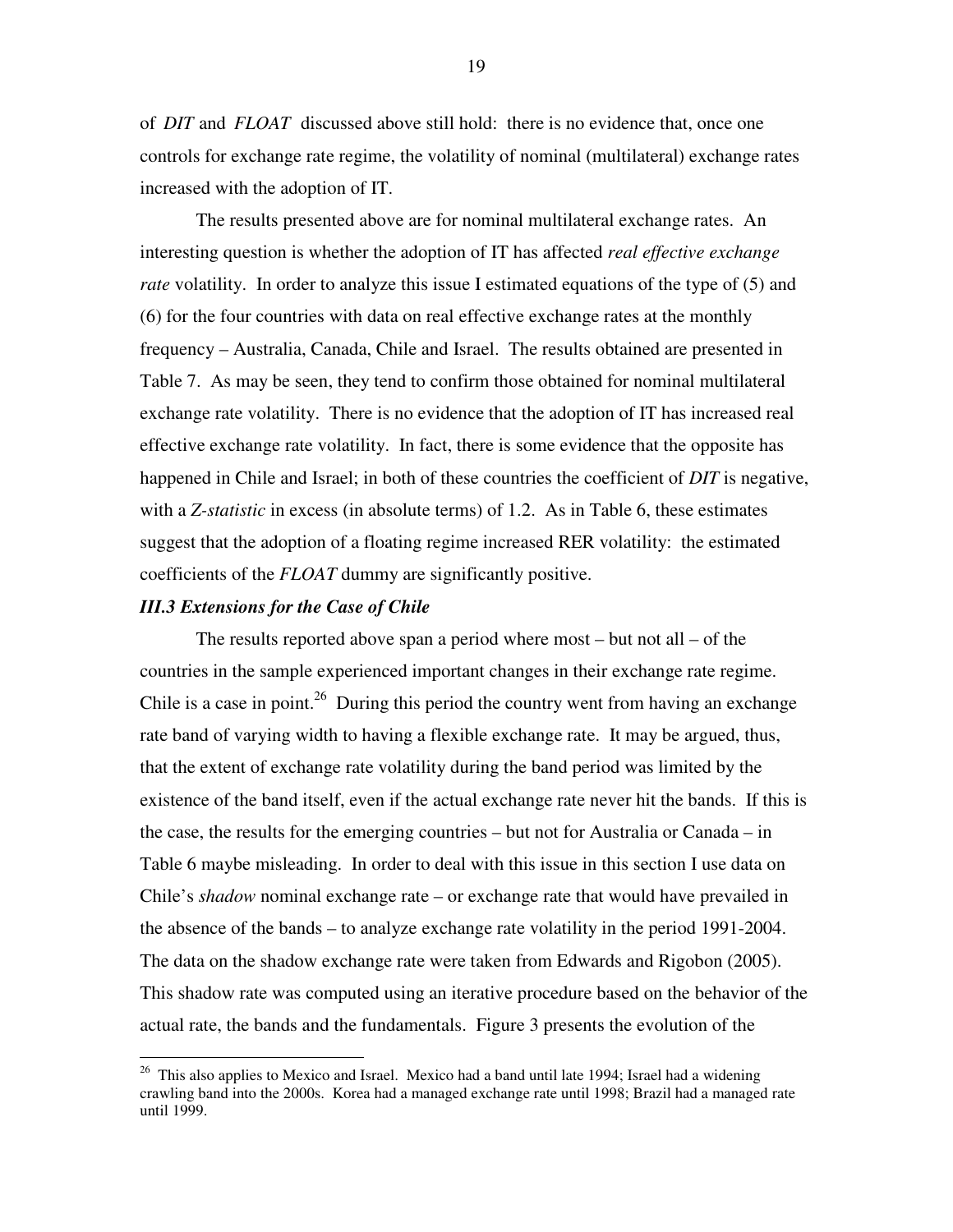of *DIT* and *FLOAT* discussed above still hold: there is no evidence that, once one controls for exchange rate regime, the volatility of nominal (multilateral) exchange rates increased with the adoption of IT.

The results presented above are for nominal multilateral exchange rates. An interesting question is whether the adoption of IT has affected *real effective exchange rate* volatility. In order to analyze this issue I estimated equations of the type of (5) and (6) for the four countries with data on real effective exchange rates at the monthly frequency – Australia, Canada, Chile and Israel. The results obtained are presented in Table 7. As may be seen, they tend to confirm those obtained for nominal multilateral exchange rate volatility. There is no evidence that the adoption of IT has increased real effective exchange rate volatility. In fact, there is some evidence that the opposite has happened in Chile and Israel; in both of these countries the coefficient of *DIT* is negative, with a *Z-statistic* in excess (in absolute terms) of 1.2. As in Table 6, these estimates suggest that the adoption of a floating regime increased RER volatility: the estimated coefficients of the *FLOAT* dummy are significantly positive.

#### *III.3 Extensions for the Case of Chile*

The results reported above span a period where most – but not all – of the countries in the sample experienced important changes in their exchange rate regime. Chile is a case in point.<sup>26</sup> During this period the country went from having an exchange rate band of varying width to having a flexible exchange rate. It may be argued, thus, that the extent of exchange rate volatility during the band period was limited by the existence of the band itself, even if the actual exchange rate never hit the bands. If this is the case, the results for the emerging countries – but not for Australia or Canada – in Table 6 maybe misleading. In order to deal with this issue in this section I use data on Chile's *shadow* nominal exchange rate – or exchange rate that would have prevailed in the absence of the bands – to analyze exchange rate volatility in the period 1991-2004. The data on the shadow exchange rate were taken from Edwards and Rigobon (2005). This shadow rate was computed using an iterative procedure based on the behavior of the actual rate, the bands and the fundamentals. Figure 3 presents the evolution of the

19

 $26$  This also applies to Mexico and Israel. Mexico had a band until late 1994; Israel had a widening crawling band into the 2000s. Korea had a managed exchange rate until 1998; Brazil had a managed rate until 1999.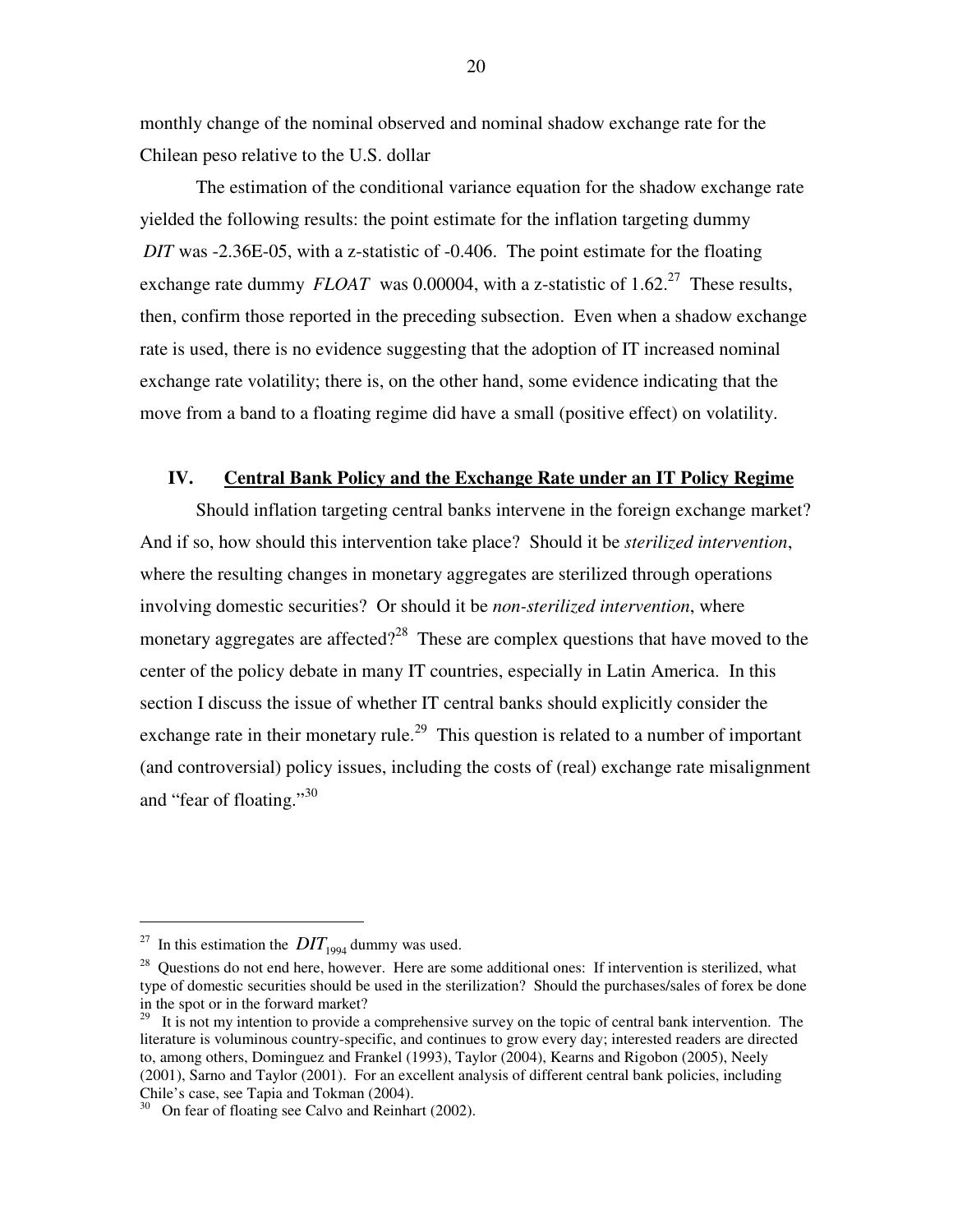monthly change of the nominal observed and nominal shadow exchange rate for the Chilean peso relative to the U.S. dollar

The estimation of the conditional variance equation for the shadow exchange rate yielded the following results: the point estimate for the inflation targeting dummy *DIT* was -2.36E-05, with a z-statistic of -0.406. The point estimate for the floating exchange rate dummy  $FLOAT$  was 0.00004, with a z-statistic of 1.62.<sup>27</sup> These results, then, confirm those reported in the preceding subsection. Even when a shadow exchange rate is used, there is no evidence suggesting that the adoption of IT increased nominal exchange rate volatility; there is, on the other hand, some evidence indicating that the move from a band to a floating regime did have a small (positive effect) on volatility.

#### **IV. Central Bank Policy and the Exchange Rate under an IT Policy Regime**

Should inflation targeting central banks intervene in the foreign exchange market? And if so, how should this intervention take place? Should it be *sterilized intervention*, where the resulting changes in monetary aggregates are sterilized through operations involving domestic securities? Or should it be *non-sterilized intervention*, where monetary aggregates are affected? $28$  These are complex questions that have moved to the center of the policy debate in many IT countries, especially in Latin America. In this section I discuss the issue of whether IT central banks should explicitly consider the exchange rate in their monetary rule.<sup>29</sup> This question is related to a number of important (and controversial) policy issues, including the costs of (real) exchange rate misalignment and "fear of floating." 30

<sup>&</sup>lt;sup>27</sup> In this estimation the  $DIT_{1994}$  dummy was used.

 $28$  Questions do not end here, however. Here are some additional ones: If intervention is sterilized, what type of domestic securities should be used in the sterilization? Should the purchases/sales of forex be done in the spot or in the forward market?

<sup>29</sup> It is not my intention to provide a comprehensive survey on the topic of central bank intervention. The literature is voluminous country-specific, and continues to grow every day; interested readers are directed to, among others, Dominguez and Frankel (1993), Taylor (2004), Kearns and Rigobon (2005), Neely (2001), Sarno and Taylor (2001). For an excellent analysis of different central bank policies, including Chile's case, see Tapia and Tokman (2004).

 $30$  On fear of floating see Calvo and Reinhart (2002).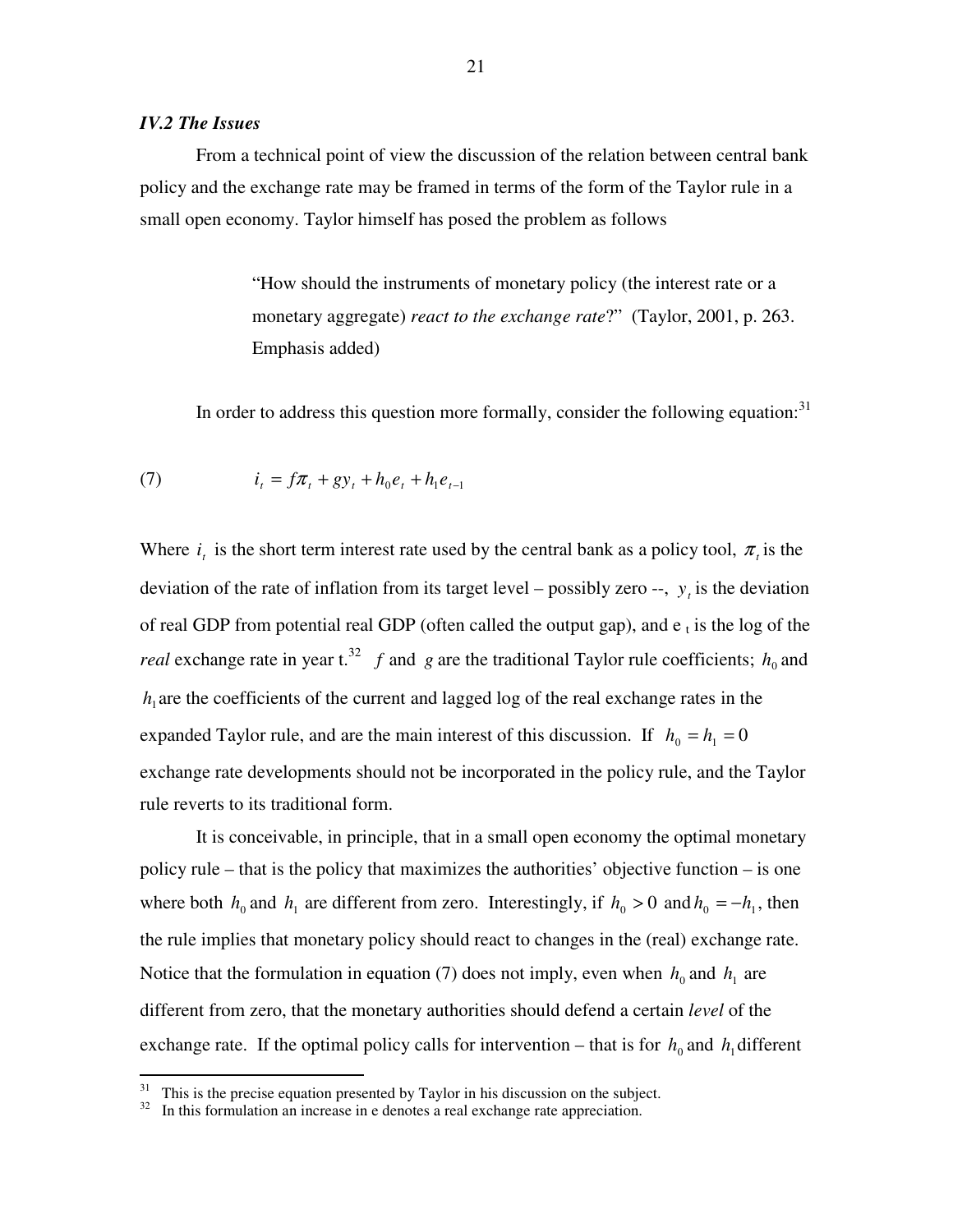### *IV.2 The Issues*

From a technical point of view the discussion of the relation between central bank policy and the exchange rate may be framed in terms of the form of the Taylor rule in a small open economy. Taylor himself has posed the problem as follows

> "How should the instruments of monetary policy (the interest rate or a monetary aggregate) *react to the exchange rate*?" (Taylor, 2001, p. 263. Emphasis added)

In order to address this question more formally, consider the following equation: $31$ 

(7) 
$$
i_t = f\pi_t + gy_t + h_0 e_t + h_1 e_{t-1}
$$

Where  $i_t$  is the short term interest rate used by the central bank as a policy tool,  $\pi_t$  is the deviation of the rate of inflation from its target level – possibly zero --,  $y_t$  is the deviation of real GDP from potential real GDP (often called the output gap), and  $e_t$  is the log of the *real* exchange rate in year t.<sup>32</sup> f and g are the traditional Taylor rule coefficients;  $h_0$  and  $h_1$  are the coefficients of the current and lagged log of the real exchange rates in the expanded Taylor rule, and are the main interest of this discussion. If  $h_0 = h_1 = 0$ exchange rate developments should not be incorporated in the policy rule, and the Taylor rule reverts to its traditional form.

It is conceivable, in principle, that in a small open economy the optimal monetary policy rule – that is the policy that maximizes the authorities' objective function – is one where both  $h_0$  and  $h_1$  are different from zero. Interestingly, if  $h_0 > 0$  and  $h_0 = -h_1$ , then the rule implies that monetary policy should react to changes in the (real) exchange rate. Notice that the formulation in equation (7) does not imply, even when  $h_0$  and  $h_1$  are different from zero, that the monetary authorities should defend a certain *level* of the exchange rate. If the optimal policy calls for intervention – that is for  $h_0$  and  $h_1$  different

 $31$  This is the precise equation presented by Taylor in his discussion on the subject.

<sup>32</sup> In this formulation an increase in e denotes a real exchange rate appreciation.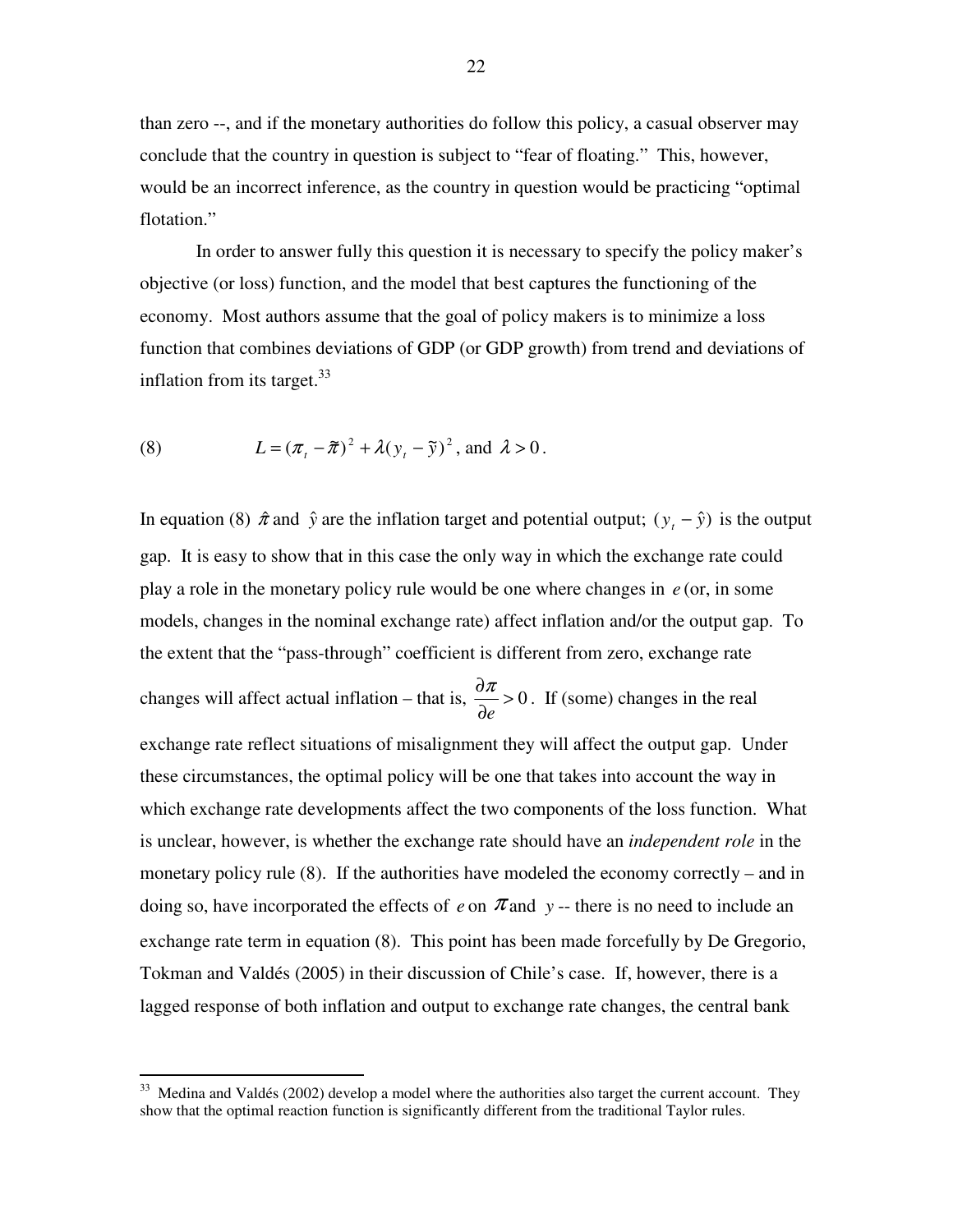than zero --, and if the monetary authorities do follow this policy, a casual observer may conclude that the country in question is subject to "fear of floating." This, however, would be an incorrect inference, as the country in question would be practicing "optimal flotation."

In order to answer fully this question it is necessary to specify the policy maker's objective (or loss) function, and the model that best captures the functioning of the economy. Most authors assume that the goal of policy makers is to minimize a loss function that combines deviations of GDP (or GDP growth) from trend and deviations of inflation from its target.<sup>33</sup>

(8) 
$$
L = (\pi_t - \tilde{\pi})^2 + \lambda (y_t - \tilde{y})^2, \text{ and } \lambda > 0.
$$

In equation (8)  $\hat{\pi}$  and  $\hat{y}$  are the inflation target and potential output;  $(y_t - \hat{y})$  is the output gap. It is easy to show that in this case the only way in which the exchange rate could play a role in the monetary policy rule would be one where changes in *e* (or, in some models, changes in the nominal exchange rate) affect inflation and/or the output gap. To the extent that the "pass-through" coefficient is different from zero, exchange rate changes will affect actual inflation – that is,  $\frac{\delta \mathcal{H}}{\delta} > 0$ ∂ ∂ *e*  $\frac{\pi}{2}$  > 0. If (some) changes in the real exchange rate reflect situations of misalignment they will affect the output gap. Under these circumstances, the optimal policy will be one that takes into account the way in which exchange rate developments affect the two components of the loss function. What is unclear, however, is whether the exchange rate should have an *independent role* in the monetary policy rule  $(8)$ . If the authorities have modeled the economy correctly – and in doing so, have incorporated the effects of  $e$  on  $\pi$  and  $y$ -there is no need to include an exchange rate term in equation (8). This point has been made forcefully by De Gregorio, Tokman and Valdés (2005) in their discussion of Chile's case. If, however, there is a lagged response of both inflation and output to exchange rate changes, the central bank

<sup>&</sup>lt;sup>33</sup> Medina and Valdés (2002) develop a model where the authorities also target the current account. They show that the optimal reaction function is significantly different from the traditional Taylor rules.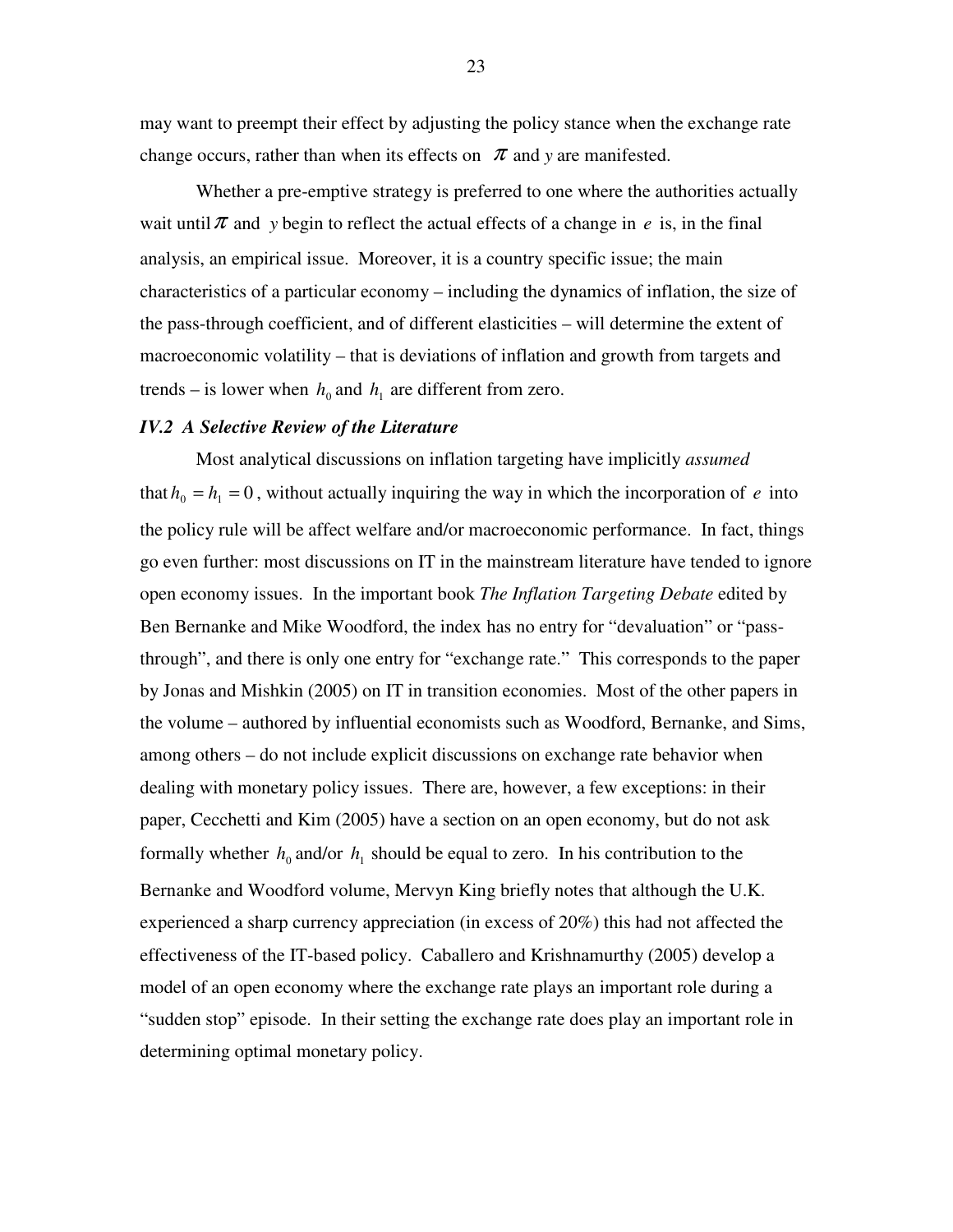may want to preempt their effect by adjusting the policy stance when the exchange rate change occurs, rather than when its effects on  $\pi$  and *y* are manifested.

Whether a pre-emptive strategy is preferred to one where the authorities actually wait until  $\pi$  and *y* begin to reflect the actual effects of a change in *e* is, in the final analysis, an empirical issue. Moreover, it is a country specific issue; the main characteristics of a particular economy – including the dynamics of inflation, the size of the pass-through coefficient, and of different elasticities – will determine the extent of macroeconomic volatility – that is deviations of inflation and growth from targets and trends – is lower when  $h_0$  and  $h_1$  are different from zero.

### *IV.2 A Selective Review of the Literature*

Most analytical discussions on inflation targeting have implicitly *assumed* that  $h_0 = h_1 = 0$ , without actually inquiring the way in which the incorporation of *e* into the policy rule will be affect welfare and/or macroeconomic performance. In fact, things go even further: most discussions on IT in the mainstream literature have tended to ignore open economy issues. In the important book *The Inflation Targeting Debate* edited by Ben Bernanke and Mike Woodford, the index has no entry for "devaluation" or "passthrough", and there is only one entry for "exchange rate." This corresponds to the paper by Jonas and Mishkin (2005) on IT in transition economies. Most of the other papers in the volume – authored by influential economists such as Woodford, Bernanke, and Sims, among others – do not include explicit discussions on exchange rate behavior when dealing with monetary policy issues. There are, however, a few exceptions: in their paper, Cecchetti and Kim (2005) have a section on an open economy, but do not ask formally whether  $h_0$  and/or  $h_1$  should be equal to zero. In his contribution to the Bernanke and Woodford volume, Mervyn King briefly notes that although the U.K. experienced a sharp currency appreciation (in excess of 20%) this had not affected the effectiveness of the IT-based policy. Caballero and Krishnamurthy (2005) develop a model of an open economy where the exchange rate plays an important role during a "sudden stop" episode. In their setting the exchange rate does play an important role in determining optimal monetary policy.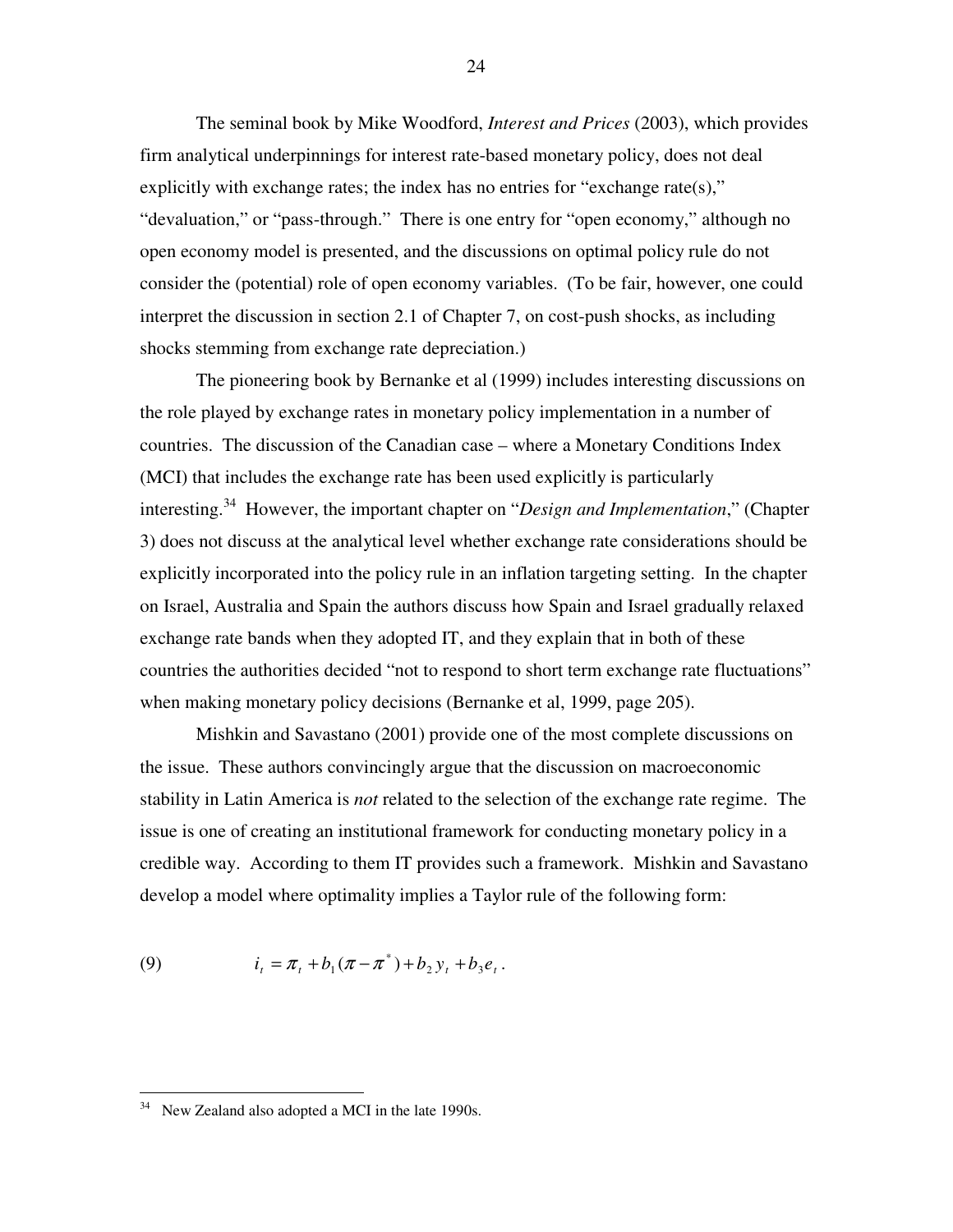The seminal book by Mike Woodford, *Interest and Prices* (2003), which provides firm analytical underpinnings for interest rate-based monetary policy, does not deal explicitly with exchange rates; the index has no entries for "exchange rate(s)," "devaluation," or "pass-through." There is one entry for "open economy," although no open economy model is presented, and the discussions on optimal policy rule do not consider the (potential) role of open economy variables. (To be fair, however, one could interpret the discussion in section 2.1 of Chapter 7, on cost-push shocks, as including shocks stemming from exchange rate depreciation.)

The pioneering book by Bernanke et al (1999) includes interesting discussions on the role played by exchange rates in monetary policy implementation in a number of countries. The discussion of the Canadian case – where a Monetary Conditions Index (MCI) that includes the exchange rate has been used explicitly is particularly interesting. <sup>34</sup> However, the important chapter on "*Design and Implementation*," (Chapter 3) does not discuss at the analytical level whether exchange rate considerations should be explicitly incorporated into the policy rule in an inflation targeting setting. In the chapter on Israel, Australia and Spain the authors discuss how Spain and Israel gradually relaxed exchange rate bands when they adopted IT, and they explain that in both of these countries the authorities decided "not to respond to short term exchange rate fluctuations" when making monetary policy decisions (Bernanke et al, 1999, page 205).

Mishkin and Savastano (2001) provide one of the most complete discussions on the issue. These authors convincingly argue that the discussion on macroeconomic stability in Latin America is *not* related to the selection of the exchange rate regime. The issue is one of creating an institutional framework for conducting monetary policy in a credible way. According to them IT provides such a framework. Mishkin and Savastano develop a model where optimality implies a Taylor rule of the following form:

(9) 
$$
i_t = \pi_t + b_1(\pi - \pi^*) + b_2 y_t + b_3 e_t.
$$

<sup>&</sup>lt;sup>34</sup> New Zealand also adopted a MCI in the late 1990s.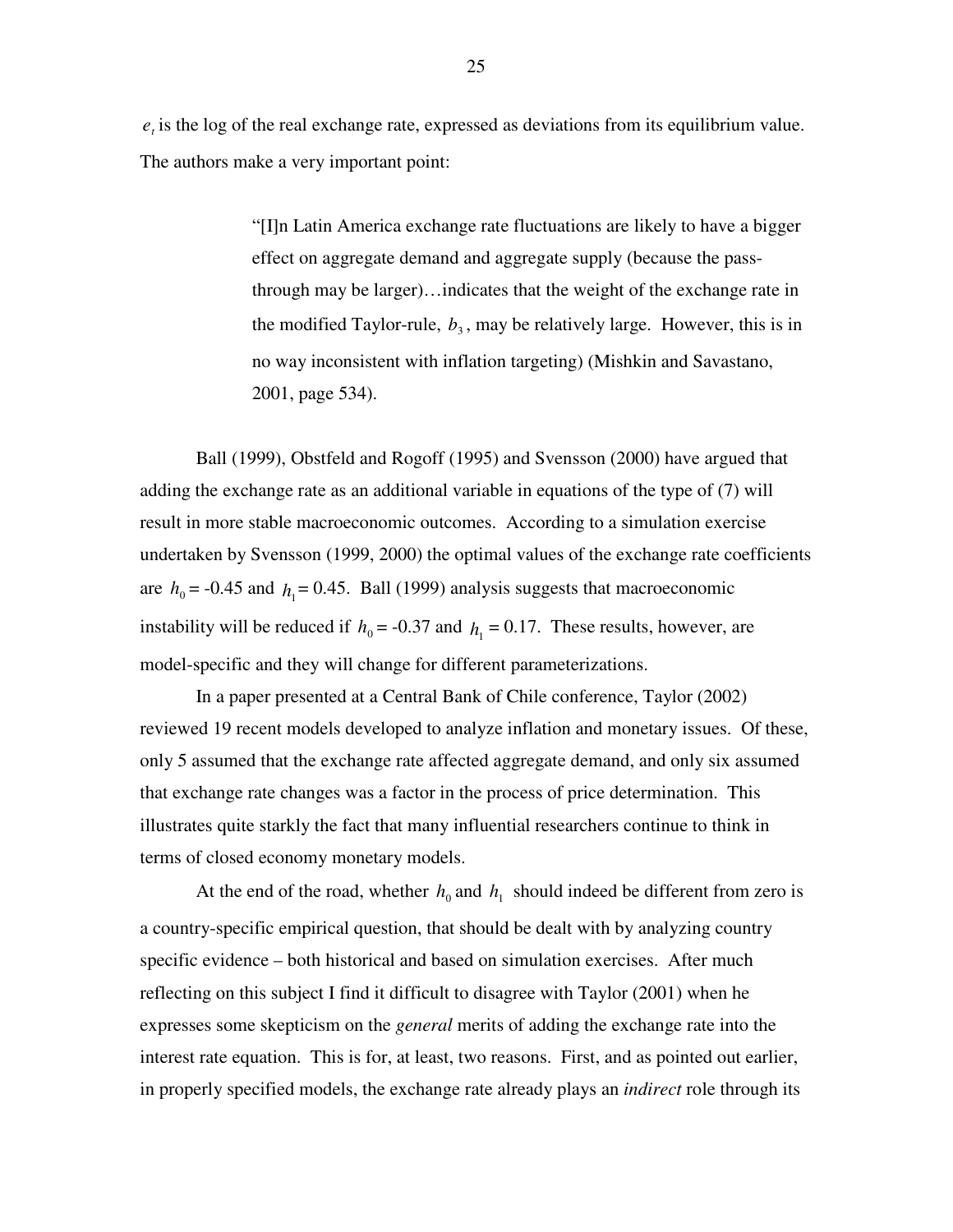$e_t$  is the log of the real exchange rate, expressed as deviations from its equilibrium value. The authors make a very important point:

> "[I]n Latin America exchange rate fluctuations are likely to have a bigger effect on aggregate demand and aggregate supply (because the passthrough may be larger)…indicates that the weight of the exchange rate in the modified Taylor-rule,  $b_3$ , may be relatively large. However, this is in no way inconsistent with inflation targeting) (Mishkin and Savastano, 2001, page 534).

Ball (1999), Obstfeld and Rogoff (1995) and Svensson (2000) have argued that adding the exchange rate as an additional variable in equations of the type of (7) will result in more stable macroeconomic outcomes. According to a simulation exercise undertaken by Svensson (1999, 2000) the optimal values of the exchange rate coefficients are  $h_0 = -0.45$  and  $h_1 = 0.45$ . Ball (1999) analysis suggests that macroeconomic instability will be reduced if  $h_0 = -0.37$  and  $h_1 = 0.17$ . These results, however, are model-specific and they will change for different parameterizations.

In a paper presented at a Central Bank of Chile conference, Taylor (2002) reviewed 19 recent models developed to analyze inflation and monetary issues. Of these, only 5 assumed that the exchange rate affected aggregate demand, and only six assumed that exchange rate changes was a factor in the process of price determination. This illustrates quite starkly the fact that many influential researchers continue to think in terms of closed economy monetary models.

At the end of the road, whether  $h_0$  and  $h_1$  should indeed be different from zero is a country-specific empirical question, that should be dealt with by analyzing country specific evidence – both historical and based on simulation exercises. After much reflecting on this subject I find it difficult to disagree with Taylor (2001) when he expresses some skepticism on the *general* merits of adding the exchange rate into the interest rate equation. This is for, at least, two reasons. First, and as pointed out earlier, in properly specified models, the exchange rate already plays an *indirect* role through its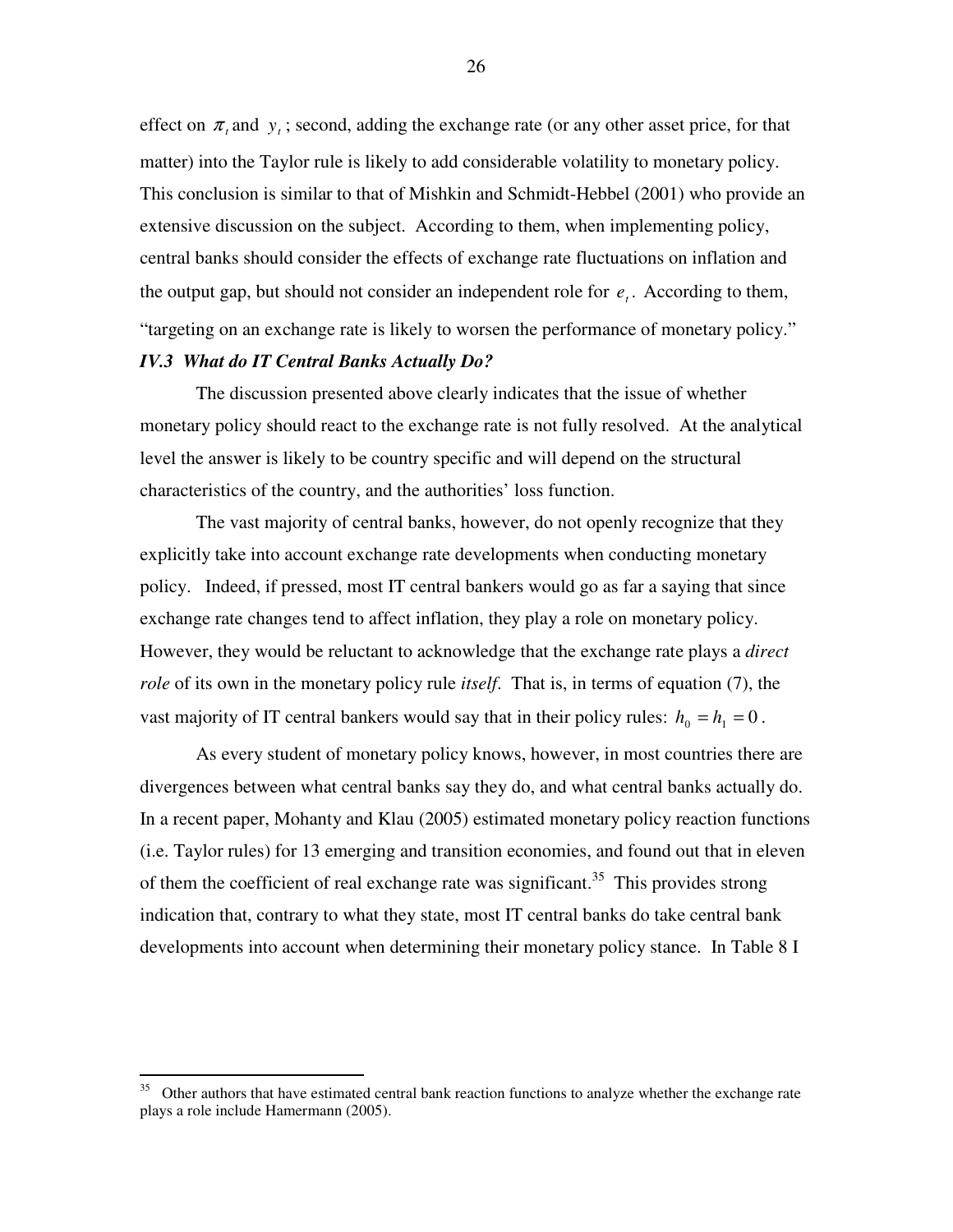effect on  $\pi$ , and  $y$ , ; second, adding the exchange rate (or any other asset price, for that matter) into the Taylor rule is likely to add considerable volatility to monetary policy. This conclusion is similar to that of Mishkin and Schmidt-Hebbel (2001) who provide an extensive discussion on the subject. According to them, when implementing policy, central banks should consider the effects of exchange rate fluctuations on inflation and the output gap, but should not consider an independent role for  $e_t$ . According to them, "targeting on an exchange rate is likely to worsen the performance of monetary policy."

# *IV.3 What do IT Central Banks Actually Do?*

The discussion presented above clearly indicates that the issue of whether monetary policy should react to the exchange rate is not fully resolved. At the analytical level the answer is likely to be country specific and will depend on the structural characteristics of the country, and the authorities' loss function.

The vast majority of central banks, however, do not openly recognize that they explicitly take into account exchange rate developments when conducting monetary policy. Indeed, if pressed, most IT central bankers would go as far a saying that since exchange rate changes tend to affect inflation, they play a role on monetary policy. However, they would be reluctant to acknowledge that the exchange rate plays a *direct role* of its own in the monetary policy rule *itself*. That is, in terms of equation (7), the vast majority of IT central bankers would say that in their policy rules:  $h_0 = h_1 = 0$ .

As every student of monetary policy knows, however, in most countries there are divergences between what central banks say they do, and what central banks actually do. In a recent paper, Mohanty and Klau (2005) estimated monetary policy reaction functions (i.e. Taylor rules) for 13 emerging and transition economies, and found out that in eleven of them the coefficient of real exchange rate was significant.<sup>35</sup> This provides strong indication that, contrary to what they state, most IT central banks do take central bank developments into account when determining their monetary policy stance. In Table 8 I

<sup>&</sup>lt;sup>35</sup> Other authors that have estimated central bank reaction functions to analyze whether the exchange rate plays a role include Hamermann (2005).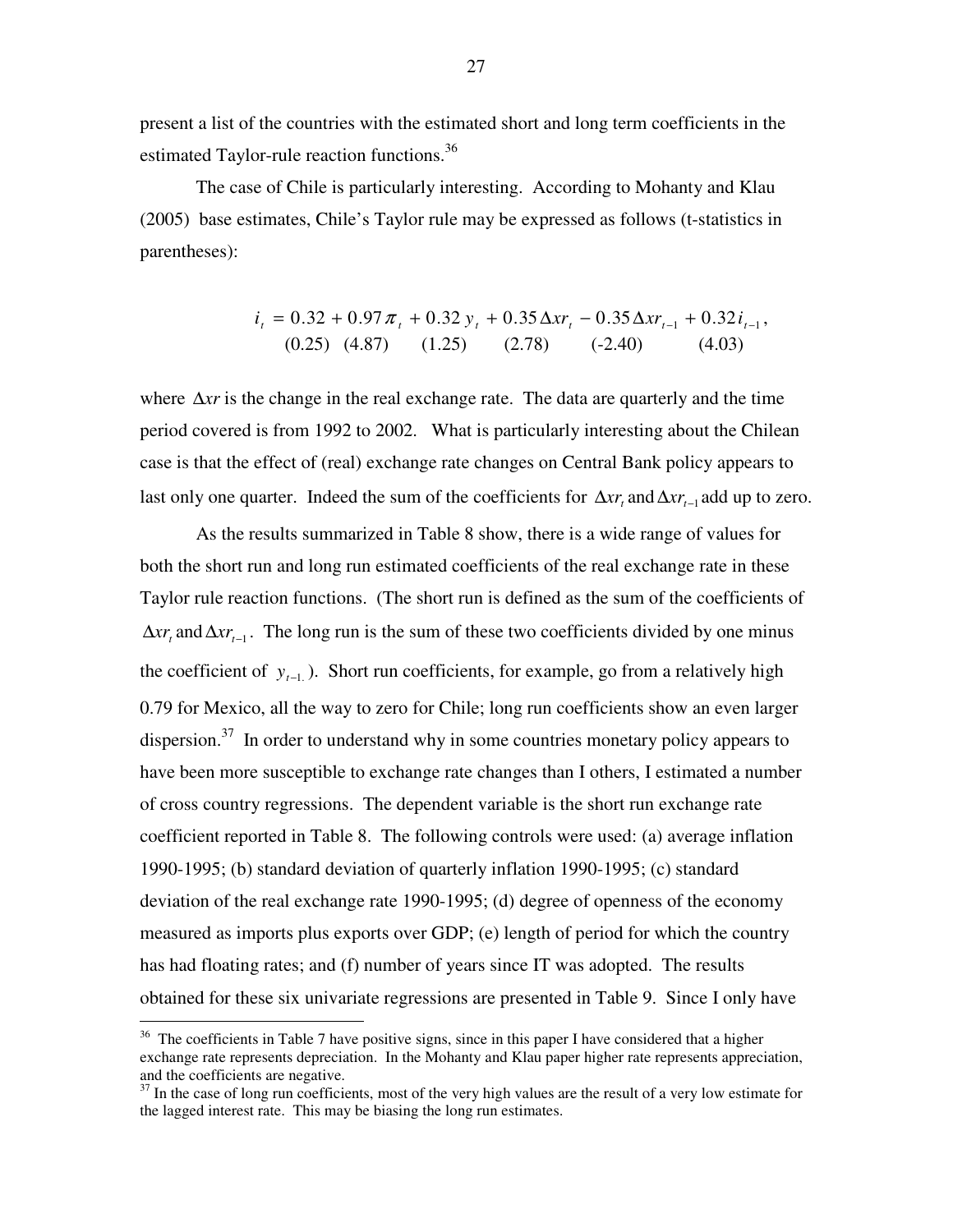present a list of the countries with the estimated short and long term coefficients in the estimated Taylor-rule reaction functions.<sup>36</sup>

The case of Chile is particularly interesting. According to Mohanty and Klau (2005) base estimates, Chile's Taylor rule may be expressed as follows (t-statistics in parentheses):

$$
i_{t} = 0.32 + 0.97 \pi_{t} + 0.32 y_{t} + 0.35 \Delta x r_{t} - 0.35 \Delta x r_{t-1} + 0.32 i_{t-1},
$$
  
(0.25) (4.87) (1.25) (2.78) (-2.40) (4.03)

where ∆*xr* is the change in the real exchange rate. The data are quarterly and the time period covered is from 1992 to 2002. What is particularly interesting about the Chilean case is that the effect of (real) exchange rate changes on Central Bank policy appears to last only one quarter. Indeed the sum of the coefficients for  $\Delta x r$ , and  $\Delta x r$ <sub> $t-1$ </sub> add up to zero.

As the results summarized in Table 8 show, there is a wide range of values for both the short run and long run estimated coefficients of the real exchange rate in these Taylor rule reaction functions. (The short run is defined as the sum of the coefficients of  $\Delta x r$ <sub>t</sub> and  $\Delta x r$ <sub>t−1</sub>. The long run is the sum of these two coefficients divided by one minus the coefficient of *y*<sub>*t*−1</sub>). Short run coefficients, for example, go from a relatively high 0.79 for Mexico, all the way to zero for Chile; long run coefficients show an even larger dispersion.<sup>37</sup> In order to understand why in some countries monetary policy appears to have been more susceptible to exchange rate changes than I others, I estimated a number of cross country regressions. The dependent variable is the short run exchange rate coefficient reported in Table 8. The following controls were used: (a) average inflation 1990-1995; (b) standard deviation of quarterly inflation 1990-1995; (c) standard deviation of the real exchange rate 1990-1995; (d) degree of openness of the economy measured as imports plus exports over GDP; (e) length of period for which the country has had floating rates; and (f) number of years since IT was adopted. The results obtained for these six univariate regressions are presented in Table 9. Since I only have

<sup>&</sup>lt;sup>36</sup> The coefficients in Table 7 have positive signs, since in this paper I have considered that a higher exchange rate represents depreciation. In the Mohanty and Klau paper higher rate represents appreciation, and the coefficients are negative.<br><sup>37</sup> In the case of long run coefficients, most of the very high values are the result of a very low estimate for

the lagged interest rate. This may be biasing the long run estimates.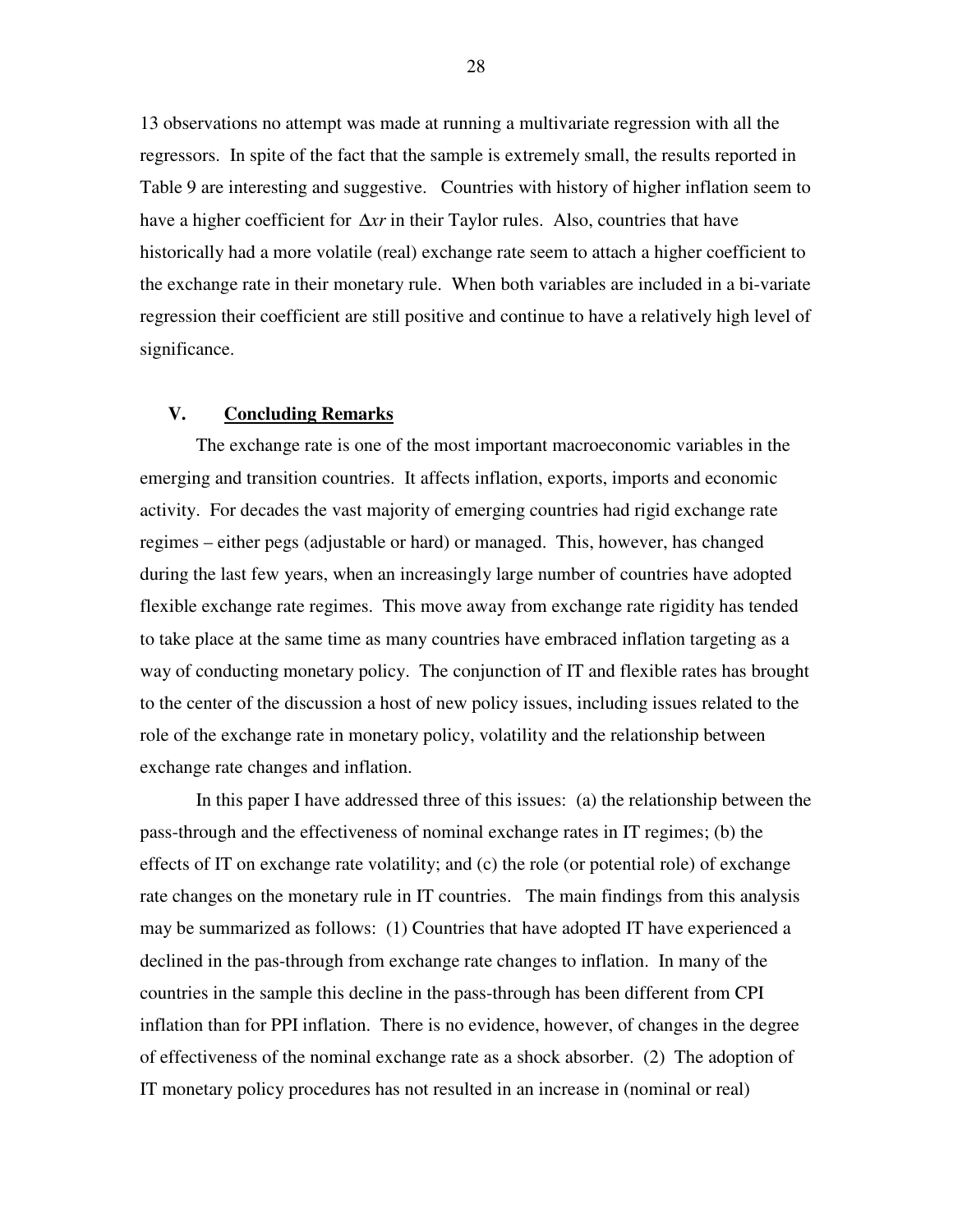13 observations no attempt was made at running a multivariate regression with all the regressors. In spite of the fact that the sample is extremely small, the results reported in Table 9 are interesting and suggestive. Countries with history of higher inflation seem to have a higher coefficient for ∆*xr* in their Taylor rules. Also, countries that have historically had a more volatile (real) exchange rate seem to attach a higher coefficient to the exchange rate in their monetary rule. When both variables are included in a bi-variate regression their coefficient are still positive and continue to have a relatively high level of significance.

## **V. Concluding Remarks**

The exchange rate is one of the most important macroeconomic variables in the emerging and transition countries. It affects inflation, exports, imports and economic activity. For decades the vast majority of emerging countries had rigid exchange rate regimes – either pegs (adjustable or hard) or managed. This, however, has changed during the last few years, when an increasingly large number of countries have adopted flexible exchange rate regimes. This move away from exchange rate rigidity has tended to take place at the same time as many countries have embraced inflation targeting as a way of conducting monetary policy. The conjunction of IT and flexible rates has brought to the center of the discussion a host of new policy issues, including issues related to the role of the exchange rate in monetary policy, volatility and the relationship between exchange rate changes and inflation.

In this paper I have addressed three of this issues: (a) the relationship between the pass-through and the effectiveness of nominal exchange rates in IT regimes; (b) the effects of IT on exchange rate volatility; and (c) the role (or potential role) of exchange rate changes on the monetary rule in IT countries. The main findings from this analysis may be summarized as follows: (1) Countries that have adopted IT have experienced a declined in the pas-through from exchange rate changes to inflation. In many of the countries in the sample this decline in the pass-through has been different from CPI inflation than for PPI inflation. There is no evidence, however, of changes in the degree of effectiveness of the nominal exchange rate as a shock absorber. (2) The adoption of IT monetary policy procedures has not resulted in an increase in (nominal or real)

28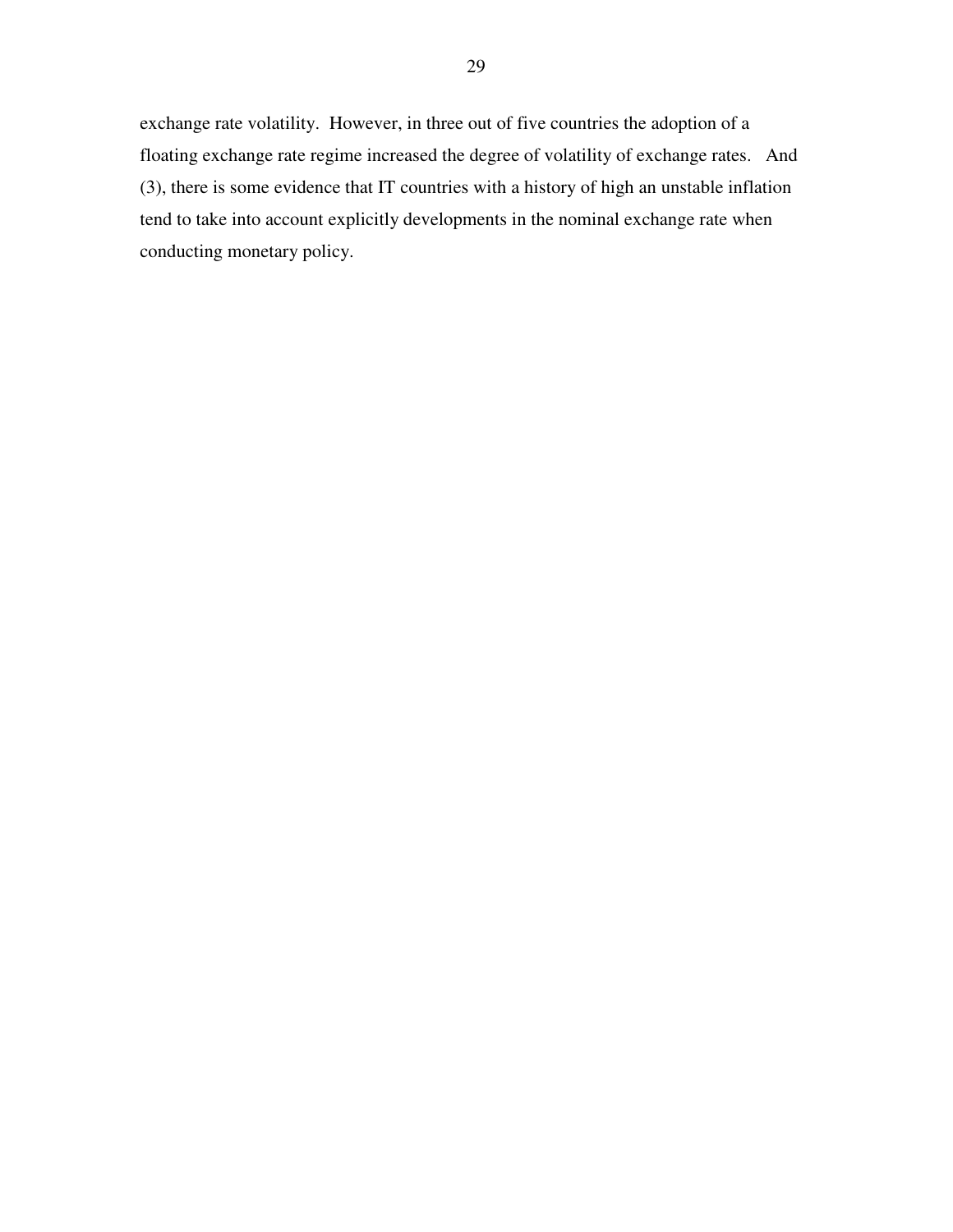exchange rate volatility. However, in three out of five countries the adoption of a floating exchange rate regime increased the degree of volatility of exchange rates. And (3), there is some evidence that IT countries with a history of high an unstable inflation tend to take into account explicitly developments in the nominal exchange rate when conducting monetary policy.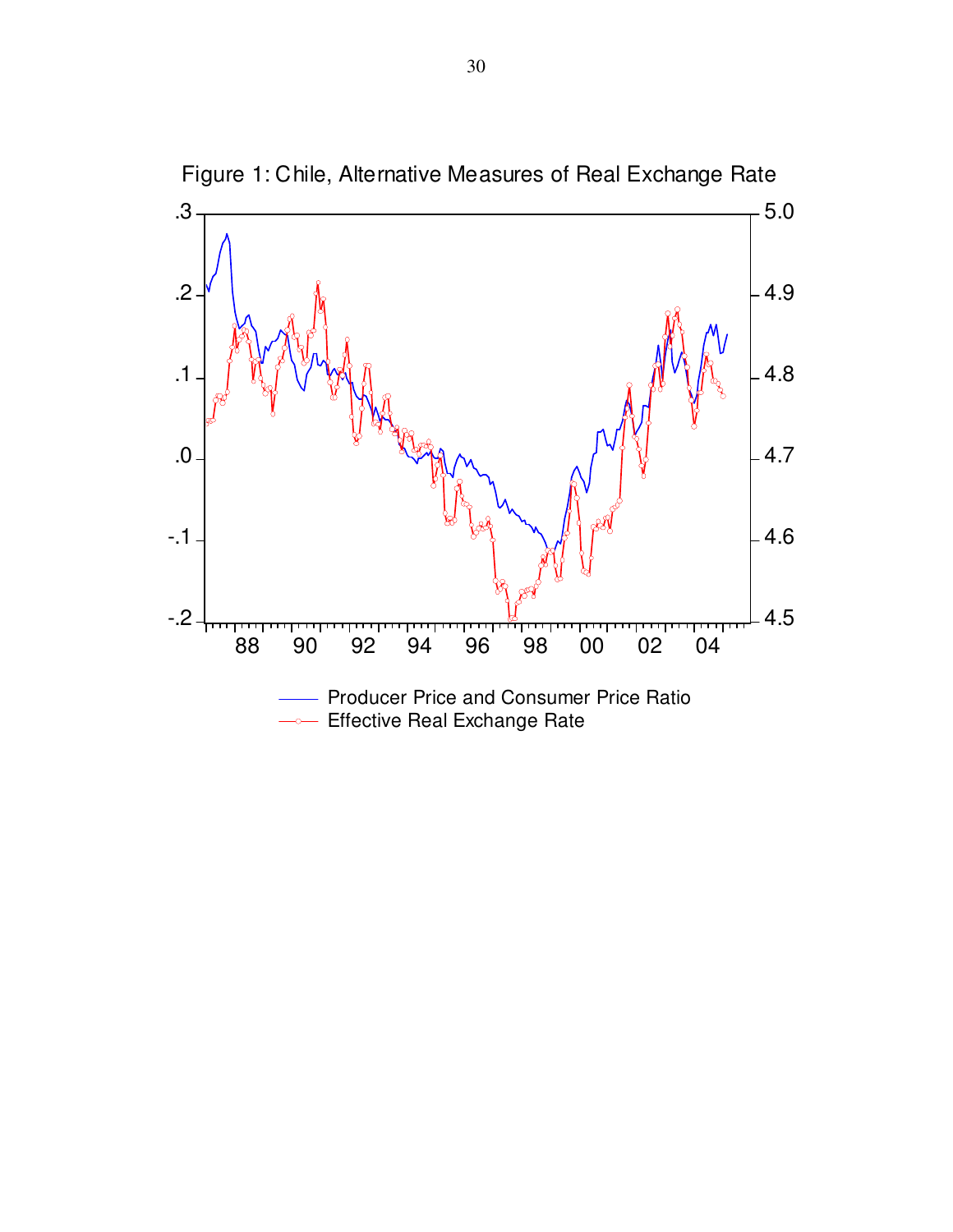

Figure 1: Chile, Alternative Measures of Real Exchange Rate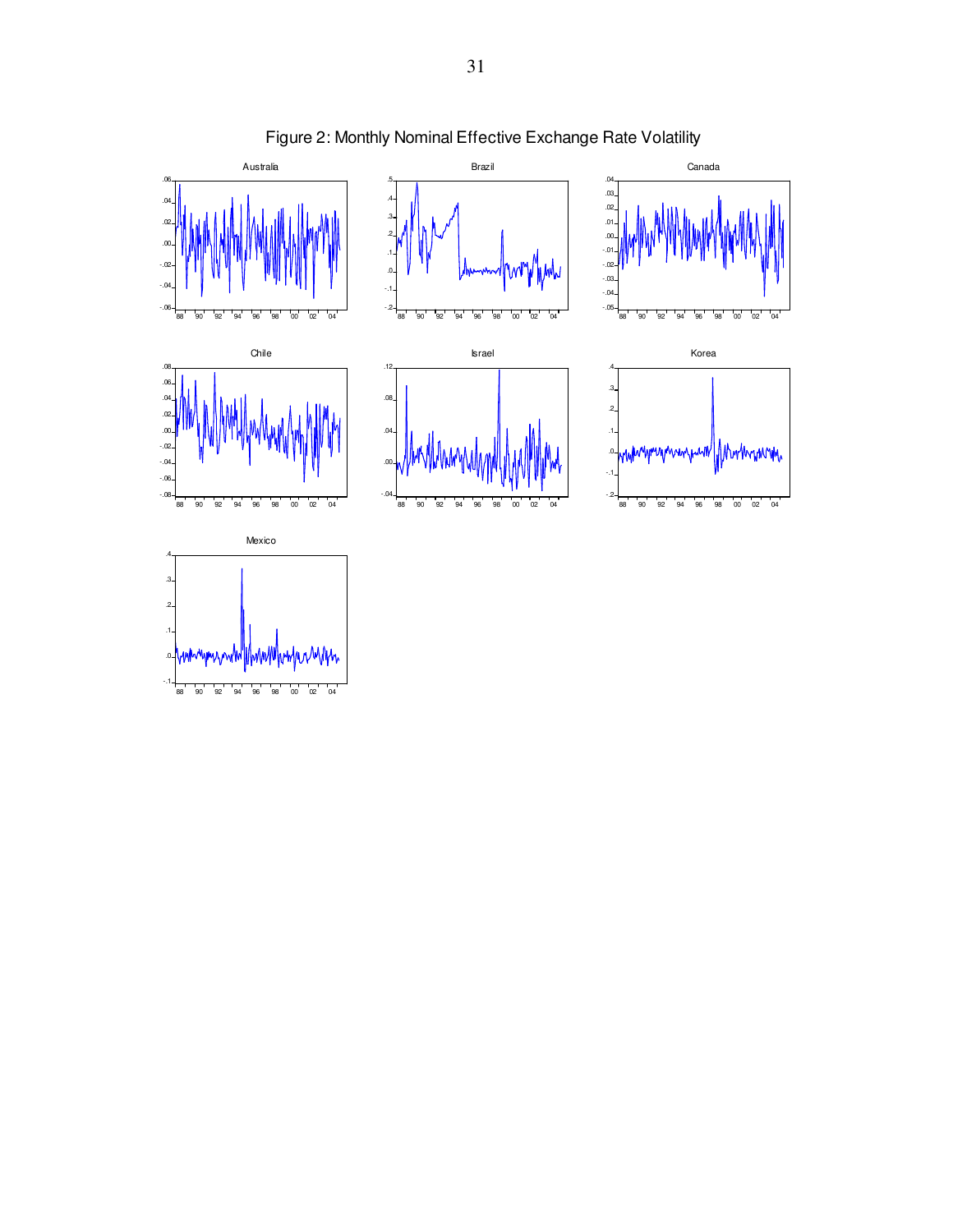

88 90 92 94 96 98 00 02 04

Figure 2: Monthly Nominal Effective Exchange Rate Volatility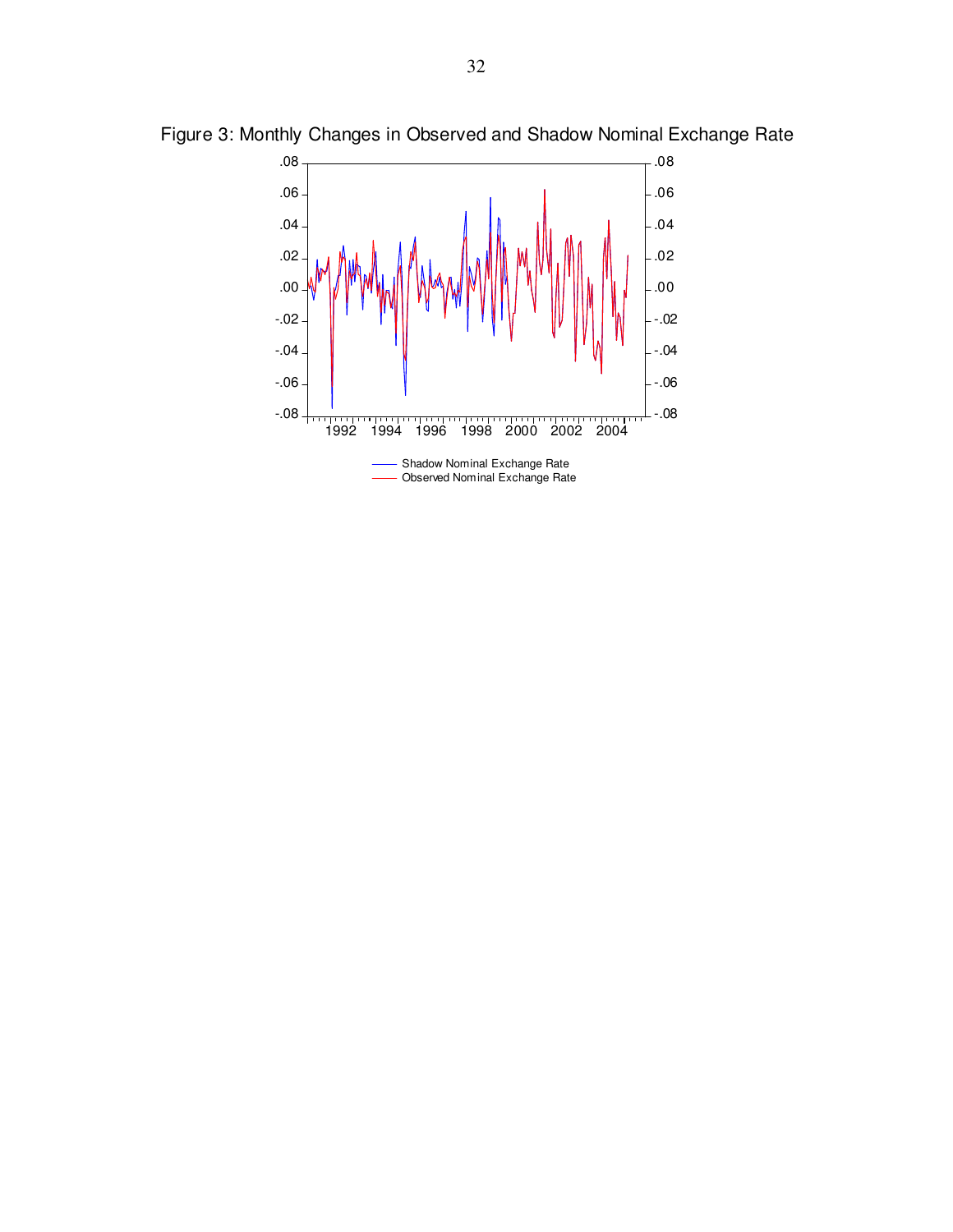

Figure 3: Monthly Changes in Observed and Shadow Nominal Exchange Rate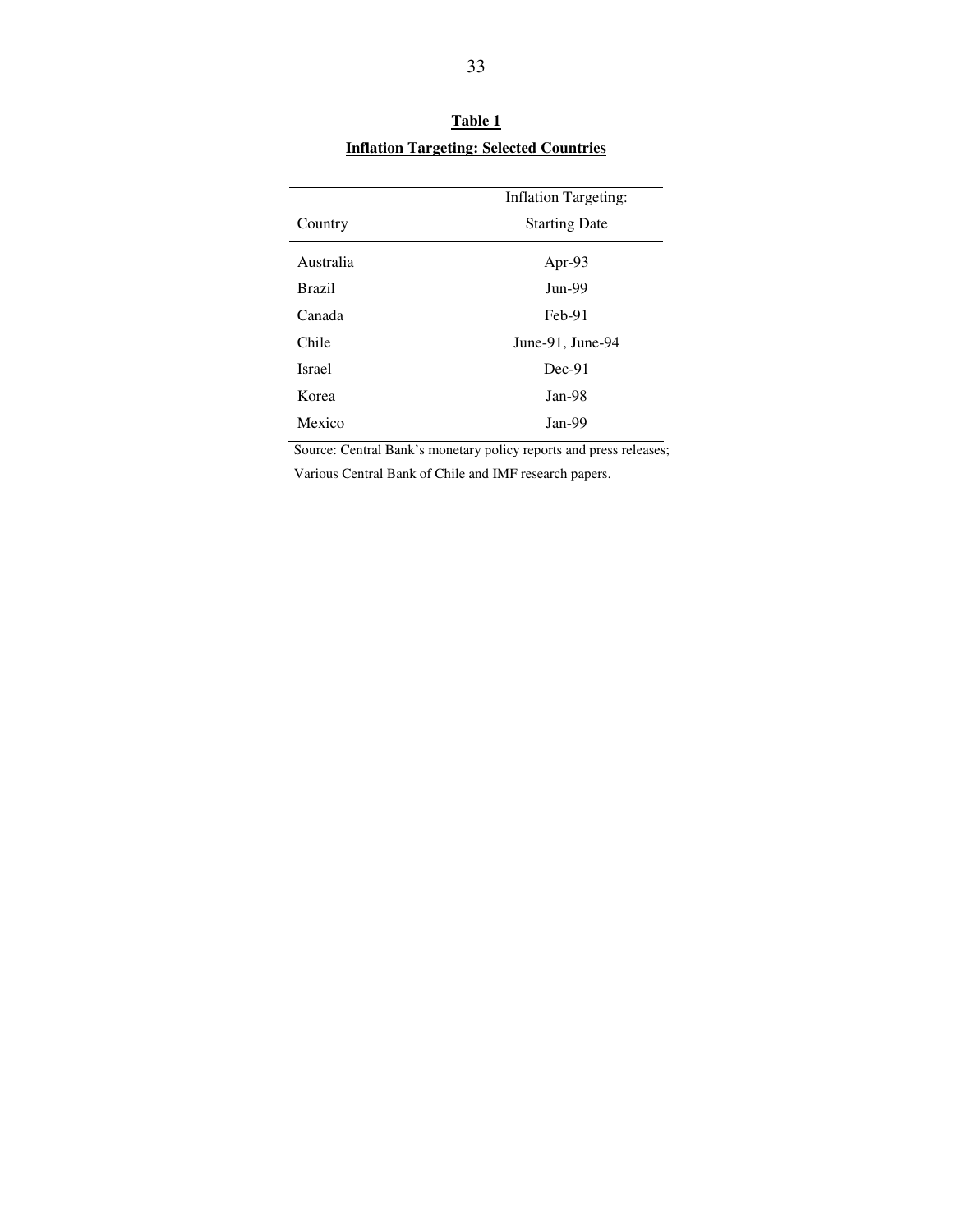|               | Inflation Targeting: |
|---------------|----------------------|
| Country       | <b>Starting Date</b> |
| Australia     | Apr-93               |
| <b>Brazil</b> | <b>Jun-99</b>        |
| Canada        | $Feh-91$             |
| Chile         | June-91, June-94     |
| <b>Israel</b> | $Dec-91$             |
| Korea         | $Jan-98$             |
| Mexico        | $Jan-99$             |

**Table 1 Inflation Targeting: Selected Countries**

Source: Central Bank's monetary policy reports and press releases;

Various Central Bank of Chile and IMF research papers.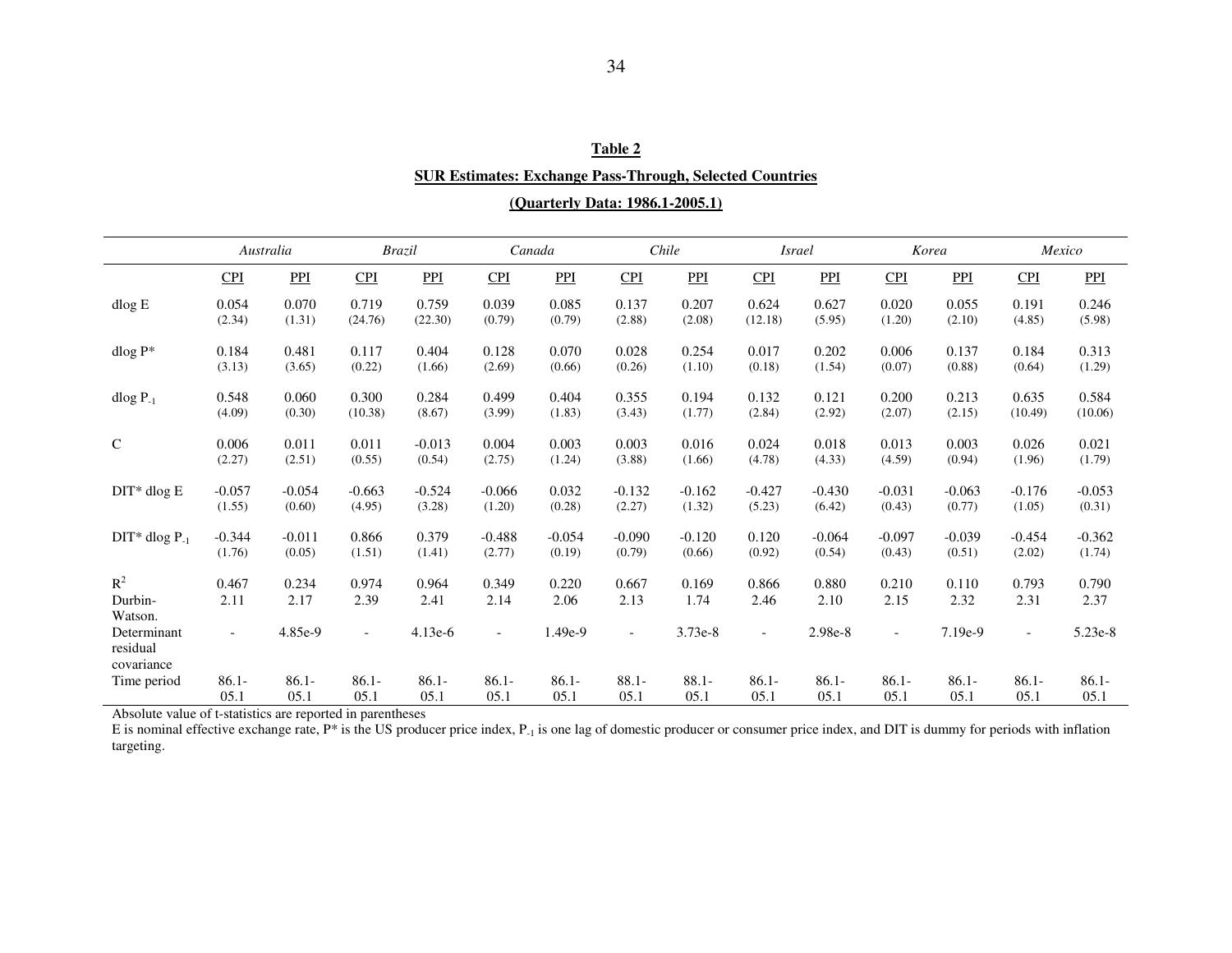#### **Table 2**

**SUR Estimates: Exchange Pass-Through, Selected Countries**

**(Quarterly Data: 1986.1-2005.1)**

|                                       |                          | Australia     |               | <b>Brazil</b> |               | Canada        |                          | Chile         |                | <i>Israel</i> |                | Korea         |                          | Mexico        |
|---------------------------------------|--------------------------|---------------|---------------|---------------|---------------|---------------|--------------------------|---------------|----------------|---------------|----------------|---------------|--------------------------|---------------|
|                                       | CL                       | PPI           | CPI           | PPI           | CPI           | PPI           | CPI                      | PPI           | CPI            | PPI           | CL             | PPI           | CPI                      | PPI           |
| dlog E                                | 0.054                    | 0.070         | 0.719         | 0.759         | 0.039         | 0.085         | 0.137                    | 0.207         | 0.624          | 0.627         | 0.020          | 0.055         | 0.191                    | 0.246         |
|                                       | (2.34)                   | (1.31)        | (24.76)       | (22.30)       | (0.79)        | (0.79)        | (2.88)                   | (2.08)        | (12.18)        | (5.95)        | (1.20)         | (2.10)        | (4.85)                   | (5.98)        |
| $dlog P*$                             | 0.184                    | 0.481         | 0.117         | 0.404         | 0.128         | 0.070         | 0.028                    | 0.254         | 0.017          | 0.202         | 0.006          | 0.137         | 0.184                    | 0.313         |
|                                       | (3.13)                   | (3.65)        | (0.22)        | (1.66)        | (2.69)        | (0.66)        | (0.26)                   | (1.10)        | (0.18)         | (1.54)        | (0.07)         | (0.88)        | (0.64)                   | (1.29)        |
| $dlog P_{-1}$                         | 0.548                    | 0.060         | 0.300         | 0.284         | 0.499         | 0.404         | 0.355                    | 0.194         | 0.132          | 0.121         | 0.200          | 0.213         | 0.635                    | 0.584         |
|                                       | (4.09)                   | (0.30)        | (10.38)       | (8.67)        | (3.99)        | (1.83)        | (3.43)                   | (1.77)        | (2.84)         | (2.92)        | (2.07)         | (2.15)        | (10.49)                  | (10.06)       |
| $\mathsf{C}$                          | 0.006                    | 0.011         | 0.011         | $-0.013$      | 0.004         | 0.003         | 0.003                    | 0.016         | 0.024          | 0.018         | 0.013          | 0.003         | 0.026                    | 0.021         |
|                                       | (2.27)                   | (2.51)        | (0.55)        | (0.54)        | (2.75)        | (1.24)        | (3.88)                   | (1.66)        | (4.78)         | (4.33)        | (4.59)         | (0.94)        | (1.96)                   | (1.79)        |
| $DT*$ dlog E                          | $-0.057$                 | $-0.054$      | $-0.663$      | $-0.524$      | $-0.066$      | 0.032         | $-0.132$                 | $-0.162$      | $-0.427$       | $-0.430$      | $-0.031$       | $-0.063$      | $-0.176$                 | $-0.053$      |
|                                       | (1.55)                   | (0.60)        | (4.95)        | (3.28)        | (1.20)        | (0.28)        | (2.27)                   | (1.32)        | (5.23)         | (6.42)        | (0.43)         | (0.77)        | (1.05)                   | (0.31)        |
| $DT*$ dlog $P_{-1}$                   | $-0.344$                 | $-0.011$      | 0.866         | 0.379         | $-0.488$      | $-0.054$      | $-0.090$                 | $-0.120$      | 0.120          | $-0.064$      | $-0.097$       | $-0.039$      | $-0.454$                 | $-0.362$      |
|                                       | (1.76)                   | (0.05)        | (1.51)        | (1.41)        | (2.77)        | (0.19)        | (0.79)                   | (0.66)        | (0.92)         | (0.54)        | (0.43)         | (0.51)        | (2.02)                   | (1.74)        |
| $R^2$<br>Durbin-<br>Watson.           | 0.467<br>2.11            | 0.234<br>2.17 | 0.974<br>2.39 | 0.964<br>2.41 | 0.349<br>2.14 | 0.220<br>2.06 | 0.667<br>2.13            | 0.169<br>1.74 | 0.866<br>2.46  | 0.880<br>2.10 | 0.210<br>2.15  | 0.110<br>2.32 | 0.793<br>2.31            | 0.790<br>2.37 |
| Determinant<br>residual<br>covariance | $\overline{\phantom{0}}$ | 4.85e-9       | $\sim$        | $4.13e-6$     | $\sim$        | 1.49e-9       | $\overline{\phantom{a}}$ | 3.73e-8       | $\blacksquare$ | 2.98e-8       | $\blacksquare$ | 7.19e-9       | $\overline{\phantom{a}}$ | 5.23e-8       |
| Time period                           | $86.1 -$                 | $86.1 -$      | $86.1 -$      | $86.1 -$      | $86.1 -$      | $86.1 -$      | $88.1 -$                 | $88.1 -$      | $86.1 -$       | $86.1 -$      | $86.1 -$       | $86.1 -$      | $86.1 -$                 | $86.1 -$      |
|                                       | 05.1                     | 05.1          | 05.1          | 05.1          | 05.1          | 05.1          | 05.1                     | 05.1          | 05.1           | 05.1          | 05.1           | 05.1          | 05.1                     | 05.1          |

Absolute value of t-statistics are reported in parentheses

E is nominal effective exchange rate,  $P^*$  is the US producer price index,  $P_1$  is one lag of domestic producer or consumer price index, and DIT is dummy for periods with inflation targeting.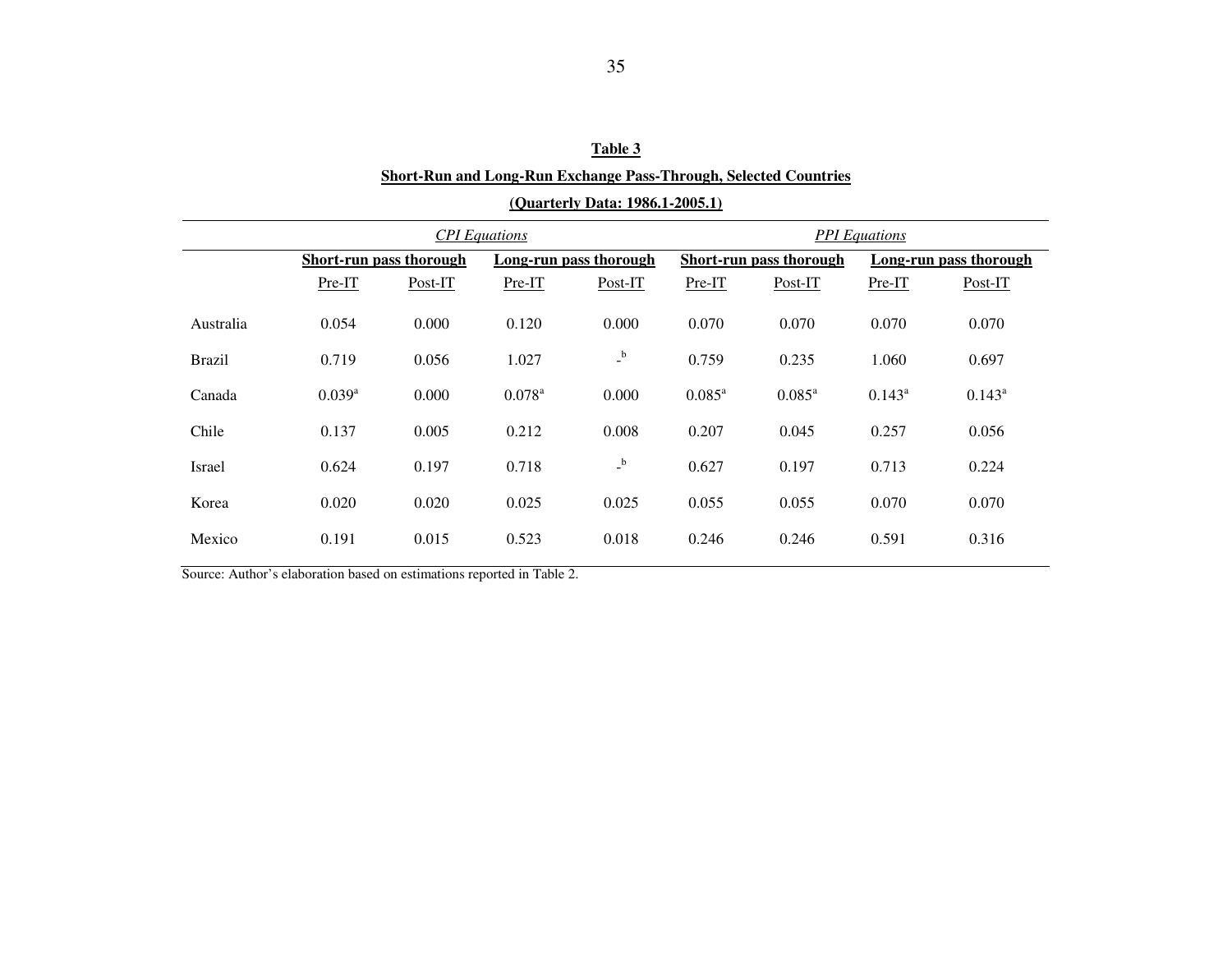#### **Table 3**

#### **Short-Run and Long-Run Exchange Pass-Through, Selected Countries**

| (Quarterly Data: 1986.1-2005.1) |  |
|---------------------------------|--|
|---------------------------------|--|

|               |                                | <b>CPI</b> Equations |                 | <b>PPI</b> Equations   |                 |                         |                 |                               |
|---------------|--------------------------------|----------------------|-----------------|------------------------|-----------------|-------------------------|-----------------|-------------------------------|
|               | <b>Short-run pass thorough</b> |                      |                 | Long-run pass thorough |                 | Short-run pass thorough |                 | <b>Long-run pass thorough</b> |
|               | Pre-IT                         | $Post-IT$            | $Pre-IT$        | Post-IT                | Pre-IT          | Post-IT                 | Pre-IT          | Post-IT                       |
| Australia     | 0.054                          | 0.000                | 0.120           | 0.000                  | 0.070           | 0.070                   | 0.070           | 0.070                         |
| <b>Brazil</b> | 0.719                          | 0.056                | 1.027           | b                      | 0.759           | 0.235                   | 1.060           | 0.697                         |
| Canada        | $0.039^{a}$                    | 0.000                | $0.078^{\rm a}$ | 0.000                  | $0.085^{\rm a}$ | $0.085^{\rm a}$         | $0.143^{\rm a}$ | $0.143^{\rm a}$               |
| Chile         | 0.137                          | 0.005                | 0.212           | 0.008                  | 0.207           | 0.045                   | 0.257           | 0.056                         |
| Israel        | 0.624                          | 0.197                | 0.718           | b                      | 0.627           | 0.197                   | 0.713           | 0.224                         |
| Korea         | 0.020                          | 0.020                | 0.025           | 0.025                  | 0.055           | 0.055                   | 0.070           | 0.070                         |
| Mexico        | 0.191                          | 0.015                | 0.523           | 0.018                  | 0.246           | 0.246                   | 0.591           | 0.316                         |

Source: Author's elaboration based on estimations reported in Table 2.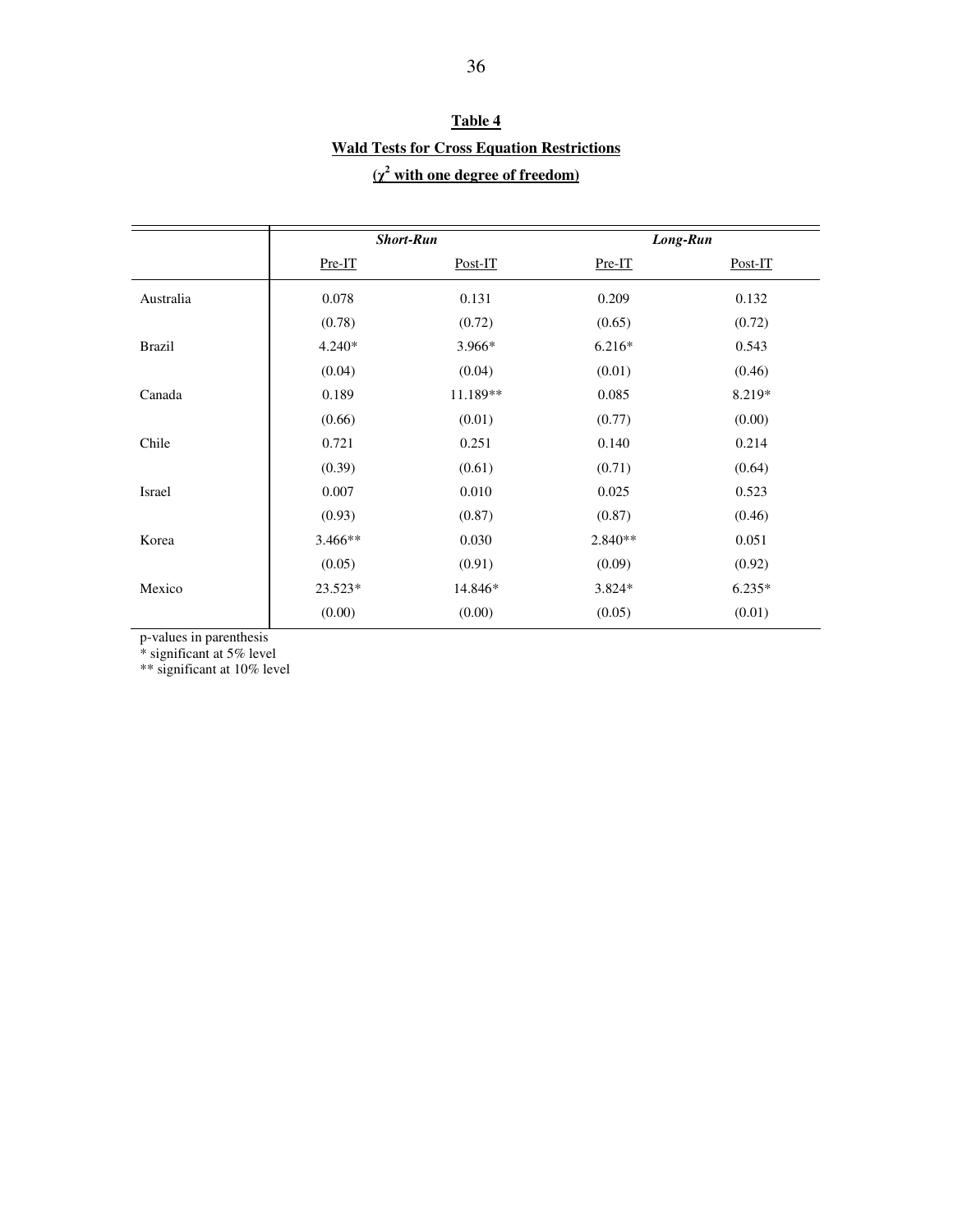|           |           | <b>Short-Run</b> |           | Long-Run  |
|-----------|-----------|------------------|-----------|-----------|
|           | $Pre-IT$  | $Post-II$        | $Pre-IT$  | $Post-II$ |
| Australia | 0.078     | 0.131            | 0.209     | 0.132     |
|           | (0.78)    | (0.72)           | (0.65)    | (0.72)    |
| Brazil    | $4.240*$  | 3.966*           | $6.216*$  | 0.543     |
|           | (0.04)    | (0.04)           | (0.01)    | (0.46)    |
| Canada    | 0.189     | 11.189**         | 0.085     | 8.219*    |
|           | (0.66)    | (0.01)           | (0.77)    | (0.00)    |
| Chile     | 0.721     | 0.251            | 0.140     | 0.214     |
|           | (0.39)    | (0.61)           | (0.71)    | (0.64)    |
| Israel    | 0.007     | 0.010            | 0.025     | 0.523     |
|           | (0.93)    | (0.87)           | (0.87)    | (0.46)    |
| Korea     | $3.466**$ | 0.030            | $2.840**$ | 0.051     |
|           | (0.05)    | (0.91)           | (0.09)    | (0.92)    |
| Mexico    | 23.523*   | 14.846*          | 3.824*    | $6.235*$  |
|           | (0.00)    | (0.00)           | (0.05)    | (0.01)    |

# **Table 4 Wald Tests for Cross Equation Restrictions**

 $(\chi^2$  with one degree of freedom)

p-values in parenthesis

\* significant at 5% level

\*\* significant at 10% level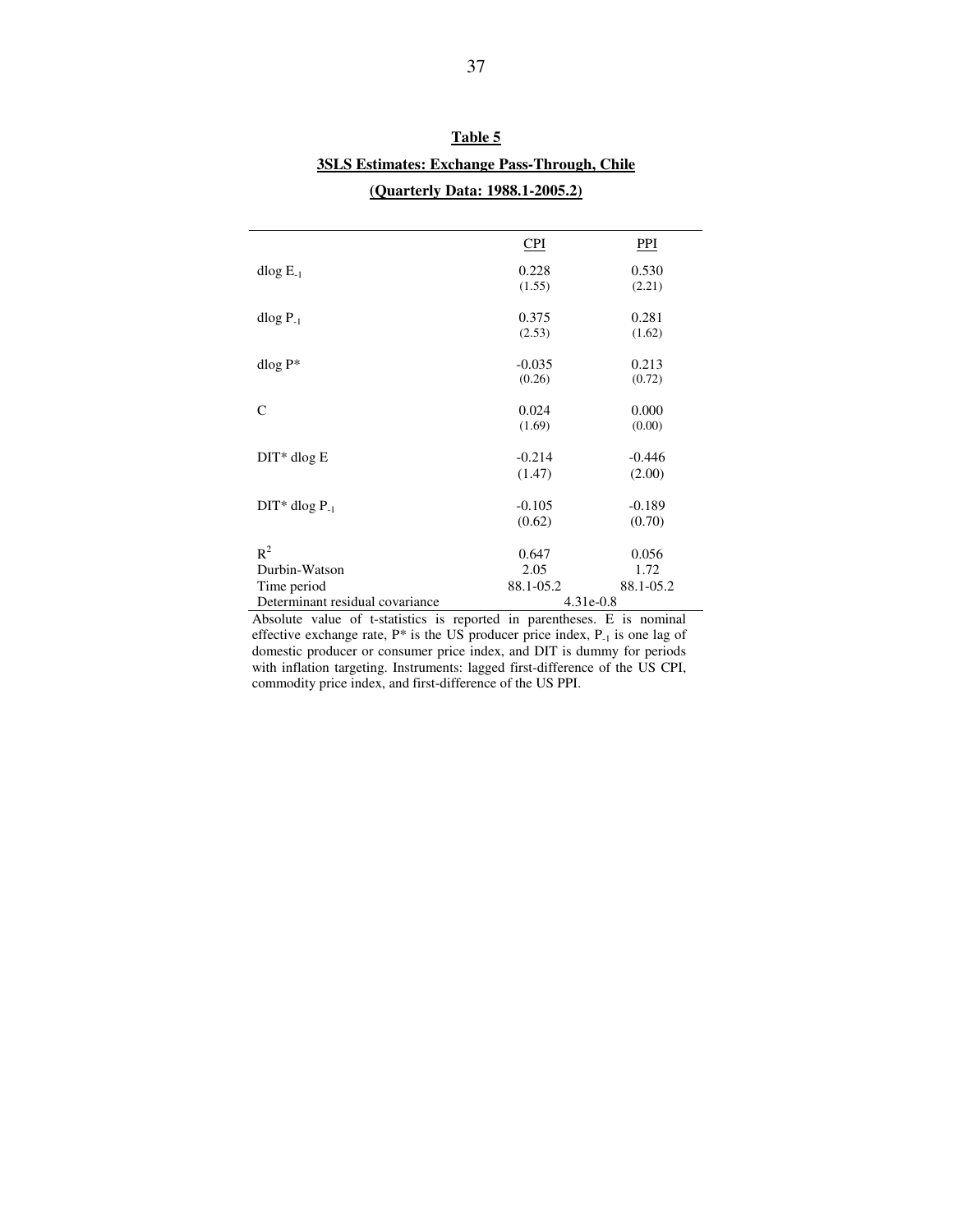|                                 | CPI         | PPI       |
|---------------------------------|-------------|-----------|
| $dlog E_{-1}$                   | 0.228       | 0.530     |
|                                 | (1.55)      | (2.21)    |
| $dlog P_{-1}$                   | 0.375       | 0.281     |
|                                 | (2.53)      | (1.62)    |
| dlog $P^*$                      | $-0.035$    | 0.213     |
|                                 | (0.26)      | (0.72)    |
| C                               | 0.024       | 0.000     |
|                                 | (1.69)      | (0.00)    |
| $DIT^*$ dlog E                  | $-0.214$    | $-0.446$  |
|                                 | (1.47)      | (2.00)    |
| $DT*$ dlog $P_{-1}$             | $-0.105$    | $-0.189$  |
|                                 | (0.62)      | (0.70)    |
| $R^2$                           | 0.647       | 0.056     |
|                                 |             |           |
| Durbin-Watson                   | 2.05        | 1.72      |
| Time period                     | 88.1-05.2   | 88.1-05.2 |
| Determinant residual covariance | $4.31e-0.8$ |           |

| Table 5                                      |
|----------------------------------------------|
| 3SLS Estimates: Exchange Pass-Through, Chile |

**(Quarterly Data: 1988.1-2005.2)**

Absolute value of t-statistics is reported in parentheses. E is nominal effective exchange rate,  $P^*$  is the US producer price index,  $P_{-1}$  is one lag of domestic producer or consumer price index, and DIT is dummy for periods with inflation targeting. Instruments: lagged first-difference of the US CPI, commodity price index, and first-difference of the US PPI.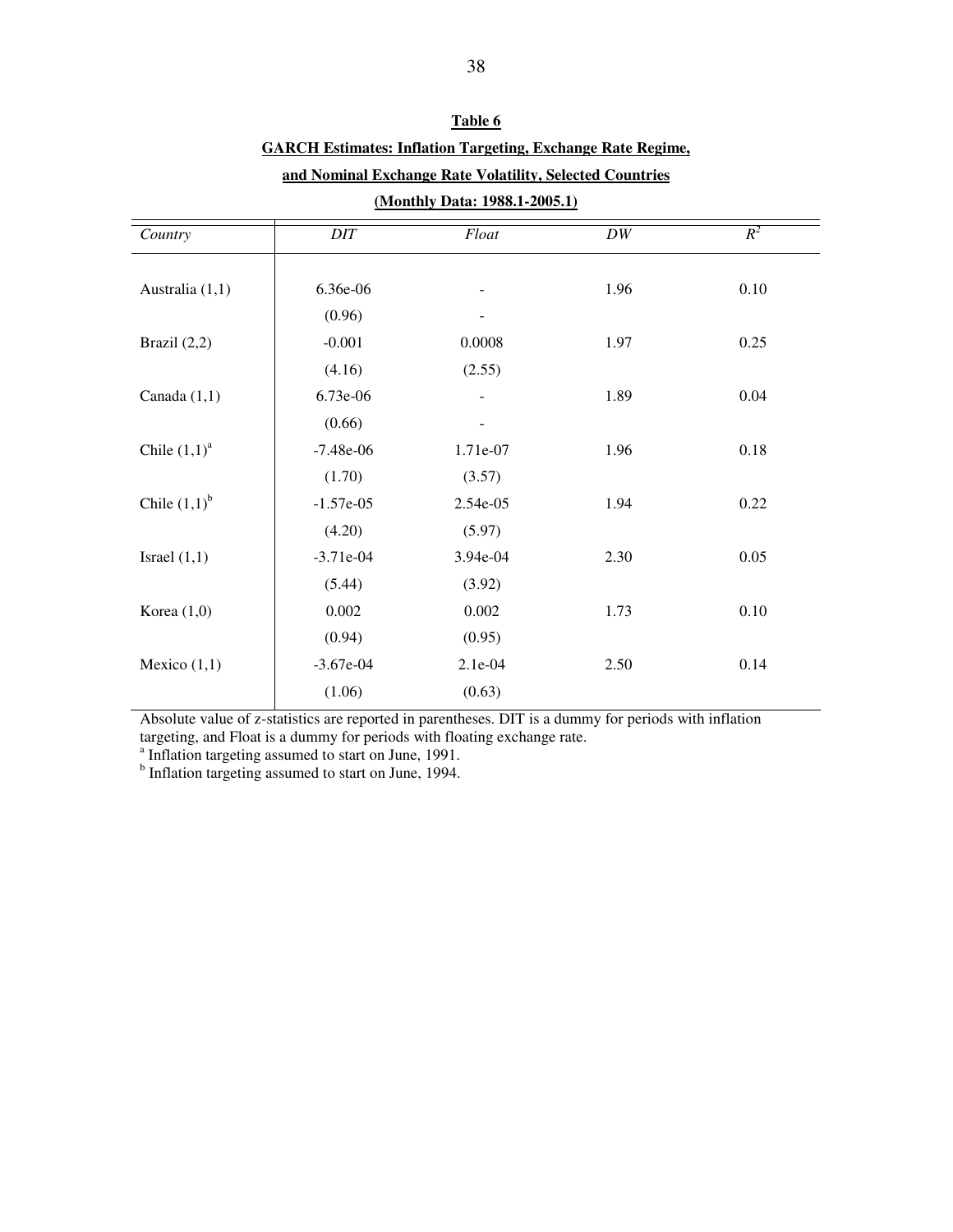| Country           | DIT         | Float    | ${\cal D}{\cal W}$ | $R^2$ |  |  |  |  |  |
|-------------------|-------------|----------|--------------------|-------|--|--|--|--|--|
|                   |             |          |                    |       |  |  |  |  |  |
| Australia $(1,1)$ | 6.36e-06    |          | 1.96               | 0.10  |  |  |  |  |  |
|                   | (0.96)      |          |                    |       |  |  |  |  |  |
| Brazil $(2,2)$    | $-0.001$    | 0.0008   | 1.97               | 0.25  |  |  |  |  |  |
|                   | (4.16)      | (2.55)   |                    |       |  |  |  |  |  |
| Canada $(1,1)$    | 6.73e-06    |          | 1.89               | 0.04  |  |  |  |  |  |
|                   | (0.66)      |          |                    |       |  |  |  |  |  |
| Chile $(1,1)^a$   | $-7.48e-06$ | 1.71e-07 | 1.96               | 0.18  |  |  |  |  |  |
|                   | (1.70)      | (3.57)   |                    |       |  |  |  |  |  |
| Chile $(1,1)^b$   | $-1.57e-05$ | 2.54e-05 | 1.94               | 0.22  |  |  |  |  |  |
|                   | (4.20)      | (5.97)   |                    |       |  |  |  |  |  |
| Israel $(1,1)$    | $-3.71e-04$ | 3.94e-04 | 2.30               | 0.05  |  |  |  |  |  |
|                   | (5.44)      | (3.92)   |                    |       |  |  |  |  |  |
| Korea $(1,0)$     | 0.002       | 0.002    | 1.73               | 0.10  |  |  |  |  |  |
|                   | (0.94)      | (0.95)   |                    |       |  |  |  |  |  |
| Mexico $(1,1)$    | $-3.67e-04$ | 2.1e-04  | 2.50               | 0.14  |  |  |  |  |  |
|                   | (1.06)      | (0.63)   |                    |       |  |  |  |  |  |

| Table 6                                                            |  |
|--------------------------------------------------------------------|--|
| <b>GARCH Estimates: Inflation Targeting, Exchange Rate Regime,</b> |  |

**and Nominal Exchange Rate Volatility, Selected Countries**

| (Monthly Data: 1988.1-2005.1) |  |
|-------------------------------|--|
|-------------------------------|--|

Absolute value of z-statistics are reported in parentheses. DIT is a dummy for periods with inflation targeting, and Float is a dummy for periods with floating exchange rate. a Inflation targeting assumed to start on June, 1991. b Inflation targeting assumed to start on June, 1994.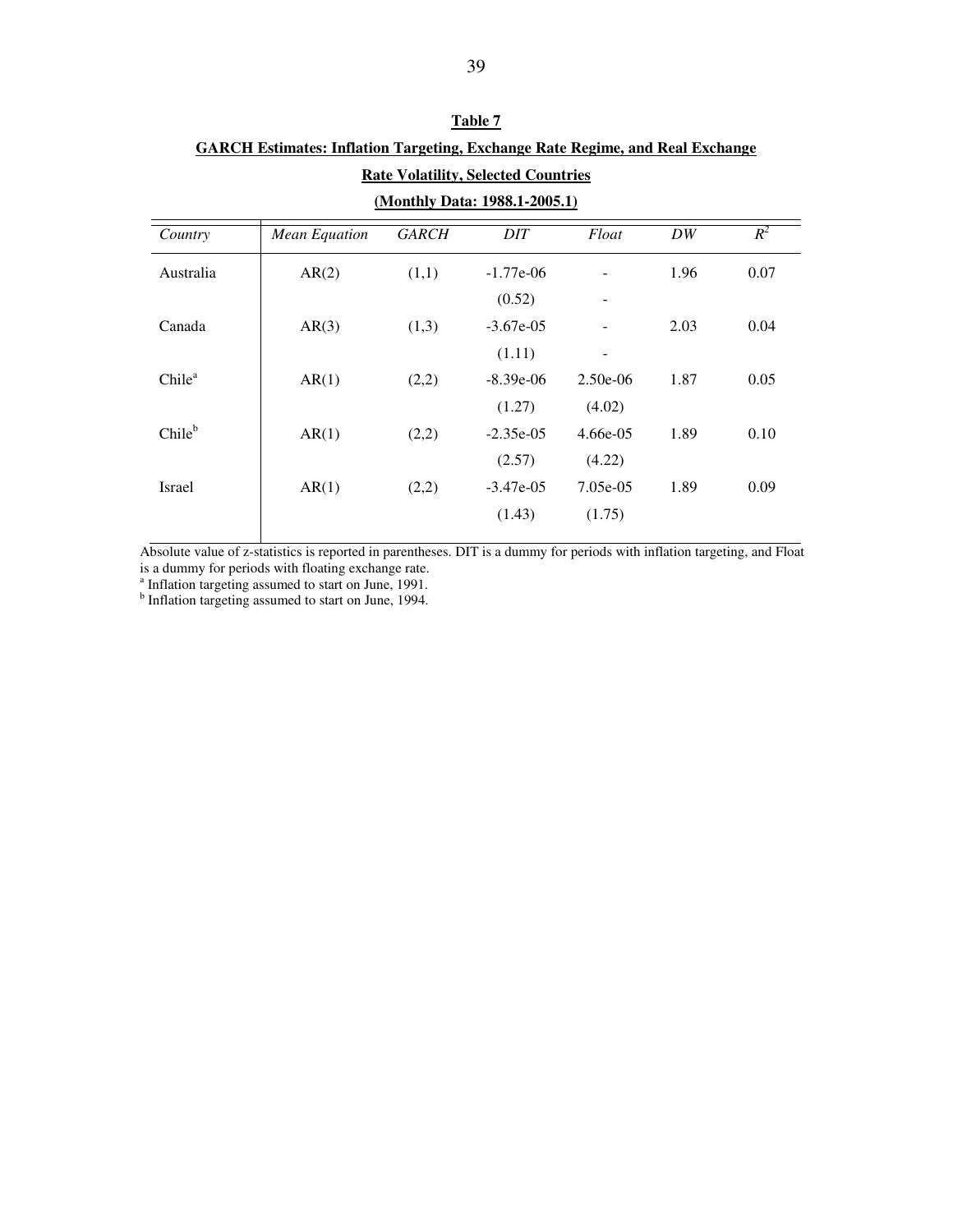| Table 7                                                                              |
|--------------------------------------------------------------------------------------|
| <b>GARCH Estimates: Inflation Targeting, Exchange Rate Regime, and Real Exchange</b> |
| <b>Rate Volatility, Selected Countries</b>                                           |

**(Monthly Data: 1988.1-2005.1)**

| Country            | <b>Mean Equation</b> | <b>GARCH</b> | DIT          | Float                        | DW   | $R^2$ |
|--------------------|----------------------|--------------|--------------|------------------------------|------|-------|
| Australia          | AR(2)                | (1,1)        | $-1.77e-06$  | -                            | 1.96 | 0.07  |
|                    |                      |              | (0.52)       | $\overline{\phantom{a}}$     |      |       |
| Canada             | AR(3)                | (1,3)        | $-3.67e-05$  | $\qquad \qquad \blacksquare$ | 2.03 | 0.04  |
|                    |                      |              | (1.11)       | $\qquad \qquad -$            |      |       |
| Chile <sup>a</sup> | AR(1)                | (2,2)        | $-8.39e-06$  | $2.50e-06$                   | 1.87 | 0.05  |
|                    |                      |              | (1.27)       | (4.02)                       |      |       |
| $Chile^b$          | AR(1)                | (2,2)        | $-2.35e-0.5$ | 4.66e-05                     | 1.89 | 0.10  |
|                    |                      |              | (2.57)       | (4.22)                       |      |       |
| Israel             | AR(1)                | (2,2)        | $-3.47e-05$  | 7.05e-05                     | 1.89 | 0.09  |
|                    |                      |              | (1.43)       | (1.75)                       |      |       |

Absolute value of z-statistics is reported in parentheses. DIT is a dummy for periods with inflation targeting, and Float

is a dummy for periods with floating exchange rate.<br><sup>a</sup> Inflation targeting assumed to start on June, 1991.<br><sup>b</sup> Inflation targeting assumed to start on June, 1994.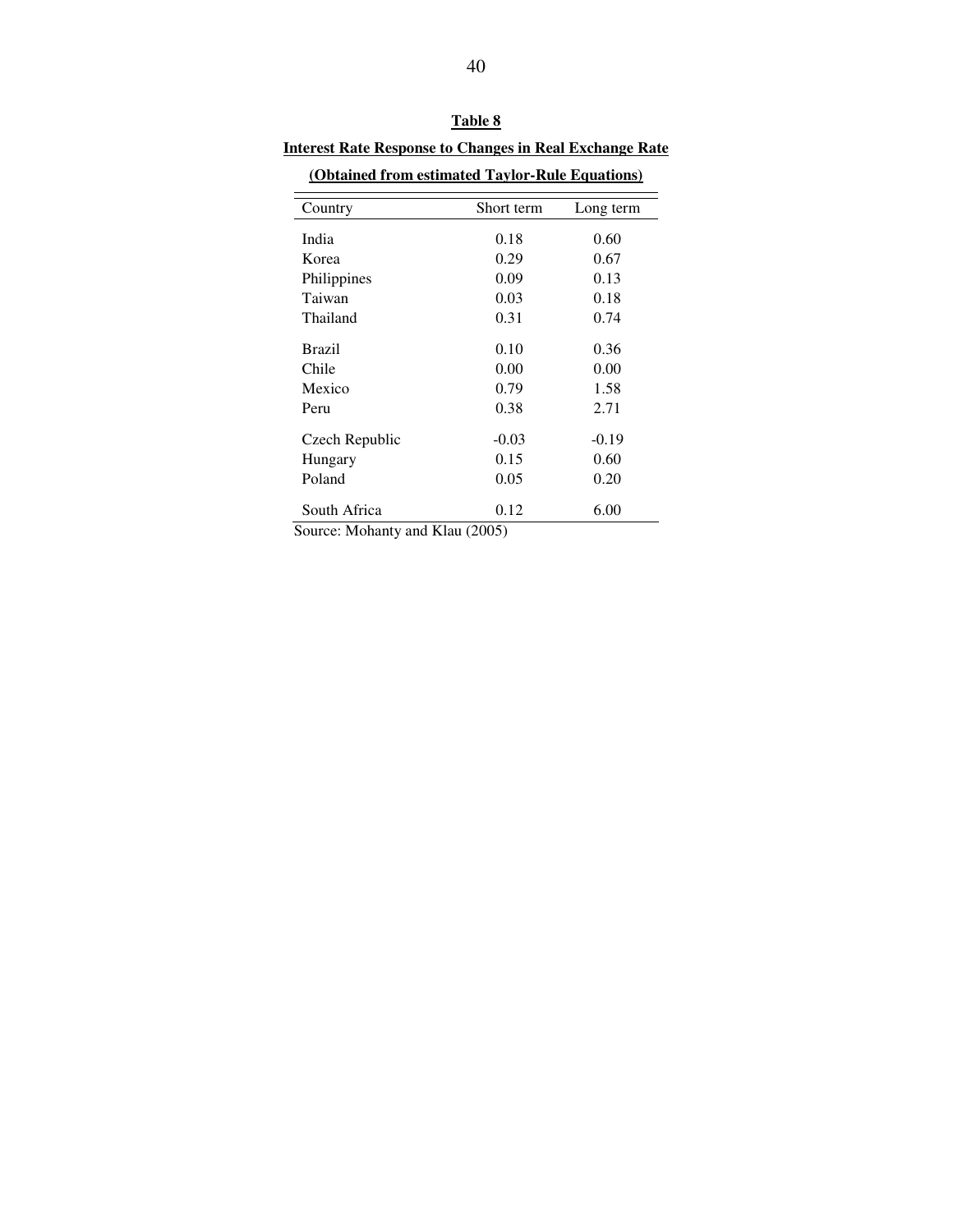| merest nate nesponse to Unanges in Near Exthange Nat<br>(Obtained from estimated Taylor-Rule Equations) |            |           |  |  |  |
|---------------------------------------------------------------------------------------------------------|------------|-----------|--|--|--|
| Country                                                                                                 | Short term | Long term |  |  |  |
| India                                                                                                   | 0.18       | 0.60      |  |  |  |
| Korea                                                                                                   | 0.29       | 0.67      |  |  |  |
| Philippines                                                                                             | 0.09       | 0.13      |  |  |  |
| Taiwan                                                                                                  | 0.03       | 0.18      |  |  |  |
| Thailand                                                                                                | 0.31       | 0.74      |  |  |  |
| <b>Brazil</b>                                                                                           | 0.10       | 0.36      |  |  |  |
| Chile                                                                                                   | 0.00       | 0.00      |  |  |  |
| Mexico                                                                                                  | 0.79       | 1.58      |  |  |  |
| Peru                                                                                                    | 0.38       | 2.71      |  |  |  |
| Czech Republic                                                                                          | $-0.03$    | $-0.19$   |  |  |  |
| Hungary                                                                                                 | 0.15       | 0.60      |  |  |  |
| Poland                                                                                                  | 0.05       | 0.20      |  |  |  |
| South Africa                                                                                            | 0.12       | 6.00      |  |  |  |

# **Interest Rate Response to Changes in Real Exchange Rate**

Source: Mohanty and Klau (2005)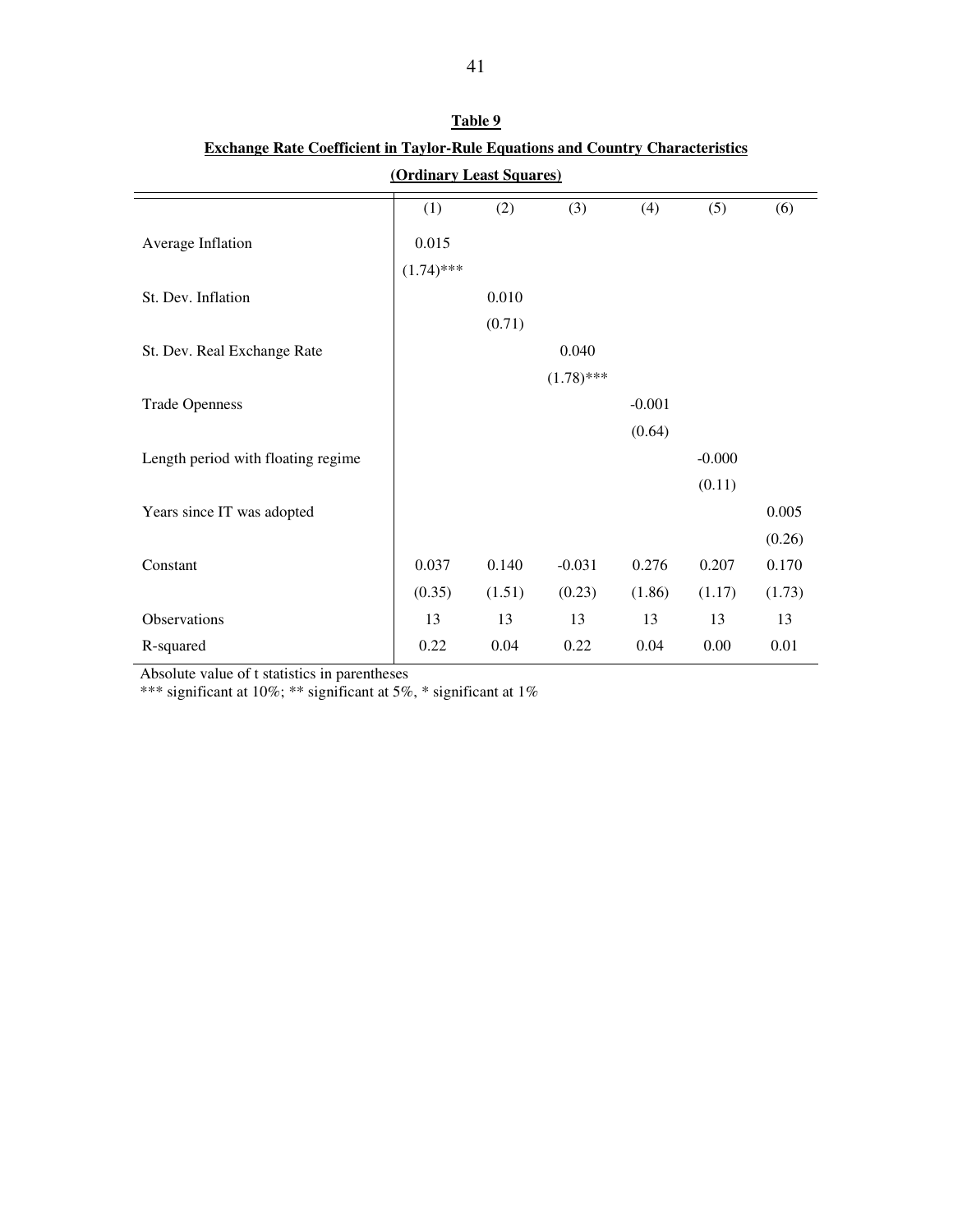| <b>(Ordinary Least Squares)</b>    |              |        |              |          |          |        |  |  |  |
|------------------------------------|--------------|--------|--------------|----------|----------|--------|--|--|--|
|                                    | (1)          | (2)    | (3)          | (4)      | (5)      | (6)    |  |  |  |
| Average Inflation                  | 0.015        |        |              |          |          |        |  |  |  |
|                                    | $(1.74)$ *** |        |              |          |          |        |  |  |  |
| St. Dev. Inflation                 |              | 0.010  |              |          |          |        |  |  |  |
|                                    |              | (0.71) |              |          |          |        |  |  |  |
| St. Dev. Real Exchange Rate        |              |        | 0.040        |          |          |        |  |  |  |
|                                    |              |        | $(1.78)$ *** |          |          |        |  |  |  |
| <b>Trade Openness</b>              |              |        |              | $-0.001$ |          |        |  |  |  |
|                                    |              |        |              | (0.64)   |          |        |  |  |  |
| Length period with floating regime |              |        |              |          | $-0.000$ |        |  |  |  |
|                                    |              |        |              |          | (0.11)   |        |  |  |  |
| Years since IT was adopted         |              |        |              |          |          | 0.005  |  |  |  |
|                                    |              |        |              |          |          | (0.26) |  |  |  |
| Constant                           | 0.037        | 0.140  | $-0.031$     | 0.276    | 0.207    | 0.170  |  |  |  |
|                                    | (0.35)       | (1.51) | (0.23)       | (1.86)   | (1.17)   | (1.73) |  |  |  |
| Observations                       | 13           | 13     | 13           | 13       | 13       | 13     |  |  |  |
| R-squared                          | 0.22         | 0.04   | 0.22         | 0.04     | 0.00     | 0.01   |  |  |  |

| Table 9                                                                        |  |
|--------------------------------------------------------------------------------|--|
| Exchange Rate Coefficient in Tavlor-Rule Equations and Country Characteristics |  |

Absolute value of t statistics in parentheses

\*\*\* significant at 10%; \*\* significant at 5%, \* significant at 1%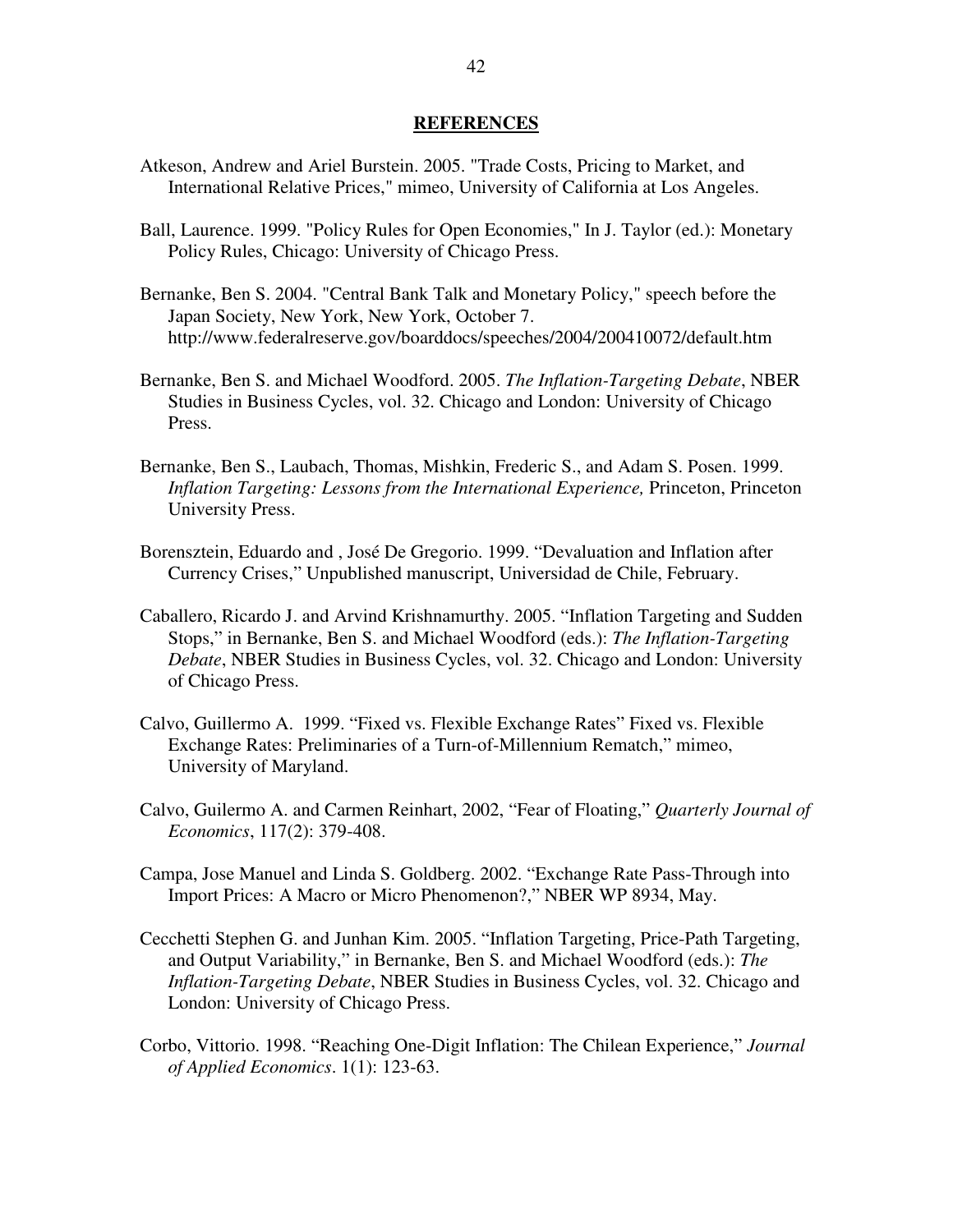#### **REFERENCES**

- Atkeson, Andrew and Ariel Burstein. 2005. "Trade Costs, Pricing to Market, and International Relative Prices," mimeo, University of California at Los Angeles.
- Ball, Laurence. 1999. "Policy Rules for Open Economies," In J. Taylor (ed.): Monetary Policy Rules, Chicago: University of Chicago Press.
- Bernanke, Ben S. 2004. "Central Bank Talk and Monetary Policy," speech before the Japan Society, New York, New York, October 7. http://www.federalreserve.gov/boarddocs/speeches/2004/200410072/default.htm
- Bernanke, Ben S. and Michael Woodford. 2005. *The Inflation-Targeting Debate*, NBER Studies in Business Cycles, vol. 32. Chicago and London: University of Chicago Press.
- Bernanke, Ben S., Laubach, Thomas, Mishkin, Frederic S., and Adam S. Posen. 1999. *Inflation Targeting: Lessons from the International Experience,* Princeton, Princeton University Press.
- Borensztein, Eduardo and , José De Gregorio. 1999. "Devaluation and Inflation after Currency Crises," Unpublished manuscript, Universidad de Chile, February.
- Caballero, Ricardo J. and Arvind Krishnamurthy. 2005. "Inflation Targeting and Sudden Stops," in Bernanke, Ben S. and Michael Woodford (eds.): *The Inflation-Targeting Debate*, NBER Studies in Business Cycles, vol. 32. Chicago and London: University of Chicago Press.
- Calvo, Guillermo A. 1999. "Fixed vs. Flexible Exchange Rates" Fixed vs. Flexible Exchange Rates: Preliminaries of a Turn-of-Millennium Rematch," mimeo, University of Maryland.
- Calvo, Guilermo A. and Carmen Reinhart, 2002, "Fear of Floating," *Quarterly Journal of Economics*, 117(2): 379-408.
- Campa, Jose Manuel and Linda S. Goldberg. 2002. "Exchange Rate Pass-Through into Import Prices: A Macro or Micro Phenomenon?," NBER WP 8934, May.
- Cecchetti Stephen G. and Junhan Kim. 2005. "Inflation Targeting, Price-Path Targeting, and Output Variability," in Bernanke, Ben S. and Michael Woodford (eds.): *The Inflation-Targeting Debate*, NBER Studies in Business Cycles, vol. 32. Chicago and London: University of Chicago Press.
- Corbo, Vittorio. 1998. "Reaching One-Digit Inflation: The Chilean Experience," *Journal of Applied Economics*. 1(1): 123-63.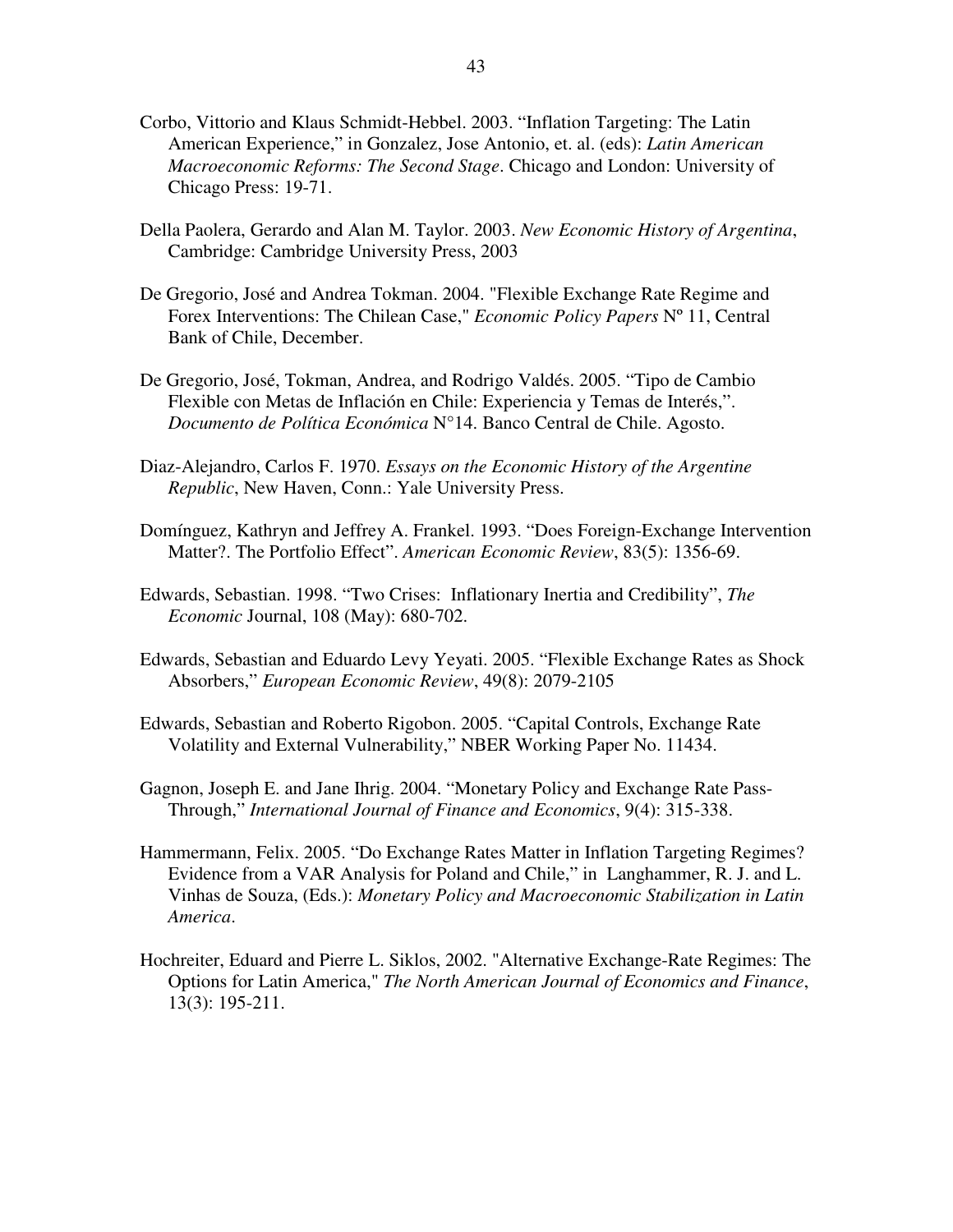- Corbo, Vittorio and Klaus Schmidt-Hebbel. 2003. "Inflation Targeting: The Latin American Experience," in Gonzalez, Jose Antonio, et. al. (eds): *Latin American Macroeconomic Reforms: The Second Stage*. Chicago and London: University of Chicago Press: 19-71.
- Della Paolera, Gerardo and Alan M. Taylor. 2003. *New Economic History of Argentina*, Cambridge: Cambridge University Press, 2003
- De Gregorio, José and Andrea Tokman. 2004. "Flexible Exchange Rate Regime and Forex Interventions: The Chilean Case," *Economic Policy Papers* Nº11, Central Bank of Chile, December.
- De Gregorio, José, Tokman, Andrea, and Rodrigo Valdés. 2005. "Tipo de Cambio Flexible con Metas de Inflación en Chile: Experiencia y Temas de Interés,". *Documento de Política Económica* N°14. Banco Central de Chile. Agosto.
- Diaz-Alejandro, Carlos F. 1970. *Essays on the Economic History of the Argentine Republic*, New Haven, Conn.: Yale University Press.
- Domínguez, Kathryn and Jeffrey A. Frankel. 1993. "Does Foreign-Exchange Intervention Matter?. The Portfolio Effect". *American Economic Review*, 83(5): 1356-69.
- Edwards, Sebastian. 1998. "Two Crises: Inflationary Inertia and Credibility", *The Economic* Journal, 108 (May): 680-702.
- Edwards, Sebastian and Eduardo Levy Yeyati. 2005. "Flexible Exchange Rates as Shock Absorbers," *European Economic Review*, 49(8): 2079-2105
- Edwards, Sebastian and Roberto Rigobon. 2005. "Capital Controls, Exchange Rate Volatility and External Vulnerability," NBER Working Paper No. 11434.
- Gagnon, Joseph E. and Jane Ihrig. 2004. "Monetary Policy and Exchange Rate Pass-Through," *International Journal of Finance and Economics*, 9(4): 315-338.
- Hammermann, Felix. 2005. "Do Exchange Rates Matter in Inflation Targeting Regimes? Evidence from a VAR Analysis for Poland and Chile," in Langhammer, R. J. and L. Vinhas de Souza, (Eds.): *Monetary Policy and Macroeconomic Stabilization in Latin America*.
- Hochreiter, Eduard and Pierre L. Siklos, 2002. "Alternative Exchange-Rate Regimes: The Options for Latin America," *The North American Journal of Economics and Finance*, 13(3): 195-211.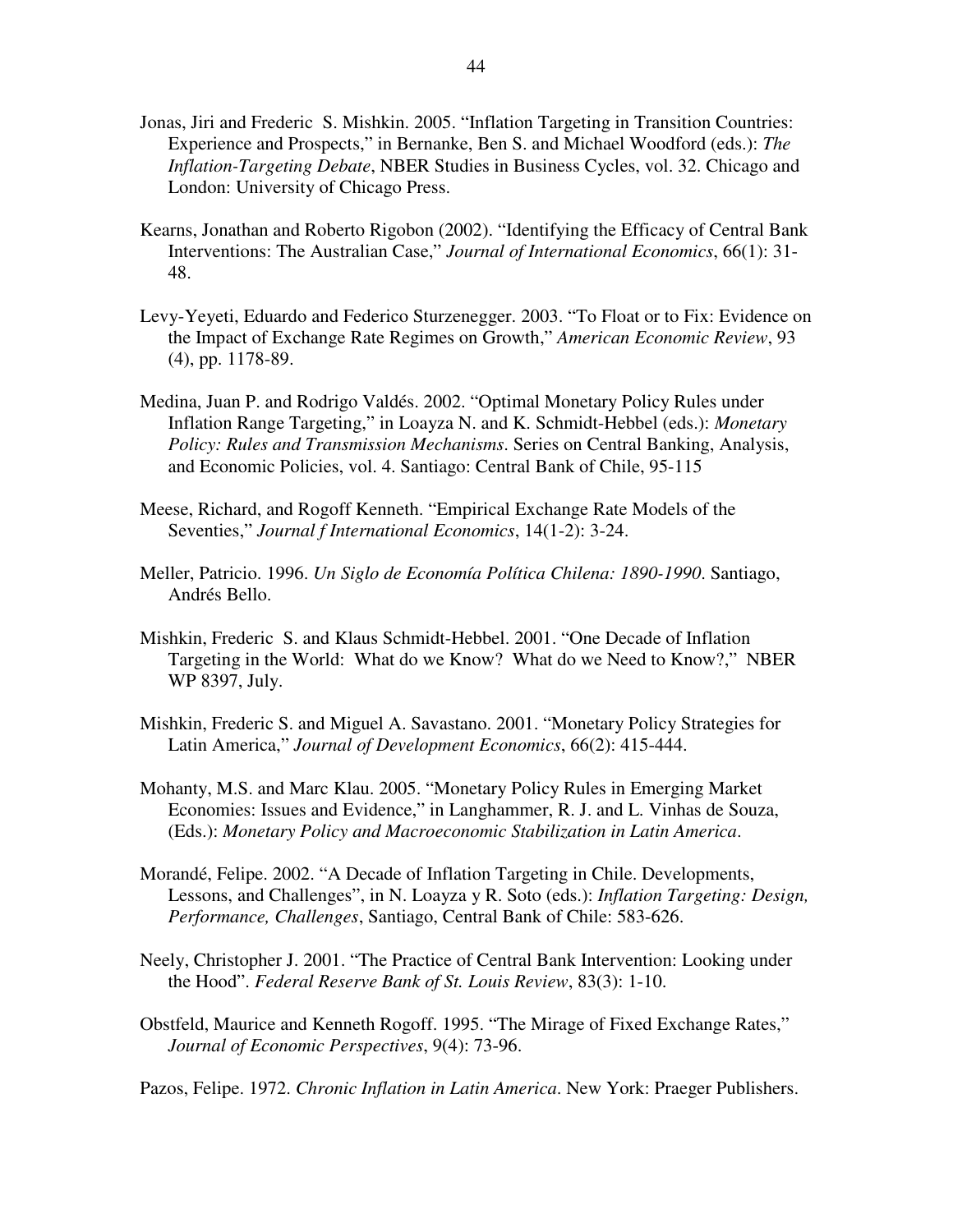- Jonas, Jiri and Frederic S. Mishkin. 2005. "Inflation Targeting in Transition Countries: Experience and Prospects," in Bernanke, Ben S. and Michael Woodford (eds.): *The Inflation-Targeting Debate*, NBER Studies in Business Cycles, vol. 32. Chicago and London: University of Chicago Press.
- Kearns, Jonathan and Roberto Rigobon (2002). "Identifying the Efficacy of Central Bank Interventions: The Australian Case," *Journal of International Economics*, 66(1): 31- 48.
- Levy-Yeyeti, Eduardo and Federico Sturzenegger. 2003. "To Float or to Fix: Evidence on the Impact of Exchange Rate Regimes on Growth," *American Economic Review*, 93 (4), pp. 1178-89.
- Medina, Juan P. and Rodrigo Valdés. 2002. "Optimal Monetary Policy Rules under Inflation Range Targeting," in Loayza N. and K. Schmidt-Hebbel (eds.): *Monetary Policy: Rules and Transmission Mechanisms*. Series on Central Banking, Analysis, and Economic Policies, vol. 4. Santiago: Central Bank of Chile, 95-115
- Meese, Richard, and Rogoff Kenneth. "Empirical Exchange Rate Models of the Seventies," *Journal f International Economics*, 14(1-2): 3-24.
- Meller, Patricio. 1996. *Un Siglo de Economía Política Chilena: 1890-1990*. Santiago, Andrés Bello.
- Mishkin, Frederic S. and Klaus Schmidt-Hebbel. 2001. "One Decade of Inflation Targeting in the World: What do we Know? What do we Need to Know?," NBER WP 8397, July.
- Mishkin, Frederic S. and Miguel A. Savastano. 2001. "Monetary Policy Strategies for Latin America," *Journal of Development Economics*, 66(2): 415-444.
- Mohanty, M.S. and Marc Klau. 2005. "Monetary Policy Rules in Emerging Market Economies: Issues and Evidence," in Langhammer, R. J. and L. Vinhas de Souza, (Eds.): *Monetary Policy and Macroeconomic Stabilization in Latin America*.
- Morandé, Felipe. 2002. "A Decade of Inflation Targeting in Chile. Developments, Lessons, and Challenges", in N. Loayza y R. Soto (eds.): *Inflation Targeting: Design, Performance, Challenges*, Santiago, Central Bank of Chile: 583-626.
- Neely, Christopher J. 2001. "The Practice of Central Bank Intervention: Looking under the Hood". *Federal Reserve Bank of St. Louis Review*, 83(3): 1-10.
- Obstfeld, Maurice and Kenneth Rogoff. 1995. "The Mirage of Fixed Exchange Rates," *Journal of Economic Perspectives*, 9(4): 73-96.

Pazos, Felipe. 1972. *Chronic Inflation in Latin America*. New York: Praeger Publishers.